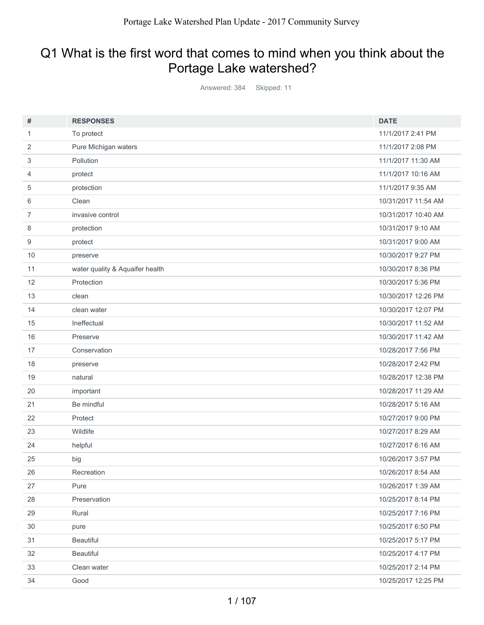## Q1 What is the first word that comes to mind when you think about the Portage Lake watershed?

Answered: 384 Skipped: 11

| #              | <b>RESPONSES</b>                | <b>DATE</b>         |
|----------------|---------------------------------|---------------------|
| 1              | To protect                      | 11/1/2017 2:41 PM   |
| 2              | Pure Michigan waters            | 11/1/2017 2:08 PM   |
| 3              | Pollution                       | 11/1/2017 11:30 AM  |
| 4              | protect                         | 11/1/2017 10:16 AM  |
| 5              | protection                      | 11/1/2017 9:35 AM   |
| 6              | Clean                           | 10/31/2017 11:54 AM |
| $\overline{7}$ | invasive control                | 10/31/2017 10:40 AM |
| 8              | protection                      | 10/31/2017 9:10 AM  |
| 9              | protect                         | 10/31/2017 9:00 AM  |
| 10             | preserve                        | 10/30/2017 9:27 PM  |
| 11             | water quality & Aquaifer health | 10/30/2017 8:36 PM  |
| 12             | Protection                      | 10/30/2017 5:36 PM  |
| 13             | clean                           | 10/30/2017 12:26 PM |
| 14             | clean water                     | 10/30/2017 12:07 PM |
| 15             | Ineffectual                     | 10/30/2017 11:52 AM |
| 16             | Preserve                        | 10/30/2017 11:42 AM |
| 17             | Conservation                    | 10/28/2017 7:56 PM  |
| 18             | preserve                        | 10/28/2017 2:42 PM  |
| 19             | natural                         | 10/28/2017 12:38 PM |
| 20             | important                       | 10/28/2017 11:29 AM |
| 21             | Be mindful                      | 10/28/2017 5:16 AM  |
| 22             | Protect                         | 10/27/2017 9:00 PM  |
| 23             | Wildlife                        | 10/27/2017 8:29 AM  |
| 24             | helpful                         | 10/27/2017 6:16 AM  |
| 25             | big                             | 10/26/2017 3:57 PM  |
| 26             | Recreation                      | 10/26/2017 8:54 AM  |
| 27             | Pure                            | 10/26/2017 1:39 AM  |
| 28             | Preservation                    | 10/25/2017 8:14 PM  |
| 29             | Rural                           | 10/25/2017 7:16 PM  |
| 30             | pure                            | 10/25/2017 6:50 PM  |
| 31             | Beautiful                       | 10/25/2017 5:17 PM  |
| 32             | Beautiful                       | 10/25/2017 4:17 PM  |
| 33             | Clean water                     | 10/25/2017 2:14 PM  |
| 34             | Good                            | 10/25/2017 12:25 PM |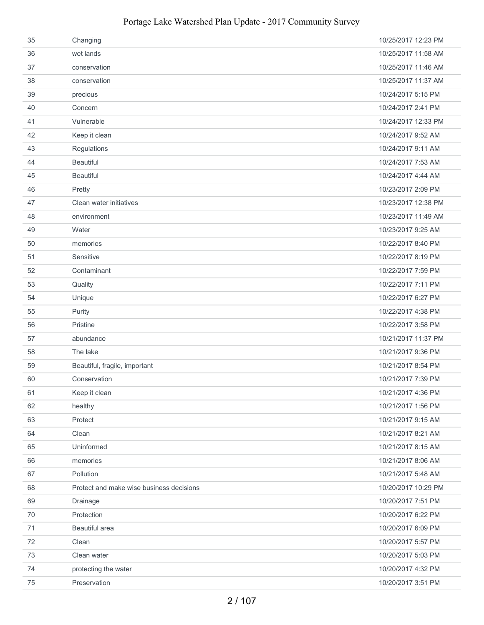| 35 | Changing                                 | 10/25/2017 12:23 PM |
|----|------------------------------------------|---------------------|
| 36 | wet lands                                | 10/25/2017 11:58 AM |
| 37 | conservation                             | 10/25/2017 11:46 AM |
| 38 | conservation                             | 10/25/2017 11:37 AM |
| 39 | precious                                 | 10/24/2017 5:15 PM  |
| 40 | Concern                                  | 10/24/2017 2:41 PM  |
| 41 | Vulnerable                               | 10/24/2017 12:33 PM |
| 42 | Keep it clean                            | 10/24/2017 9:52 AM  |
| 43 | Regulations                              | 10/24/2017 9:11 AM  |
| 44 | <b>Beautiful</b>                         | 10/24/2017 7:53 AM  |
| 45 | <b>Beautiful</b>                         | 10/24/2017 4:44 AM  |
| 46 | Pretty                                   | 10/23/2017 2:09 PM  |
| 47 | Clean water initiatives                  | 10/23/2017 12:38 PM |
| 48 | environment                              | 10/23/2017 11:49 AM |
| 49 | Water                                    | 10/23/2017 9:25 AM  |
| 50 | memories                                 | 10/22/2017 8:40 PM  |
| 51 | Sensitive                                | 10/22/2017 8:19 PM  |
| 52 | Contaminant                              | 10/22/2017 7:59 PM  |
| 53 | Quality                                  | 10/22/2017 7:11 PM  |
| 54 | Unique                                   | 10/22/2017 6:27 PM  |
| 55 | Purity                                   | 10/22/2017 4:38 PM  |
| 56 | Pristine                                 | 10/22/2017 3:58 PM  |
| 57 | abundance                                | 10/21/2017 11:37 PM |
| 58 | The lake                                 | 10/21/2017 9:36 PM  |
| 59 | Beautiful, fragile, important            | 10/21/2017 8:54 PM  |
| 60 | Conservation                             | 10/21/2017 7:39 PM  |
| 61 | Keep it clean                            | 10/21/2017 4:36 PM  |
| 62 | healthy                                  | 10/21/2017 1:56 PM  |
| 63 | Protect                                  | 10/21/2017 9:15 AM  |
| 64 | Clean                                    | 10/21/2017 8:21 AM  |
| 65 | Uninformed                               | 10/21/2017 8:15 AM  |
| 66 | memories                                 | 10/21/2017 8:06 AM  |
| 67 | Pollution                                | 10/21/2017 5:48 AM  |
| 68 | Protect and make wise business decisions | 10/20/2017 10:29 PM |
| 69 | Drainage                                 | 10/20/2017 7:51 PM  |
| 70 | Protection                               | 10/20/2017 6:22 PM  |
| 71 | Beautiful area                           | 10/20/2017 6:09 PM  |
| 72 | Clean                                    | 10/20/2017 5:57 PM  |
| 73 | Clean water                              | 10/20/2017 5:03 PM  |
| 74 | protecting the water                     | 10/20/2017 4:32 PM  |
| 75 | Preservation                             | 10/20/2017 3:51 PM  |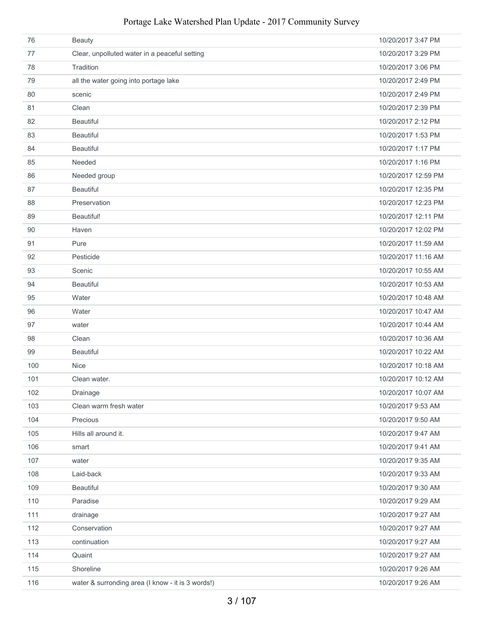| 76  | <b>Beauty</b>                                     | 10/20/2017 3:47 PM  |
|-----|---------------------------------------------------|---------------------|
| 77  | Clear, unpolluted water in a peaceful setting     | 10/20/2017 3:29 PM  |
| 78  | Tradition                                         | 10/20/2017 3:06 PM  |
| 79  | all the water going into portage lake             | 10/20/2017 2:49 PM  |
| 80  | scenic                                            | 10/20/2017 2:49 PM  |
| 81  | Clean                                             | 10/20/2017 2:39 PM  |
| 82  | <b>Beautiful</b>                                  | 10/20/2017 2:12 PM  |
| 83  | <b>Beautiful</b>                                  | 10/20/2017 1:53 PM  |
| 84  | <b>Beautiful</b>                                  | 10/20/2017 1:17 PM  |
| 85  | Needed                                            | 10/20/2017 1:16 PM  |
| 86  | Needed group                                      | 10/20/2017 12:59 PM |
| 87  | <b>Beautiful</b>                                  | 10/20/2017 12:35 PM |
| 88  | Preservation                                      | 10/20/2017 12:23 PM |
| 89  | Beautiful!                                        | 10/20/2017 12:11 PM |
| 90  | Haven                                             | 10/20/2017 12:02 PM |
| 91  | Pure                                              | 10/20/2017 11:59 AM |
| 92  | Pesticide                                         | 10/20/2017 11:16 AM |
| 93  | Scenic                                            | 10/20/2017 10:55 AM |
| 94  | <b>Beautiful</b>                                  | 10/20/2017 10:53 AM |
| 95  | Water                                             | 10/20/2017 10:48 AM |
| 96  | Water                                             | 10/20/2017 10:47 AM |
| 97  | water                                             | 10/20/2017 10:44 AM |
| 98  | Clean                                             | 10/20/2017 10:36 AM |
| 99  | <b>Beautiful</b>                                  | 10/20/2017 10:22 AM |
| 100 | <b>Nice</b>                                       | 10/20/2017 10:18 AM |
| 101 | Clean water.                                      | 10/20/2017 10:12 AM |
| 102 | Drainage                                          | 10/20/2017 10:07 AM |
| 103 | Clean warm fresh water                            | 10/20/2017 9:53 AM  |
| 104 | Precious                                          | 10/20/2017 9:50 AM  |
| 105 | Hills all around it.                              | 10/20/2017 9:47 AM  |
| 106 | smart                                             | 10/20/2017 9:41 AM  |
| 107 | water                                             | 10/20/2017 9:35 AM  |
| 108 | Laid-back                                         | 10/20/2017 9:33 AM  |
| 109 | <b>Beautiful</b>                                  | 10/20/2017 9:30 AM  |
| 110 | Paradise                                          | 10/20/2017 9:29 AM  |
| 111 | drainage                                          | 10/20/2017 9:27 AM  |
| 112 | Conservation                                      | 10/20/2017 9:27 AM  |
| 113 | continuation                                      | 10/20/2017 9:27 AM  |
| 114 | Quaint                                            | 10/20/2017 9:27 AM  |
| 115 | Shoreline                                         | 10/20/2017 9:26 AM  |
| 116 | water & surronding area (I know - it is 3 words!) | 10/20/2017 9:26 AM  |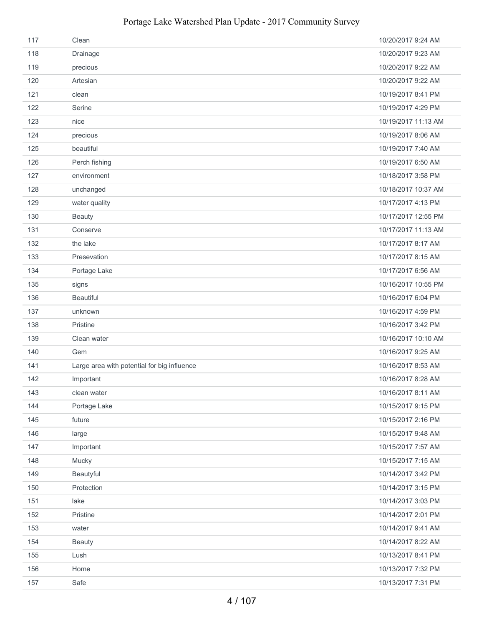| 117 | Clean                                       | 10/20/2017 9:24 AM  |
|-----|---------------------------------------------|---------------------|
| 118 | Drainage                                    | 10/20/2017 9:23 AM  |
| 119 | precious                                    | 10/20/2017 9:22 AM  |
| 120 | Artesian                                    | 10/20/2017 9:22 AM  |
| 121 | clean                                       | 10/19/2017 8:41 PM  |
| 122 | Serine                                      | 10/19/2017 4:29 PM  |
| 123 | nice                                        | 10/19/2017 11:13 AM |
| 124 | precious                                    | 10/19/2017 8:06 AM  |
| 125 | beautiful                                   | 10/19/2017 7:40 AM  |
| 126 | Perch fishing                               | 10/19/2017 6:50 AM  |
| 127 | environment                                 | 10/18/2017 3:58 PM  |
| 128 | unchanged                                   | 10/18/2017 10:37 AM |
| 129 | water quality                               | 10/17/2017 4:13 PM  |
| 130 | <b>Beauty</b>                               | 10/17/2017 12:55 PM |
| 131 | Conserve                                    | 10/17/2017 11:13 AM |
| 132 | the lake                                    | 10/17/2017 8:17 AM  |
| 133 | Presevation                                 | 10/17/2017 8:15 AM  |
| 134 | Portage Lake                                | 10/17/2017 6:56 AM  |
| 135 | signs                                       | 10/16/2017 10:55 PM |
| 136 | <b>Beautiful</b>                            | 10/16/2017 6:04 PM  |
| 137 | unknown                                     | 10/16/2017 4:59 PM  |
| 138 | Pristine                                    | 10/16/2017 3:42 PM  |
| 139 | Clean water                                 | 10/16/2017 10:10 AM |
| 140 | Gem                                         | 10/16/2017 9:25 AM  |
| 141 | Large area with potential for big influence | 10/16/2017 8:53 AM  |
| 142 | Important                                   | 10/16/2017 8:28 AM  |
| 143 | clean water                                 | 10/16/2017 8:11 AM  |
| 144 | Portage Lake                                | 10/15/2017 9:15 PM  |
| 145 | future                                      | 10/15/2017 2:16 PM  |
| 146 | large                                       | 10/15/2017 9:48 AM  |
| 147 | Important                                   | 10/15/2017 7:57 AM  |
| 148 | Mucky                                       | 10/15/2017 7:15 AM  |
| 149 | Beautyful                                   | 10/14/2017 3:42 PM  |
| 150 | Protection                                  | 10/14/2017 3:15 PM  |
| 151 | lake                                        | 10/14/2017 3:03 PM  |
| 152 | Pristine                                    | 10/14/2017 2:01 PM  |
| 153 | water                                       | 10/14/2017 9:41 AM  |
| 154 | <b>Beauty</b>                               | 10/14/2017 8:22 AM  |
| 155 | Lush                                        | 10/13/2017 8:41 PM  |
| 156 | Home                                        | 10/13/2017 7:32 PM  |
| 157 | Safe                                        | 10/13/2017 7:31 PM  |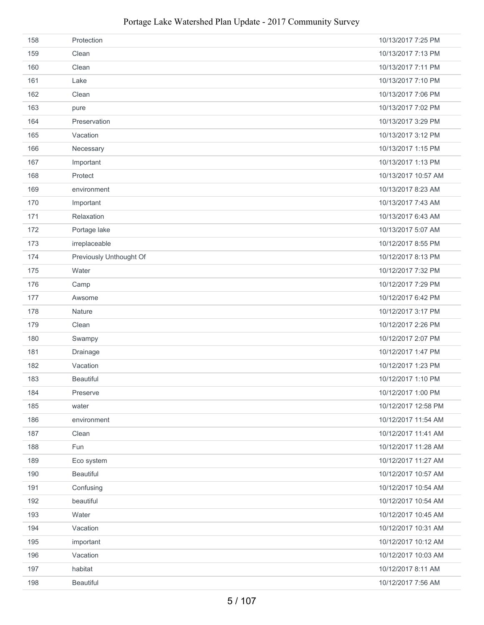| 158 | Protection              | 10/13/2017 7:25 PM  |
|-----|-------------------------|---------------------|
| 159 | Clean                   | 10/13/2017 7:13 PM  |
| 160 | Clean                   | 10/13/2017 7:11 PM  |
| 161 | Lake                    | 10/13/2017 7:10 PM  |
| 162 | Clean                   | 10/13/2017 7:06 PM  |
| 163 | pure                    | 10/13/2017 7:02 PM  |
| 164 | Preservation            | 10/13/2017 3:29 PM  |
| 165 | Vacation                | 10/13/2017 3:12 PM  |
| 166 | Necessary               | 10/13/2017 1:15 PM  |
| 167 | Important               | 10/13/2017 1:13 PM  |
| 168 | Protect                 | 10/13/2017 10:57 AM |
| 169 | environment             | 10/13/2017 8:23 AM  |
| 170 | Important               | 10/13/2017 7:43 AM  |
| 171 | Relaxation              | 10/13/2017 6:43 AM  |
| 172 | Portage lake            | 10/13/2017 5:07 AM  |
| 173 | irreplaceable           | 10/12/2017 8:55 PM  |
| 174 | Previously Unthought Of | 10/12/2017 8:13 PM  |
| 175 | Water                   | 10/12/2017 7:32 PM  |
| 176 | Camp                    | 10/12/2017 7:29 PM  |
| 177 | Awsome                  | 10/12/2017 6:42 PM  |
| 178 | Nature                  | 10/12/2017 3:17 PM  |
| 179 | Clean                   | 10/12/2017 2:26 PM  |
| 180 | Swampy                  | 10/12/2017 2:07 PM  |
| 181 | Drainage                | 10/12/2017 1:47 PM  |
| 182 | Vacation                | 10/12/2017 1:23 PM  |
| 183 | <b>Beautiful</b>        | 10/12/2017 1:10 PM  |
| 184 | Preserve                | 10/12/2017 1:00 PM  |
| 185 | water                   | 10/12/2017 12:58 PM |
| 186 | environment             | 10/12/2017 11:54 AM |
| 187 | Clean                   | 10/12/2017 11:41 AM |
| 188 | Fun                     | 10/12/2017 11:28 AM |
| 189 | Eco system              | 10/12/2017 11:27 AM |
| 190 | <b>Beautiful</b>        | 10/12/2017 10:57 AM |
| 191 | Confusing               | 10/12/2017 10:54 AM |
| 192 | beautiful               | 10/12/2017 10:54 AM |
| 193 | Water                   | 10/12/2017 10:45 AM |
| 194 | Vacation                | 10/12/2017 10:31 AM |
| 195 | important               | 10/12/2017 10:12 AM |
| 196 | Vacation                | 10/12/2017 10:03 AM |
| 197 | habitat                 | 10/12/2017 8:11 AM  |
| 198 | <b>Beautiful</b>        | 10/12/2017 7:56 AM  |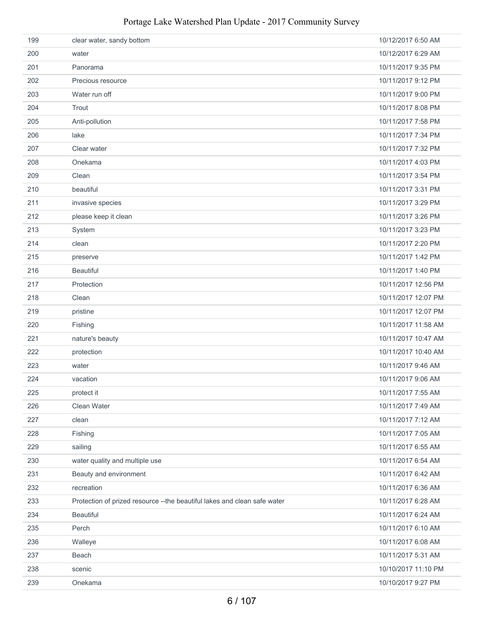| 199 | clear water, sandy bottom                                                 | 10/12/2017 6:50 AM  |
|-----|---------------------------------------------------------------------------|---------------------|
| 200 | water                                                                     | 10/12/2017 6:29 AM  |
| 201 | Panorama                                                                  | 10/11/2017 9:35 PM  |
| 202 | Precious resource                                                         | 10/11/2017 9:12 PM  |
| 203 | Water run off                                                             | 10/11/2017 9:00 PM  |
| 204 | Trout                                                                     | 10/11/2017 8:08 PM  |
| 205 | Anti-pollution                                                            | 10/11/2017 7:58 PM  |
| 206 | lake                                                                      | 10/11/2017 7:34 PM  |
| 207 | Clear water                                                               | 10/11/2017 7:32 PM  |
| 208 | Onekama                                                                   | 10/11/2017 4:03 PM  |
| 209 | Clean                                                                     | 10/11/2017 3:54 PM  |
| 210 | beautiful                                                                 | 10/11/2017 3:31 PM  |
| 211 | invasive species                                                          | 10/11/2017 3:29 PM  |
| 212 | please keep it clean                                                      | 10/11/2017 3:26 PM  |
| 213 | System                                                                    | 10/11/2017 3:23 PM  |
| 214 | clean                                                                     | 10/11/2017 2:20 PM  |
| 215 | preserve                                                                  | 10/11/2017 1:42 PM  |
| 216 | <b>Beautiful</b>                                                          | 10/11/2017 1:40 PM  |
| 217 | Protection                                                                | 10/11/2017 12:56 PM |
| 218 | Clean                                                                     | 10/11/2017 12:07 PM |
| 219 | pristine                                                                  | 10/11/2017 12:07 PM |
| 220 | Fishing                                                                   | 10/11/2017 11:58 AM |
| 221 | nature's beauty                                                           | 10/11/2017 10:47 AM |
| 222 | protection                                                                | 10/11/2017 10:40 AM |
| 223 | water                                                                     | 10/11/2017 9:46 AM  |
| 224 | vacation                                                                  | 10/11/2017 9:06 AM  |
| 225 | protect it                                                                | 10/11/2017 7:55 AM  |
| 226 | Clean Water                                                               | 10/11/2017 7:49 AM  |
| 227 | clean                                                                     | 10/11/2017 7:12 AM  |
| 228 | Fishing                                                                   | 10/11/2017 7:05 AM  |
| 229 | sailing                                                                   | 10/11/2017 6:55 AM  |
| 230 | water quality and multiple use                                            | 10/11/2017 6:54 AM  |
| 231 | Beauty and environment                                                    | 10/11/2017 6:42 AM  |
| 232 | recreation                                                                | 10/11/2017 6:36 AM  |
| 233 | Protection of prized resource -- the beautiful lakes and clean safe water | 10/11/2017 6:28 AM  |
| 234 | <b>Beautiful</b>                                                          | 10/11/2017 6:24 AM  |
| 235 | Perch                                                                     | 10/11/2017 6:10 AM  |
| 236 | Walleye                                                                   | 10/11/2017 6:08 AM  |
| 237 | Beach                                                                     | 10/11/2017 5:31 AM  |
| 238 | scenic                                                                    | 10/10/2017 11:10 PM |
| 239 | Onekama                                                                   | 10/10/2017 9:27 PM  |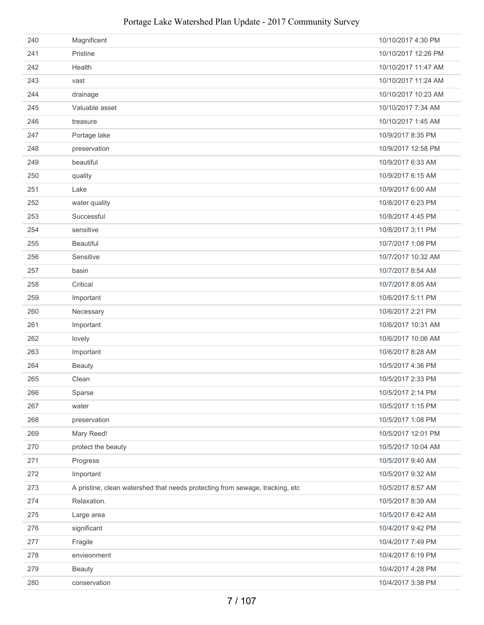| 240 | Magnificent                                                                  | 10/10/2017 4:30 PM  |
|-----|------------------------------------------------------------------------------|---------------------|
| 241 | Pristine                                                                     | 10/10/2017 12:26 PM |
| 242 | Health                                                                       | 10/10/2017 11:47 AM |
| 243 | vast                                                                         | 10/10/2017 11:24 AM |
| 244 | drainage                                                                     | 10/10/2017 10:23 AM |
| 245 | Valuable asset                                                               | 10/10/2017 7:34 AM  |
| 246 | treasure                                                                     | 10/10/2017 1:45 AM  |
| 247 | Portage lake                                                                 | 10/9/2017 8:35 PM   |
| 248 | preservation                                                                 | 10/9/2017 12:58 PM  |
| 249 | beautiful                                                                    | 10/9/2017 6:33 AM   |
| 250 | quality                                                                      | 10/9/2017 6:15 AM   |
| 251 | Lake                                                                         | 10/9/2017 6:00 AM   |
| 252 | water quality                                                                | 10/8/2017 6:23 PM   |
| 253 | Successful                                                                   | 10/8/2017 4:45 PM   |
| 254 | sensitive                                                                    | 10/8/2017 3:11 PM   |
| 255 | <b>Beautiful</b>                                                             | 10/7/2017 1:08 PM   |
| 256 | Sensitive                                                                    | 10/7/2017 10:32 AM  |
| 257 | basin                                                                        | 10/7/2017 8:54 AM   |
| 258 | Critical                                                                     | 10/7/2017 8:05 AM   |
| 259 | Important                                                                    | 10/6/2017 5:11 PM   |
| 260 | Necessary                                                                    | 10/6/2017 2:21 PM   |
| 261 | Important                                                                    | 10/6/2017 10:31 AM  |
| 262 | lovely                                                                       | 10/6/2017 10:06 AM  |
| 263 | Important                                                                    | 10/6/2017 8:28 AM   |
| 264 | <b>Beauty</b>                                                                | 10/5/2017 4:36 PM   |
| 265 | Clean                                                                        | 10/5/2017 2:33 PM   |
| 266 | Sparse                                                                       | 10/5/2017 2:14 PM   |
| 267 | water                                                                        | 10/5/2017 1:15 PM   |
| 268 | preservation                                                                 | 10/5/2017 1:08 PM   |
| 269 | Mary Reed!                                                                   | 10/5/2017 12:01 PM  |
| 270 | protect the beauty                                                           | 10/5/2017 10:04 AM  |
| 271 | Progress                                                                     | 10/5/2017 9:40 AM   |
| 272 | Important                                                                    | 10/5/2017 9:32 AM   |
| 273 | A pristine, clean watershed that needs protecting from sewage, tracking, etc | 10/5/2017 8:57 AM   |
| 274 | Relaxation.                                                                  | 10/5/2017 8:39 AM   |
| 275 | Large area                                                                   | 10/5/2017 6:42 AM   |
| 276 | significant                                                                  | 10/4/2017 9:42 PM   |
| 277 | Fragile                                                                      | 10/4/2017 7:49 PM   |
| 278 | envieonment                                                                  | 10/4/2017 6:19 PM   |
| 279 | <b>Beauty</b>                                                                | 10/4/2017 4:28 PM   |
| 280 | conservation                                                                 | 10/4/2017 3:38 PM   |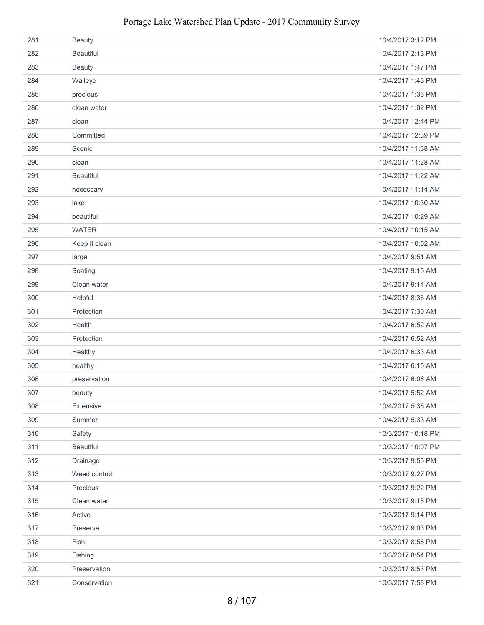| 281 | <b>Beauty</b>    | 10/4/2017 3:12 PM  |
|-----|------------------|--------------------|
| 282 | <b>Beautiful</b> | 10/4/2017 2:13 PM  |
| 283 | <b>Beauty</b>    | 10/4/2017 1:47 PM  |
| 284 | Walleye          | 10/4/2017 1:43 PM  |
| 285 | precious         | 10/4/2017 1:36 PM  |
| 286 | clean water      | 10/4/2017 1:02 PM  |
| 287 | clean            | 10/4/2017 12:44 PM |
| 288 | Committed        | 10/4/2017 12:39 PM |
| 289 | Scenic           | 10/4/2017 11:38 AM |
| 290 | clean            | 10/4/2017 11:28 AM |
| 291 | <b>Beautiful</b> | 10/4/2017 11:22 AM |
| 292 | necessary        | 10/4/2017 11:14 AM |
| 293 | lake             | 10/4/2017 10:30 AM |
| 294 | beautiful        | 10/4/2017 10:29 AM |
| 295 | <b>WATER</b>     | 10/4/2017 10:15 AM |
| 296 | Keep it clean    | 10/4/2017 10:02 AM |
| 297 | large            | 10/4/2017 9:51 AM  |
| 298 | Boating          | 10/4/2017 9:15 AM  |
| 299 | Clean water      | 10/4/2017 9:14 AM  |
| 300 | Helpful          | 10/4/2017 8:36 AM  |
| 301 | Protection       | 10/4/2017 7:30 AM  |
| 302 | Health           | 10/4/2017 6:52 AM  |
| 303 | Protection       | 10/4/2017 6:52 AM  |
| 304 | Healthy          | 10/4/2017 6:33 AM  |
| 305 | healthy          | 10/4/2017 6:15 AM  |
| 306 | preservation     | 10/4/2017 6:06 AM  |
| 307 | beauty           | 10/4/2017 5:52 AM  |
| 308 | Extensive        | 10/4/2017 5:38 AM  |
| 309 | Summer           | 10/4/2017 5:33 AM  |
| 310 | Safety           | 10/3/2017 10:18 PM |
| 311 | <b>Beautiful</b> | 10/3/2017 10:07 PM |
| 312 | Drainage         | 10/3/2017 9:55 PM  |
| 313 | Weed control     | 10/3/2017 9:27 PM  |
| 314 | Precious         | 10/3/2017 9:22 PM  |
| 315 | Clean water      | 10/3/2017 9:15 PM  |
| 316 | Active           | 10/3/2017 9:14 PM  |
| 317 | Preserve         | 10/3/2017 9:03 PM  |
| 318 | Fish             | 10/3/2017 8:56 PM  |
| 319 | Fishing          | 10/3/2017 8:54 PM  |
| 320 | Preservation     | 10/3/2017 8:53 PM  |
| 321 | Conservation     | 10/3/2017 7:58 PM  |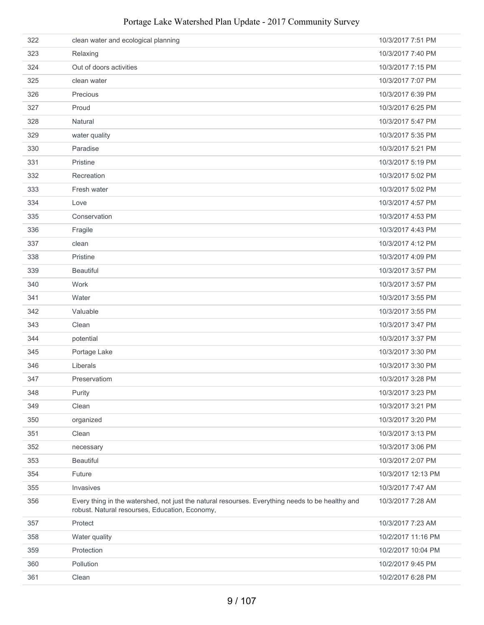|     | Portage Lake Watershed Plan Update - 2017 Community Survey                                                                                  |                    |
|-----|---------------------------------------------------------------------------------------------------------------------------------------------|--------------------|
| 322 | clean water and ecological planning                                                                                                         | 10/3/2017 7:51 PM  |
| 323 | Relaxing                                                                                                                                    | 10/3/2017 7:40 PM  |
| 324 | Out of doors activities                                                                                                                     | 10/3/2017 7:15 PM  |
| 325 | clean water                                                                                                                                 | 10/3/2017 7:07 PM  |
| 326 | Precious                                                                                                                                    | 10/3/2017 6:39 PM  |
| 327 | Proud                                                                                                                                       | 10/3/2017 6:25 PM  |
| 328 | Natural                                                                                                                                     | 10/3/2017 5:47 PM  |
| 329 | water quality                                                                                                                               | 10/3/2017 5:35 PM  |
| 330 | Paradise                                                                                                                                    | 10/3/2017 5:21 PM  |
| 331 | Pristine                                                                                                                                    | 10/3/2017 5:19 PM  |
| 332 | Recreation                                                                                                                                  | 10/3/2017 5:02 PM  |
| 333 | Fresh water                                                                                                                                 | 10/3/2017 5:02 PM  |
| 334 | Love                                                                                                                                        | 10/3/2017 4:57 PM  |
| 335 | Conservation                                                                                                                                | 10/3/2017 4:53 PM  |
| 336 | Fragile                                                                                                                                     | 10/3/2017 4:43 PM  |
| 337 | clean                                                                                                                                       | 10/3/2017 4:12 PM  |
| 338 | Pristine                                                                                                                                    | 10/3/2017 4:09 PM  |
| 339 | <b>Beautiful</b>                                                                                                                            | 10/3/2017 3:57 PM  |
| 340 | Work                                                                                                                                        | 10/3/2017 3:57 PM  |
| 341 | Water                                                                                                                                       | 10/3/2017 3:55 PM  |
| 342 | Valuable                                                                                                                                    | 10/3/2017 3:55 PM  |
| 343 | Clean                                                                                                                                       | 10/3/2017 3:47 PM  |
| 344 | potential                                                                                                                                   | 10/3/2017 3:37 PM  |
| 345 | Portage Lake                                                                                                                                | 10/3/2017 3:30 PM  |
| 346 | Liberals                                                                                                                                    | 10/3/2017 3:30 PM  |
| 347 | Preservatiom                                                                                                                                | 10/3/2017 3:28 PM  |
| 348 | Purity                                                                                                                                      | 10/3/2017 3:23 PM  |
| 349 | Clean                                                                                                                                       | 10/3/2017 3:21 PM  |
| 350 | organized                                                                                                                                   | 10/3/2017 3:20 PM  |
| 351 | Clean                                                                                                                                       | 10/3/2017 3:13 PM  |
| 352 | necessary                                                                                                                                   | 10/3/2017 3:06 PM  |
| 353 | Beautiful                                                                                                                                   | 10/3/2017 2:07 PM  |
| 354 | Future                                                                                                                                      | 10/3/2017 12:13 PM |
| 355 | Invasives                                                                                                                                   | 10/3/2017 7:47 AM  |
| 356 | Every thing in the watershed, not just the natural resourses. Everything needs to be healthy and<br>Lot Notural resources Education Economy | 10/3/2017 7:28 AM  |

robust. Natural resourses, Education, Economy, Protect 10/3/2017 7:23 AM Water quality 10/2/2017 11:16 PM Protection 10/2/2017 10:04 PM Pollution 10/2/2017 9:45 PM Clean 10/2/2017 6:28 PM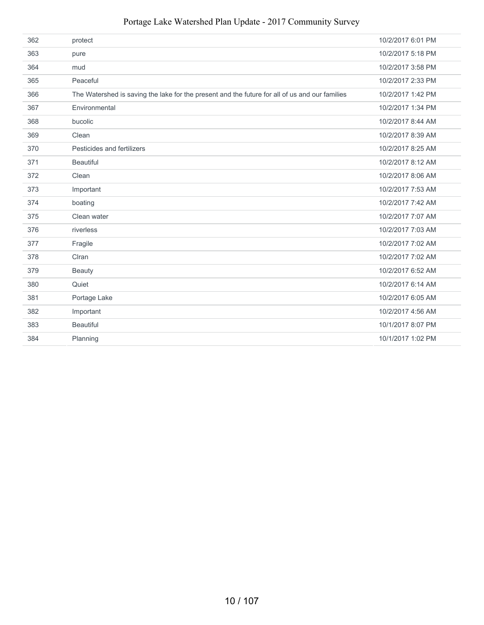| 362 | protect                                                                                        | 10/2/2017 6:01 PM |
|-----|------------------------------------------------------------------------------------------------|-------------------|
| 363 | pure                                                                                           | 10/2/2017 5:18 PM |
| 364 | mud                                                                                            | 10/2/2017 3:58 PM |
| 365 | Peaceful                                                                                       | 10/2/2017 2:33 PM |
| 366 | The Watershed is saving the lake for the present and the future for all of us and our families | 10/2/2017 1:42 PM |
| 367 | Environmental                                                                                  | 10/2/2017 1:34 PM |
| 368 | bucolic                                                                                        | 10/2/2017 8:44 AM |
| 369 | Clean                                                                                          | 10/2/2017 8:39 AM |
| 370 | Pesticides and fertilizers                                                                     | 10/2/2017 8:25 AM |
| 371 | <b>Beautiful</b>                                                                               | 10/2/2017 8:12 AM |
| 372 | Clean                                                                                          | 10/2/2017 8:06 AM |
| 373 | Important                                                                                      | 10/2/2017 7:53 AM |
| 374 | boating                                                                                        | 10/2/2017 7:42 AM |
| 375 | Clean water                                                                                    | 10/2/2017 7:07 AM |
| 376 | riverless                                                                                      | 10/2/2017 7:03 AM |
| 377 | Fragile                                                                                        | 10/2/2017 7:02 AM |
| 378 | CIran                                                                                          | 10/2/2017 7:02 AM |
| 379 | <b>Beauty</b>                                                                                  | 10/2/2017 6:52 AM |
| 380 | Quiet                                                                                          | 10/2/2017 6:14 AM |
| 381 | Portage Lake                                                                                   | 10/2/2017 6:05 AM |
| 382 | Important                                                                                      | 10/2/2017 4:56 AM |
| 383 | <b>Beautiful</b>                                                                               | 10/1/2017 8:07 PM |
| 384 | Planning                                                                                       | 10/1/2017 1:02 PM |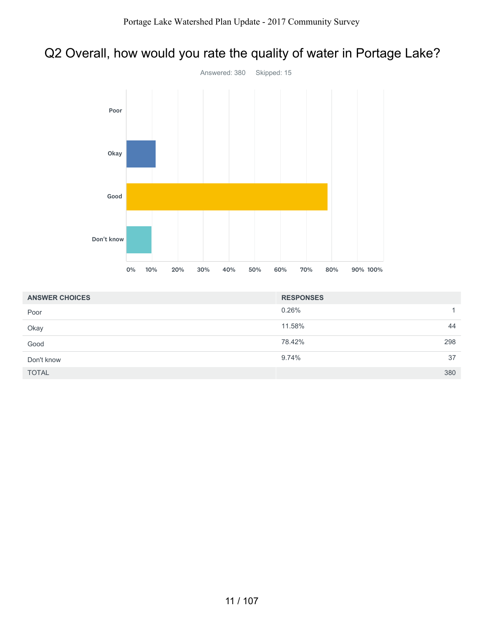# Q2 Overall, how would you rate the quality of water in Portage Lake?



| <b>ANSWER CHOICES</b> | <b>RESPONSES</b> |     |
|-----------------------|------------------|-----|
| Poor                  | 0.26%            | 1.  |
| Okay                  | 11.58%           | 44  |
| Good                  | 78.42%           | 298 |
| Don't know            | 9.74%            | 37  |
| <b>TOTAL</b>          |                  | 380 |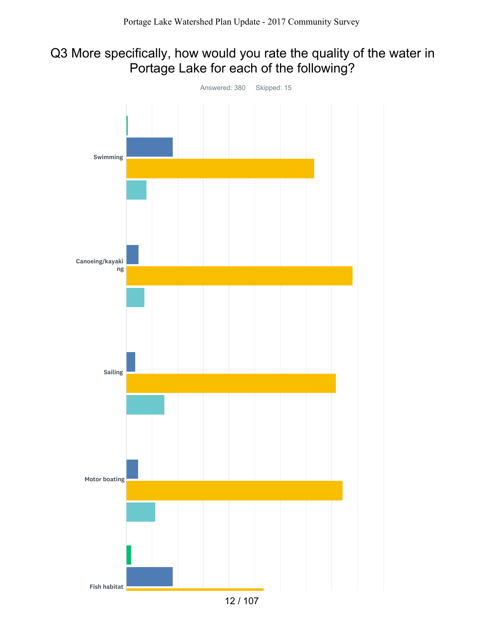## Q3 More specifically, how would you rate the quality of the water in Portage Lake for each of the following?

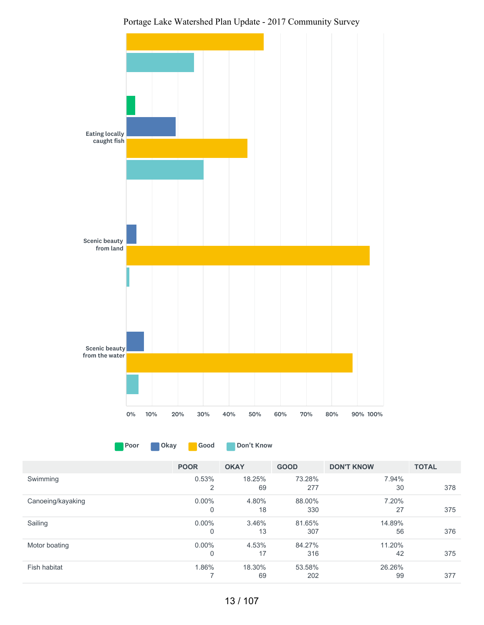



Poor Okay Good Don't Know

|                   | <b>POOR</b>    | <b>OKAY</b> | <b>GOOD</b> | <b>DON'T KNOW</b> | <b>TOTAL</b> |
|-------------------|----------------|-------------|-------------|-------------------|--------------|
| Swimming          | 0.53%          | 18.25%      | 73.28%      | 7.94%             |              |
|                   | $\overline{2}$ | 69          | 277         | 30                | 378          |
| Canoeing/kayaking | $0.00\%$       | 4.80%       | 88.00%      | 7.20%             |              |
|                   | 0              | 18          | 330         | 27                | 375          |
| Sailing           | $0.00\%$       | 3.46%       | 81.65%      | 14.89%            |              |
|                   | 0              | 13          | 307         | 56                | 376          |
| Motor boating     | $0.00\%$       | 4.53%       | 84.27%      | 11.20%            |              |
|                   | 0              | 17          | 316         | 42                | 375          |
| Fish habitat      | 1.86%          | 18.30%      | 53.58%      | 26.26%            |              |
|                   | ⇁              | 69          | 202         | 99                | 377          |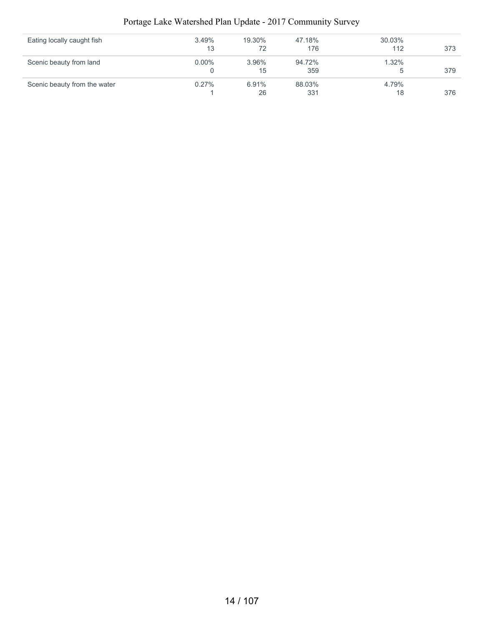| Eating locally caught fish   | 3.49%    | 19.30% | 47.18% | 30.03% |     |
|------------------------------|----------|--------|--------|--------|-----|
|                              | 13       | 72     | 176    | 112    | 373 |
| Scenic beauty from land      | $0.00\%$ | 3.96%  | 94.72% | 1.32%  |     |
|                              |          | 15     | 359    |        | 379 |
| Scenic beauty from the water | $0.27\%$ | 6.91%  | 88.03% | 4.79%  |     |
|                              |          | 26     | 331    | 18     | 376 |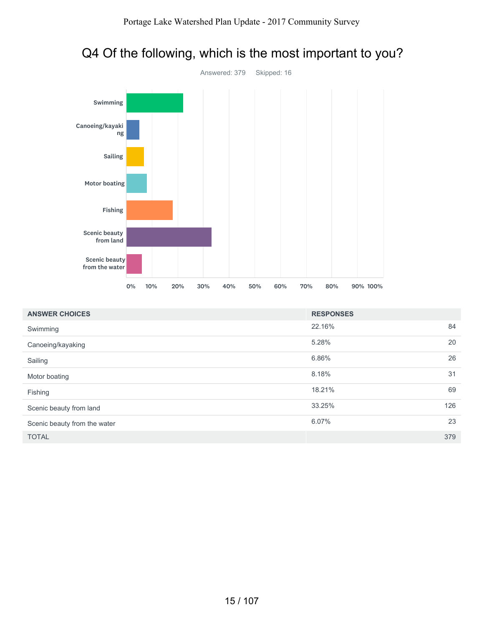

# Q4 Of the following, which is the most important to you?

| <b>ANSWER CHOICES</b>        | <b>RESPONSES</b> |     |
|------------------------------|------------------|-----|
| Swimming                     | 22.16%           | 84  |
| Canoeing/kayaking            | 5.28%            | 20  |
| Sailing                      | 6.86%            | 26  |
| Motor boating                | 8.18%            | 31  |
| Fishing                      | 18.21%           | 69  |
| Scenic beauty from land      | 33.25%           | 126 |
| Scenic beauty from the water | 6.07%            | 23  |
| <b>TOTAL</b>                 |                  | 379 |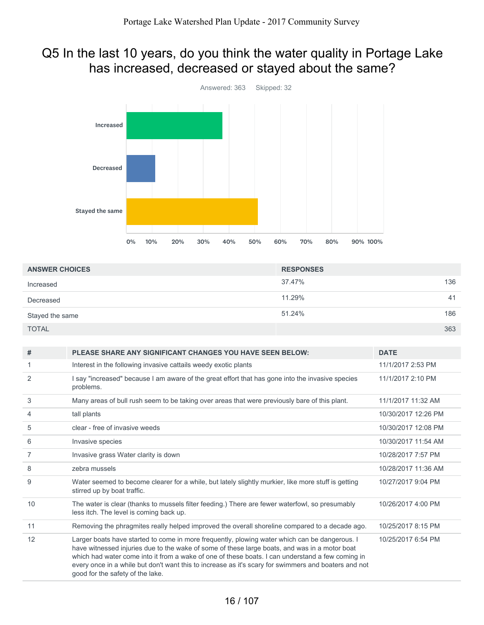## Q5 In the last 10 years, do you think the water quality in Portage Lake has increased, decreased or stayed about the same?



| <b>ANSWER CHOICES</b> | <b>RESPONSES</b> |  |
|-----------------------|------------------|--|
| Increased             | 136<br>37.47%    |  |
| Decreased             | 11.29%<br>41     |  |
| Stayed the same       | 51.24%<br>186    |  |
| <b>TOTAL</b>          | 363              |  |

| #              | <b>PLEASE SHARE ANY SIGNIFICANT CHANGES YOU HAVE SEEN BELOW:</b>                                                                                                                                                                                                                                                                                                                                                                               | <b>DATE</b>         |
|----------------|------------------------------------------------------------------------------------------------------------------------------------------------------------------------------------------------------------------------------------------------------------------------------------------------------------------------------------------------------------------------------------------------------------------------------------------------|---------------------|
| 1.             | Interest in the following invasive cattails weedy exotic plants                                                                                                                                                                                                                                                                                                                                                                                | 11/1/2017 2:53 PM   |
| 2              | I say "increased" because I am aware of the great effort that has gone into the invasive species<br>problems.                                                                                                                                                                                                                                                                                                                                  | 11/1/2017 2:10 PM   |
| 3              | Many areas of bull rush seem to be taking over areas that were previously bare of this plant.                                                                                                                                                                                                                                                                                                                                                  | 11/1/2017 11:32 AM  |
| 4              | tall plants                                                                                                                                                                                                                                                                                                                                                                                                                                    | 10/30/2017 12:26 PM |
| 5              | clear - free of invasive weeds                                                                                                                                                                                                                                                                                                                                                                                                                 | 10/30/2017 12:08 PM |
| 6              | Invasive species                                                                                                                                                                                                                                                                                                                                                                                                                               | 10/30/2017 11:54 AM |
| $\overline{7}$ | Invasive grass Water clarity is down                                                                                                                                                                                                                                                                                                                                                                                                           | 10/28/2017 7:57 PM  |
| 8              | zebra mussels                                                                                                                                                                                                                                                                                                                                                                                                                                  | 10/28/2017 11:36 AM |
| 9              | Water seemed to become clearer for a while, but lately slightly murkier, like more stuff is getting<br>stirred up by boat traffic.                                                                                                                                                                                                                                                                                                             | 10/27/2017 9:04 PM  |
| 10             | The water is clear (thanks to mussels filter feeding.) There are fewer waterfowl, so presumably<br>less itch. The level is coming back up.                                                                                                                                                                                                                                                                                                     | 10/26/2017 4:00 PM  |
| 11             | Removing the phragmites really helped improved the overall shoreline compared to a decade ago.                                                                                                                                                                                                                                                                                                                                                 | 10/25/2017 8:15 PM  |
| 12             | Larger boats have started to come in more frequently, plowing water which can be dangerous. I<br>have witnessed injuries due to the wake of some of these large boats, and was in a motor boat<br>which had water come into it from a wake of one of these boats. I can understand a few coming in<br>every once in a while but don't want this to increase as it's scary for swimmers and boaters and not<br>good for the safety of the lake. | 10/25/2017 6:54 PM  |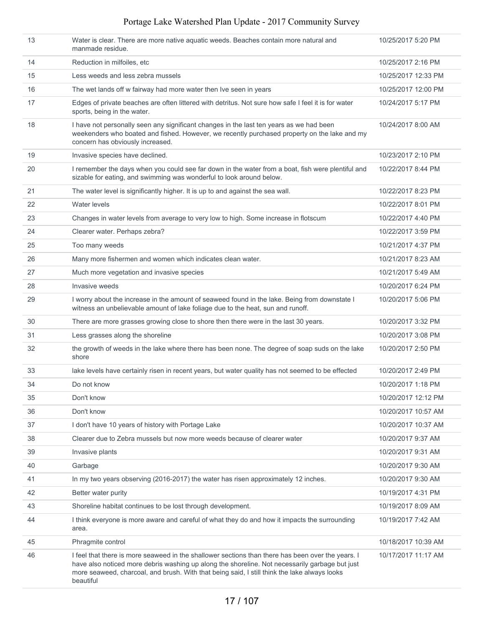| 13 | Water is clear. There are more native aquatic weeds. Beaches contain more natural and<br>manmade residue.                                                                                                                                                                                                        | 10/25/2017 5:20 PM  |
|----|------------------------------------------------------------------------------------------------------------------------------------------------------------------------------------------------------------------------------------------------------------------------------------------------------------------|---------------------|
| 14 | Reduction in milfoiles, etc                                                                                                                                                                                                                                                                                      | 10/25/2017 2:16 PM  |
| 15 | Less weeds and less zebra mussels                                                                                                                                                                                                                                                                                | 10/25/2017 12:33 PM |
| 16 | The wet lands off w fairway had more water then Ive seen in years                                                                                                                                                                                                                                                | 10/25/2017 12:00 PM |
| 17 | Edges of private beaches are often littered with detritus. Not sure how safe I feel it is for water<br>sports, being in the water.                                                                                                                                                                               | 10/24/2017 5:17 PM  |
| 18 | I have not personally seen any significant changes in the last ten years as we had been<br>weekenders who boated and fished. However, we recently purchased property on the lake and my<br>concern has obviously increased.                                                                                      | 10/24/2017 8:00 AM  |
| 19 | Invasive species have declined.                                                                                                                                                                                                                                                                                  | 10/23/2017 2:10 PM  |
| 20 | I remember the days when you could see far down in the water from a boat, fish were plentiful and<br>sizable for eating, and swimming was wonderful to look around below.                                                                                                                                        | 10/22/2017 8:44 PM  |
| 21 | The water level is significantly higher. It is up to and against the sea wall.                                                                                                                                                                                                                                   | 10/22/2017 8:23 PM  |
| 22 | Water levels                                                                                                                                                                                                                                                                                                     | 10/22/2017 8:01 PM  |
| 23 | Changes in water levels from average to very low to high. Some increase in flotscum                                                                                                                                                                                                                              | 10/22/2017 4:40 PM  |
| 24 | Clearer water. Perhaps zebra?                                                                                                                                                                                                                                                                                    | 10/22/2017 3:59 PM  |
| 25 | Too many weeds                                                                                                                                                                                                                                                                                                   | 10/21/2017 4:37 PM  |
| 26 | Many more fishermen and women which indicates clean water.                                                                                                                                                                                                                                                       | 10/21/2017 8:23 AM  |
| 27 | Much more vegetation and invasive species                                                                                                                                                                                                                                                                        | 10/21/2017 5:49 AM  |
| 28 | Invasive weeds                                                                                                                                                                                                                                                                                                   | 10/20/2017 6:24 PM  |
| 29 | I worry about the increase in the amount of seaweed found in the lake. Being from downstate I<br>witness an unbelievable amount of lake foliage due to the heat, sun and runoff.                                                                                                                                 | 10/20/2017 5:06 PM  |
| 30 | There are more grasses growing close to shore then there were in the last 30 years.                                                                                                                                                                                                                              | 10/20/2017 3:32 PM  |
| 31 | Less grasses along the shoreline                                                                                                                                                                                                                                                                                 | 10/20/2017 3:08 PM  |
| 32 | the growth of weeds in the lake where there has been none. The degree of soap suds on the lake<br>shore                                                                                                                                                                                                          | 10/20/2017 2:50 PM  |
| 33 | lake levels have certainly risen in recent years, but water quality has not seemed to be effected                                                                                                                                                                                                                | 10/20/2017 2:49 PM  |
| 34 | Do not know                                                                                                                                                                                                                                                                                                      | 10/20/2017 1:18 PM  |
| 35 | Don't know                                                                                                                                                                                                                                                                                                       | 10/20/2017 12:12 PM |
| 36 | Don't know                                                                                                                                                                                                                                                                                                       | 10/20/2017 10:57 AM |
| 37 | I don't have 10 years of history with Portage Lake                                                                                                                                                                                                                                                               | 10/20/2017 10:37 AM |
| 38 | Clearer due to Zebra mussels but now more weeds because of clearer water                                                                                                                                                                                                                                         | 10/20/2017 9:37 AM  |
| 39 | Invasive plants                                                                                                                                                                                                                                                                                                  | 10/20/2017 9:31 AM  |
| 40 | Garbage                                                                                                                                                                                                                                                                                                          | 10/20/2017 9:30 AM  |
| 41 | In my two years observing (2016-2017) the water has risen approximately 12 inches.                                                                                                                                                                                                                               | 10/20/2017 9:30 AM  |
| 42 | Better water purity                                                                                                                                                                                                                                                                                              | 10/19/2017 4:31 PM  |
| 43 | Shoreline habitat continues to be lost through development.                                                                                                                                                                                                                                                      | 10/19/2017 8:09 AM  |
| 44 | I think everyone is more aware and careful of what they do and how it impacts the surrounding<br>area.                                                                                                                                                                                                           | 10/19/2017 7:42 AM  |
| 45 | Phragmite control                                                                                                                                                                                                                                                                                                | 10/18/2017 10:39 AM |
| 46 | I feel that there is more seaweed in the shallower sections than there has been over the years. I<br>have also noticed more debris washing up along the shoreline. Not necessarily garbage but just<br>more seaweed, charcoal, and brush. With that being said, I still think the lake always looks<br>beautiful | 10/17/2017 11:17 AM |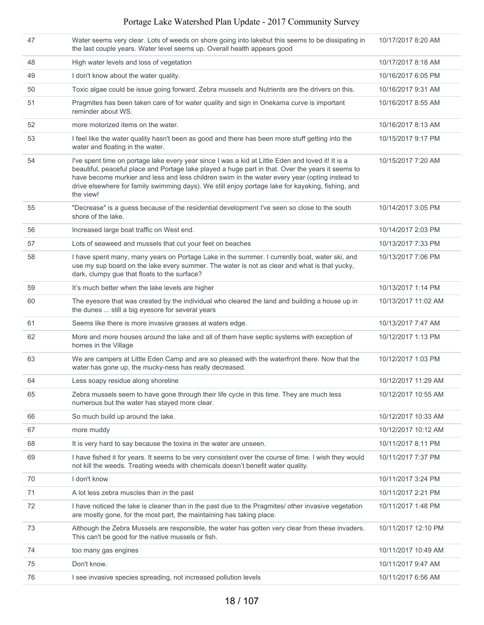| 47 | Water seems very clear. Lots of weeds on shore going into lakebut this seems to be dissipating in<br>the last couple years. Water level seems up. Overall health appears good                                                                                                                                                                                                                                              | 10/17/2017 8:20 AM  |
|----|----------------------------------------------------------------------------------------------------------------------------------------------------------------------------------------------------------------------------------------------------------------------------------------------------------------------------------------------------------------------------------------------------------------------------|---------------------|
| 48 | High water levels and loss of vegetation                                                                                                                                                                                                                                                                                                                                                                                   | 10/17/2017 8:18 AM  |
| 49 | I don't know about the water quality.                                                                                                                                                                                                                                                                                                                                                                                      | 10/16/2017 6:05 PM  |
| 50 | Toxic algae could be issue going forward. Zebra mussels and Nutrients are the drivers on this.                                                                                                                                                                                                                                                                                                                             | 10/16/2017 9:31 AM  |
| 51 | Pragmites has been taken care of for water quality and sign in Onekama curve is important<br>reminder about WS.                                                                                                                                                                                                                                                                                                            | 10/16/2017 8:55 AM  |
| 52 | more motorized items on the water.                                                                                                                                                                                                                                                                                                                                                                                         | 10/16/2017 8:13 AM  |
| 53 | I feel like the water quality hasn't been as good and there has been more stuff getting into the<br>water and floating in the water.                                                                                                                                                                                                                                                                                       | 10/15/2017 9:17 PM  |
| 54 | I've spent time on portage lake every year since I was a kid at Little Eden and loved it! It is a<br>beautiful, peaceful place and Portage lake played a huge part in that. Over the years it seems to<br>have become murkier and less and less children swim in the water every year (opting instead to<br>drive elsewhere for family swimming days). We still enjoy portage lake for kayaking, fishing, and<br>the view! | 10/15/2017 7:20 AM  |
| 55 | "Decrease" is a guess because of the residential development I've seen so close to the south<br>shore of the lake.                                                                                                                                                                                                                                                                                                         | 10/14/2017 3:05 PM  |
| 56 | Increased large boat traffic on West end.                                                                                                                                                                                                                                                                                                                                                                                  | 10/14/2017 2:03 PM  |
| 57 | Lots of seaweed and mussels that cut your feet on beaches                                                                                                                                                                                                                                                                                                                                                                  | 10/13/2017 7:33 PM  |
| 58 | I have spent many, many years on Portage Lake in the summer. I currently boat, water ski, and<br>use my sup board on the lake every summer. The water is not as clear and what is that yucky,<br>dark, clumpy gue that floats to the surface?                                                                                                                                                                              | 10/13/2017 7:06 PM  |
| 59 | It's much better when the lake levels are higher                                                                                                                                                                                                                                                                                                                                                                           | 10/13/2017 1:14 PM  |
| 60 | The eyesore that was created by the individual who cleared the land and building a house up in<br>the dunes  still a big eyesore for several years                                                                                                                                                                                                                                                                         | 10/13/2017 11:02 AM |
| 61 | Seems like there is more invasive grasses at waters edge.                                                                                                                                                                                                                                                                                                                                                                  | 10/13/2017 7:47 AM  |
| 62 | More and more houses around the lake and all of them have septic systems with exception of<br>homes in the Village                                                                                                                                                                                                                                                                                                         | 10/12/2017 1:13 PM  |
| 63 | We are campers at Little Eden Camp and are so pleased with the waterfront there. Now that the<br>water has gone up, the mucky-ness has really decreased.                                                                                                                                                                                                                                                                   | 10/12/2017 1:03 PM  |
| 64 | Less soapy residue along shoreline                                                                                                                                                                                                                                                                                                                                                                                         | 10/12/2017 11:29 AM |
| 65 | Zebra mussels seem to have gone through their life cycle in this time. They are much less<br>numerous but the water has stayed more clear.                                                                                                                                                                                                                                                                                 | 10/12/2017 10:55 AM |
| 66 | So much build up around the lake.                                                                                                                                                                                                                                                                                                                                                                                          | 10/12/2017 10:33 AM |
| 67 | more muddy                                                                                                                                                                                                                                                                                                                                                                                                                 | 10/12/2017 10:12 AM |
| 68 | It is very hard to say because the toxins in the water are unseen.                                                                                                                                                                                                                                                                                                                                                         | 10/11/2017 8:11 PM  |
| 69 | I have fished it for years. It seems to be very consistent over the course of time. I wish they would<br>not kill the weeds. Treating weeds with chemicals doesn't benefit water quality.                                                                                                                                                                                                                                  | 10/11/2017 7:37 PM  |
| 70 | I don't know                                                                                                                                                                                                                                                                                                                                                                                                               | 10/11/2017 3:24 PM  |
| 71 | A lot less zebra muscles than in the past                                                                                                                                                                                                                                                                                                                                                                                  | 10/11/2017 2:21 PM  |
| 72 | I have noticed the lake is cleaner than in the past due to the Pragmites/ other invasive vegetation<br>are mostly gone, for the most part, the maintaining has taking place.                                                                                                                                                                                                                                               | 10/11/2017 1:48 PM  |
| 73 | Although the Zebra Mussels are responsible, the water has gotten very clear from these invaders.<br>This can't be good for the native mussels or fish.                                                                                                                                                                                                                                                                     | 10/11/2017 12:10 PM |
| 74 | too many gas engines                                                                                                                                                                                                                                                                                                                                                                                                       | 10/11/2017 10:49 AM |
| 75 | Don't know.                                                                                                                                                                                                                                                                                                                                                                                                                | 10/11/2017 9:47 AM  |
| 76 | I see invasive species spreading, not increased pollution levels                                                                                                                                                                                                                                                                                                                                                           | 10/11/2017 6:56 AM  |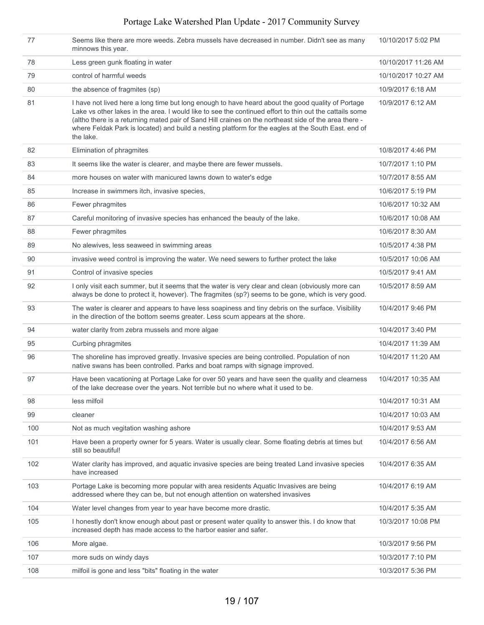| 77  | Seems like there are more weeds. Zebra mussels have decreased in number. Didn't see as many<br>minnows this year.                                                                                                                                                                                                                                                                                                                         | 10/10/2017 5:02 PM  |
|-----|-------------------------------------------------------------------------------------------------------------------------------------------------------------------------------------------------------------------------------------------------------------------------------------------------------------------------------------------------------------------------------------------------------------------------------------------|---------------------|
| 78  | Less green gunk floating in water                                                                                                                                                                                                                                                                                                                                                                                                         | 10/10/2017 11:26 AM |
| 79  | control of harmful weeds                                                                                                                                                                                                                                                                                                                                                                                                                  | 10/10/2017 10:27 AM |
| 80  | the absence of fragmites (sp)                                                                                                                                                                                                                                                                                                                                                                                                             | 10/9/2017 6:18 AM   |
| 81  | I have not lived here a long time but long enough to have heard about the good quality of Portage<br>Lake vs other lakes in the area. I would like to see the continued effort to thin out the cattails some<br>(altho there is a returning mated pair of Sand Hill craines on the northeast side of the area there -<br>where Feldak Park is located) and build a nesting platform for the eagles at the South East. end of<br>the lake. | 10/9/2017 6:12 AM   |
| 82  | Elimination of phragmites                                                                                                                                                                                                                                                                                                                                                                                                                 | 10/8/2017 4:46 PM   |
| 83  | It seems like the water is clearer, and maybe there are fewer mussels.                                                                                                                                                                                                                                                                                                                                                                    | 10/7/2017 1:10 PM   |
| 84  | more houses on water with manicured lawns down to water's edge                                                                                                                                                                                                                                                                                                                                                                            | 10/7/2017 8:55 AM   |
| 85  | Increase in swimmers itch, invasive species,                                                                                                                                                                                                                                                                                                                                                                                              | 10/6/2017 5:19 PM   |
| 86  | Fewer phragmites                                                                                                                                                                                                                                                                                                                                                                                                                          | 10/6/2017 10:32 AM  |
| 87  | Careful monitoring of invasive species has enhanced the beauty of the lake.                                                                                                                                                                                                                                                                                                                                                               | 10/6/2017 10:08 AM  |
| 88  | Fewer phragmites                                                                                                                                                                                                                                                                                                                                                                                                                          | 10/6/2017 8:30 AM   |
| 89  | No alewives, less seaweed in swimming areas                                                                                                                                                                                                                                                                                                                                                                                               | 10/5/2017 4:38 PM   |
| 90  | invasive weed control is improving the water. We need sewers to further protect the lake                                                                                                                                                                                                                                                                                                                                                  | 10/5/2017 10:06 AM  |
| 91  | Control of invasive species                                                                                                                                                                                                                                                                                                                                                                                                               | 10/5/2017 9:41 AM   |
| 92  | I only visit each summer, but it seems that the water is very clear and clean (obviously more can<br>always be done to protect it, however). The fragmites (sp?) seems to be gone, which is very good.                                                                                                                                                                                                                                    | 10/5/2017 8:59 AM   |
| 93  | The water is clearer and appears to have less soapiness and tiny debris on the surface. Visibility<br>in the direction of the bottom seems greater. Less scum appears at the shore.                                                                                                                                                                                                                                                       | 10/4/2017 9:46 PM   |
| 94  | water clarity from zebra mussels and more algae                                                                                                                                                                                                                                                                                                                                                                                           | 10/4/2017 3:40 PM   |
| 95  | Curbing phragmites                                                                                                                                                                                                                                                                                                                                                                                                                        | 10/4/2017 11:39 AM  |
| 96  | The shoreline has improved greatly. Invasive species are being controlled. Population of non<br>native swans has been controlled. Parks and boat ramps with signage improved.                                                                                                                                                                                                                                                             | 10/4/2017 11:20 AM  |
| 97  | Have been vacationing at Portage Lake for over 50 years and have seen the quality and clearness<br>of the lake decrease over the years. Not terrible but no where what it used to be.                                                                                                                                                                                                                                                     | 10/4/2017 10:35 AM  |
| 98  | less milfoil                                                                                                                                                                                                                                                                                                                                                                                                                              | 10/4/2017 10:31 AM  |
| 99  | cleaner                                                                                                                                                                                                                                                                                                                                                                                                                                   | 10/4/2017 10:03 AM  |
| 100 | Not as much vegitation washing ashore                                                                                                                                                                                                                                                                                                                                                                                                     | 10/4/2017 9:53 AM   |
| 101 | Have been a property owner for 5 years. Water is usually clear. Some floating debris at times but<br>still so beautiful!                                                                                                                                                                                                                                                                                                                  | 10/4/2017 6:56 AM   |
| 102 | Water clarity has improved, and aquatic invasive species are being treated Land invasive species<br>have increased                                                                                                                                                                                                                                                                                                                        | 10/4/2017 6:35 AM   |
| 103 | Portage Lake is becoming more popular with area residents Aquatic Invasives are being<br>addressed where they can be, but not enough attention on watershed invasives                                                                                                                                                                                                                                                                     | 10/4/2017 6:19 AM   |
| 104 | Water level changes from year to year have become more drastic.                                                                                                                                                                                                                                                                                                                                                                           | 10/4/2017 5:35 AM   |
| 105 | I honestly don't know enough about past or present water quality to answer this. I do know that<br>increased depth has made access to the harbor easier and safer.                                                                                                                                                                                                                                                                        | 10/3/2017 10:08 PM  |
| 106 | More algae.                                                                                                                                                                                                                                                                                                                                                                                                                               | 10/3/2017 9:56 PM   |
| 107 | more suds on windy days                                                                                                                                                                                                                                                                                                                                                                                                                   | 10/3/2017 7:10 PM   |
| 108 | milfoil is gone and less "bits" floating in the water                                                                                                                                                                                                                                                                                                                                                                                     | 10/3/2017 5:36 PM   |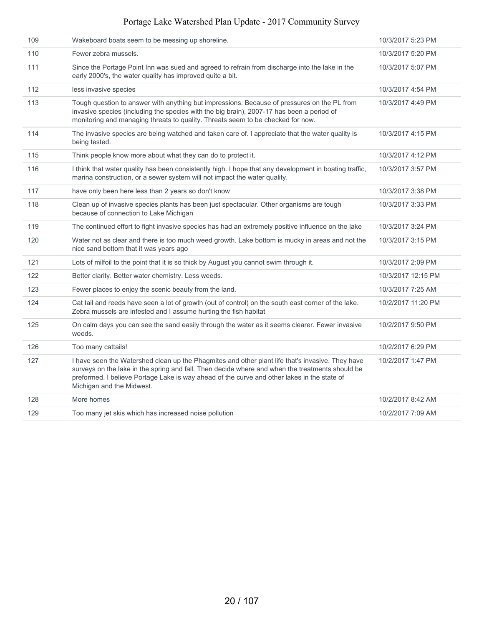| 109 | Wakeboard boats seem to be messing up shoreline.                                                                                                                                                                                                                                                                                | 10/3/2017 5:23 PM  |
|-----|---------------------------------------------------------------------------------------------------------------------------------------------------------------------------------------------------------------------------------------------------------------------------------------------------------------------------------|--------------------|
| 110 | Fewer zebra mussels.                                                                                                                                                                                                                                                                                                            | 10/3/2017 5:20 PM  |
| 111 | Since the Portage Point Inn was sued and agreed to refrain from discharge into the lake in the<br>early 2000's, the water quality has improved quite a bit.                                                                                                                                                                     | 10/3/2017 5:07 PM  |
| 112 | less invasive species                                                                                                                                                                                                                                                                                                           | 10/3/2017 4:54 PM  |
| 113 | Tough question to answer with anything but impressions. Because of pressures on the PL from<br>invasive species (including the species with the big brain), 2007-17 has been a period of<br>monitoring and managing threats to quality. Threats seem to be checked for now.                                                     | 10/3/2017 4:49 PM  |
| 114 | The invasive species are being watched and taken care of. I appreciate that the water quality is<br>being tested.                                                                                                                                                                                                               | 10/3/2017 4:15 PM  |
| 115 | Think people know more about what they can do to protect it.                                                                                                                                                                                                                                                                    | 10/3/2017 4:12 PM  |
| 116 | I think that water quality has been consistently high. I hope that any development in boating traffic,<br>marina construction, or a sewer system will not impact the water quality.                                                                                                                                             | 10/3/2017 3:57 PM  |
| 117 | have only been here less than 2 years so don't know                                                                                                                                                                                                                                                                             | 10/3/2017 3:38 PM  |
| 118 | Clean up of invasive species plants has been just spectacular. Other organisms are tough<br>because of connection to Lake Michigan                                                                                                                                                                                              | 10/3/2017 3:33 PM  |
| 119 | The continued effort to fight invasive species has had an extremely positive influence on the lake                                                                                                                                                                                                                              | 10/3/2017 3:24 PM  |
| 120 | Water not as clear and there is too much weed growth. Lake bottom is mucky in areas and not the<br>nice sand bottom that it was years ago                                                                                                                                                                                       | 10/3/2017 3:15 PM  |
| 121 | Lots of milfoil to the point that it is so thick by August you cannot swim through it.                                                                                                                                                                                                                                          | 10/3/2017 2:09 PM  |
| 122 | Better clarity. Better water chemistry. Less weeds.                                                                                                                                                                                                                                                                             | 10/3/2017 12:15 PM |
| 123 | Fewer places to enjoy the scenic beauty from the land.                                                                                                                                                                                                                                                                          | 10/3/2017 7:25 AM  |
| 124 | Cat tail and reeds have seen a lot of growth (out of control) on the south east corner of the lake.<br>Zebra mussels are infested and I assume hurting the fish habitat                                                                                                                                                         | 10/2/2017 11:20 PM |
| 125 | On calm days you can see the sand easily through the water as it seems clearer. Fewer invasive<br>weeds.                                                                                                                                                                                                                        | 10/2/2017 9:50 PM  |
| 126 | Too many cattails!                                                                                                                                                                                                                                                                                                              | 10/2/2017 6:29 PM  |
| 127 | I have seen the Watershed clean up the Phagmites and other plant life that's invasive. They have<br>surveys on the lake in the spring and fall. Then decide where and when the treatments should be<br>preformed. I believe Portage Lake is way ahead of the curve and other lakes in the state of<br>Michigan and the Midwest. | 10/2/2017 1:47 PM  |
| 128 | More homes                                                                                                                                                                                                                                                                                                                      | 10/2/2017 8:42 AM  |
| 129 | Too many jet skis which has increased noise pollution                                                                                                                                                                                                                                                                           | 10/2/2017 7:09 AM  |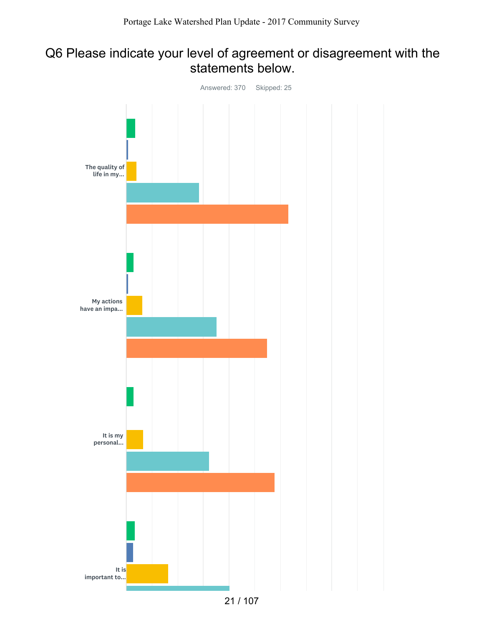## Q6 Please indicate your level of agreement or disagreement with the statements below.

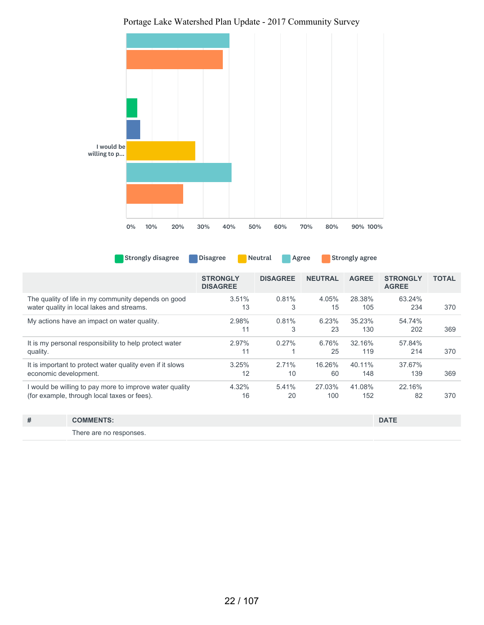

Strongly disagree Disagree Neutral Agree Strongly agree

| <b>STRONGLY</b><br><b>DISAGREE</b> | <b>DISAGREE</b> | <b>NEUTRAL</b> | <b>AGREE</b> | <b>STRONGLY</b><br><b>AGREE</b> | <b>TOTAL</b> |
|------------------------------------|-----------------|----------------|--------------|---------------------------------|--------------|
| 3.51%                              | 0.81%           | 4.05%          | 28.38%       | 63.24%                          | 370          |
|                                    |                 |                |              |                                 |              |
| 2.98%                              | 0.81%           | 6.23%          | 35.23%       | 54.74%                          |              |
| 11                                 | 3               | 23             | 130          | 202                             | 369          |
| 2.97%                              | 0.27%           | 6.76%          | 32.16%       | 57.84%                          |              |
| 11                                 |                 | 25             | 119          | 214                             | 370          |
| 3.25%                              | 2.71%           | 16.26%         | 40.11%       | 37.67%                          |              |
| 12                                 | 10              | 60             | 148          | 139                             | 369          |
| 4.32%                              | 5.41%           | 27.03%         | 41.08%       | 22.16%                          |              |
| 16                                 | 20              | 100            | 152          | 82                              | 370          |
|                                    | 13              | 3              | 15           | 105                             | 234          |

| # | <b>COMMENTS:</b>        | <b>DATE</b> |
|---|-------------------------|-------------|
|   | There are no responses. |             |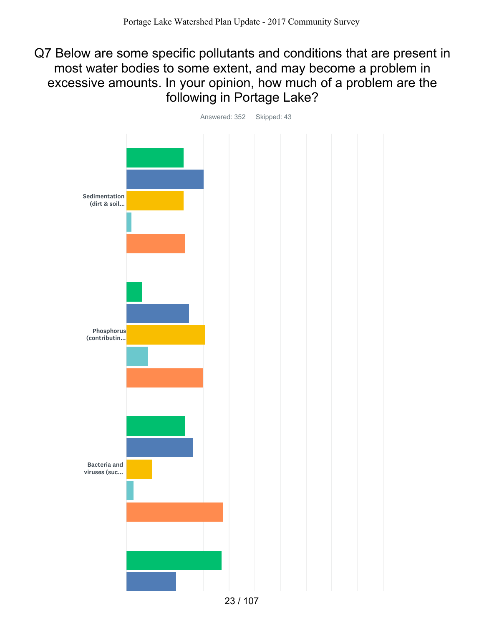Q7 Below are some specific pollutants and conditions that are present in most water bodies to some extent, and may become a problem in excessive amounts. In your opinion, how much of a problem are the following in Portage Lake?

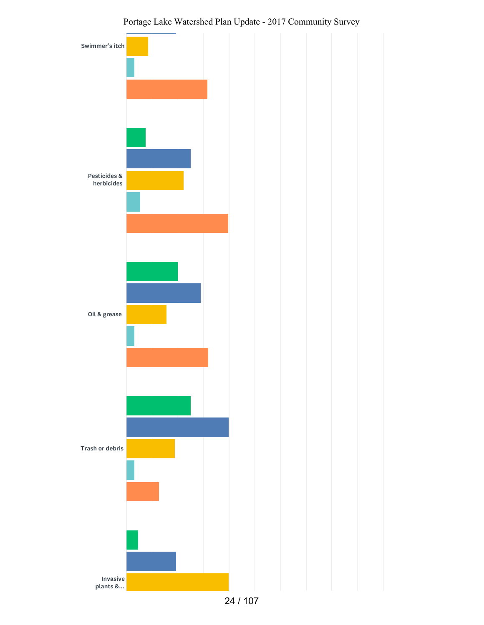

24 / 107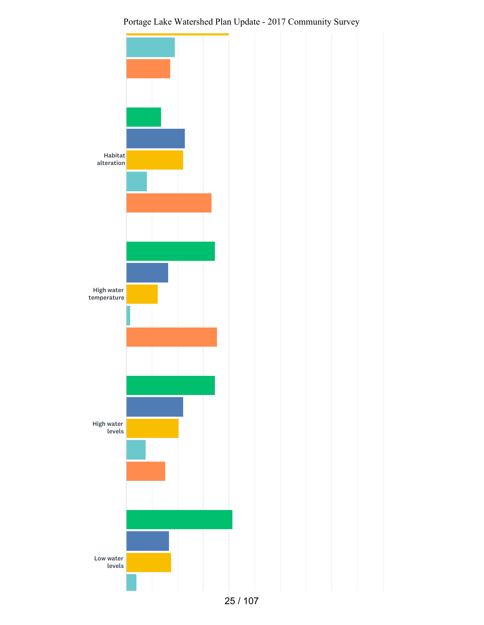

Portage Lake Watershed Plan Update - 2017 Community Survey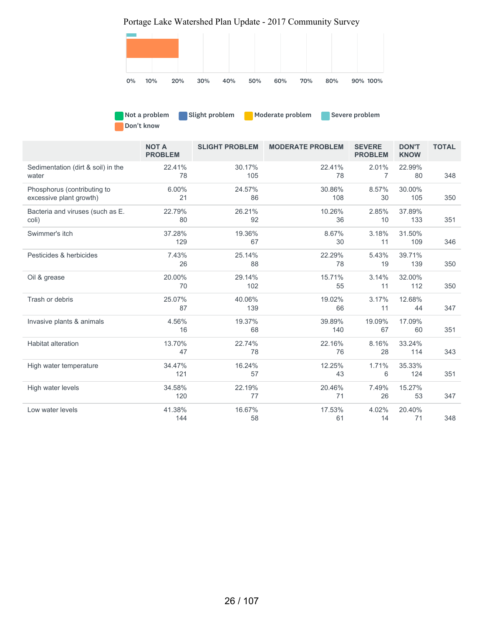Portage Lake Watershed Plan Update - 2017 Community Survey



| Not a problem | Slight problem | <b>Moderate problem</b> | Severe problem |
|---------------|----------------|-------------------------|----------------|
| Don't know    |                |                         |                |

|                                                        | <b>NOT A</b><br><b>PROBLEM</b> | <b>SLIGHT PROBLEM</b> | <b>MODERATE PROBLEM</b> | <b>SEVERE</b><br><b>PROBLEM</b> | <b>DON'T</b><br><b>KNOW</b> | <b>TOTAL</b> |
|--------------------------------------------------------|--------------------------------|-----------------------|-------------------------|---------------------------------|-----------------------------|--------------|
| Sedimentation (dirt & soil) in the<br>water            | 22.41%<br>78                   | 30.17%<br>105         | 22.41%<br>78            | 2.01%<br>$\overline{7}$         | 22.99%<br>80                | 348          |
| Phosphorus (contributing to<br>excessive plant growth) | 6.00%<br>21                    | 24.57%<br>86          | 30.86%<br>108           | 8.57%<br>30                     | 30.00%<br>105               | 350          |
| Bacteria and viruses (such as E.<br>coli)              | 22.79%<br>80                   | 26.21%<br>92          | 10.26%<br>36            | 2.85%<br>10                     | 37.89%<br>133               | 351          |
| Swimmer's itch                                         | 37.28%<br>129                  | 19.36%<br>67          | 8.67%<br>30             | 3.18%<br>11                     | 31.50%<br>109               | 346          |
| Pesticides & herbicides                                | 7.43%<br>26                    | 25.14%<br>88          | 22.29%<br>78            | 5.43%<br>19                     | 39.71%<br>139               | 350          |
| Oil & grease                                           | 20.00%<br>70                   | 29.14%<br>102         | 15.71%<br>55            | 3.14%<br>11                     | 32.00%<br>112               | 350          |
| Trash or debris                                        | 25.07%<br>87                   | 40.06%<br>139         | 19.02%<br>66            | 3.17%<br>11                     | 12.68%<br>44                | 347          |
| Invasive plants & animals                              | 4.56%<br>16                    | 19.37%<br>68          | 39.89%<br>140           | 19.09%<br>67                    | 17.09%<br>60                | 351          |
| <b>Habitat alteration</b>                              | 13.70%<br>47                   | 22.74%<br>78          | 22.16%<br>76            | 8.16%<br>28                     | 33.24%<br>114               | 343          |
| High water temperature                                 | 34.47%<br>121                  | 16.24%<br>57          | 12.25%<br>43            | 1.71%<br>6                      | 35.33%<br>124               | 351          |
| High water levels                                      | 34.58%<br>120                  | 22.19%<br>77          | 20.46%<br>71            | 7.49%<br>26                     | 15.27%<br>53                | 347          |
| Low water levels                                       | 41.38%<br>144                  | 16.67%<br>58          | 17.53%<br>61            | 4.02%<br>14                     | 20.40%<br>71                | 348          |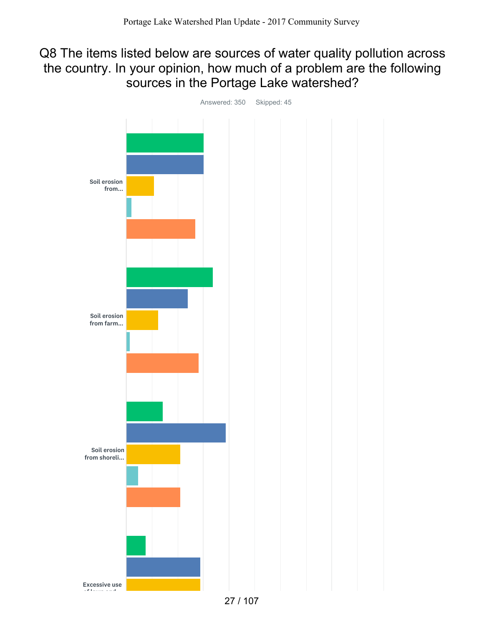## Q8 The items listed below are sources of water quality pollution across the country. In your opinion, how much of a problem are the following sources in the Portage Lake watershed?



Answered: 350 Skipped: 45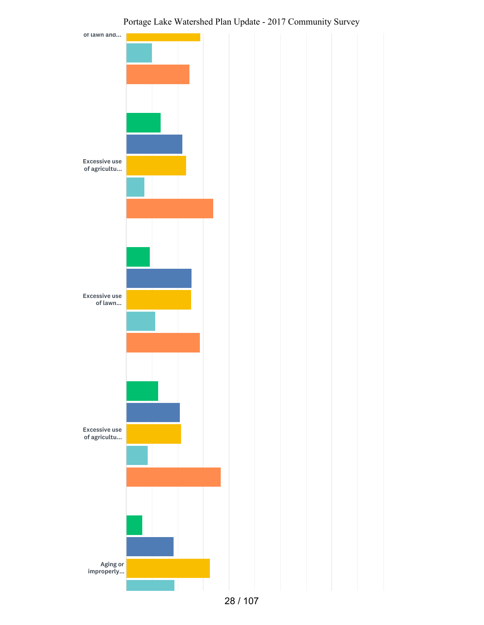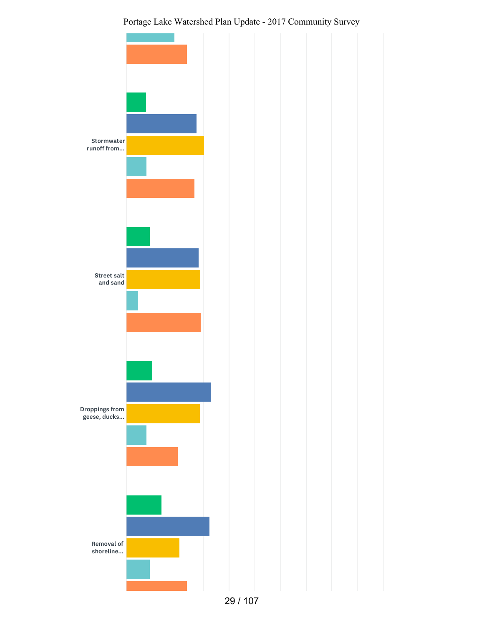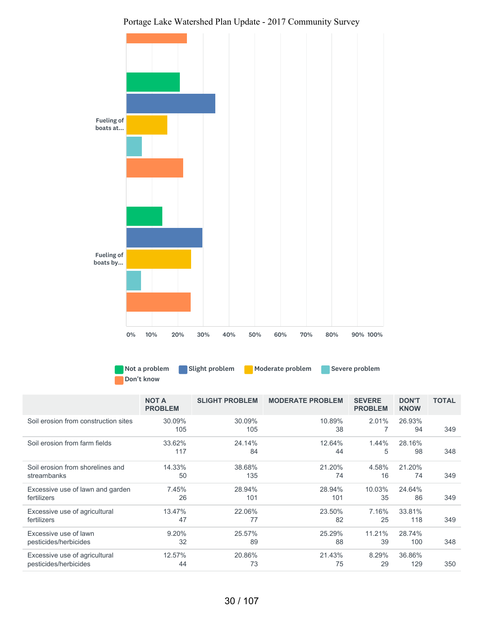

Not a problem Slight problem Moderate problem Severe problem Don't know

|                                      | <b>NOT A</b><br><b>PROBLEM</b> | <b>SLIGHT PROBLEM</b> | <b>MODERATE PROBLEM</b> | <b>SEVERE</b><br><b>PROBLEM</b> | <b>DON'T</b><br><b>KNOW</b> | <b>TOTAL</b> |
|--------------------------------------|--------------------------------|-----------------------|-------------------------|---------------------------------|-----------------------------|--------------|
| Soil erosion from construction sites | 30.09%<br>105                  | 30.09%<br>105         | 10.89%<br>38            | 2.01%                           | 26.93%<br>94                | 349          |
| Soil erosion from farm fields        | 33.62%<br>117                  | 24.14%<br>84          | 12.64%<br>44            | 1.44%<br>5                      | 28.16%<br>98                | 348          |
| Soil erosion from shorelines and     | 14.33%                         | 38.68%                | 21.20%                  | 4.58%                           | 21.20%                      | 349          |
| streambanks                          | 50                             | 135                   | 74                      | 16                              | 74                          |              |
| Excessive use of lawn and garden     | 7.45%                          | 28.94%                | 28.94%                  | 10.03%                          | 24.64%                      | 349          |
| fertilizers                          | 26                             | 101                   | 101                     | 35                              | 86                          |              |
| Excessive use of agricultural        | 13.47%                         | 22.06%                | 23.50%                  | 7.16%                           | 33.81%                      | 349          |
| fertilizers                          | 47                             | 77                    | 82                      | 25                              | 118                         |              |
| Excessive use of lawn                | 9.20%                          | 25.57%                | 25.29%                  | 11.21%                          | 28.74%                      | 348          |
| pesticides/herbicides                | 32                             | 89                    | 88                      | 39                              | 100                         |              |
| Excessive use of agricultural        | 12.57%                         | 20.86%                | 21.43%                  | 8.29%                           | 36.86%                      | 350          |
| pesticides/herbicides                | 44                             | 73                    | 75                      | 29                              | 129                         |              |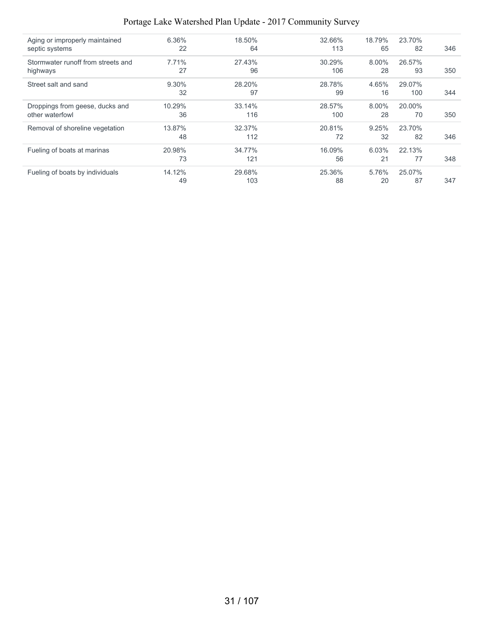| Aging or improperly maintained     | 6.36%    | 18.50% | 32.66% | 18.79%   | 23.70% |     |
|------------------------------------|----------|--------|--------|----------|--------|-----|
| septic systems                     | 22       | 64     | 113    | 65       | 82     | 346 |
| Stormwater runoff from streets and | 7.71%    | 27.43% | 30.29% | 8.00%    | 26.57% |     |
| highways                           | 27       | 96     | 106    | 28       | 93     | 350 |
| Street salt and sand               | $9.30\%$ | 28.20% | 28.78% | 4.65%    | 29.07% |     |
|                                    | 32       | 97     | 99     | 16       | 100    | 344 |
| Droppings from geese, ducks and    | 10.29%   | 33.14% | 28.57% | $8.00\%$ | 20.00% |     |
| other waterfowl                    | 36       | 116    | 100    | 28       | 70     | 350 |
| Removal of shoreline vegetation    | 13.87%   | 32.37% | 20.81% | 9.25%    | 23.70% |     |
|                                    | 48       | 112    | 72     | 32       | 82     | 346 |
| Fueling of boats at marinas        | 20.98%   | 34.77% | 16.09% | $6.03\%$ | 22.13% |     |
|                                    | 73       | 121    | 56     | 21       | 77     | 348 |
| Fueling of boats by individuals    | 14.12%   | 29.68% | 25.36% | 5.76%    | 25.07% |     |
|                                    | 49       | 103    | 88     | 20       | 87     | 347 |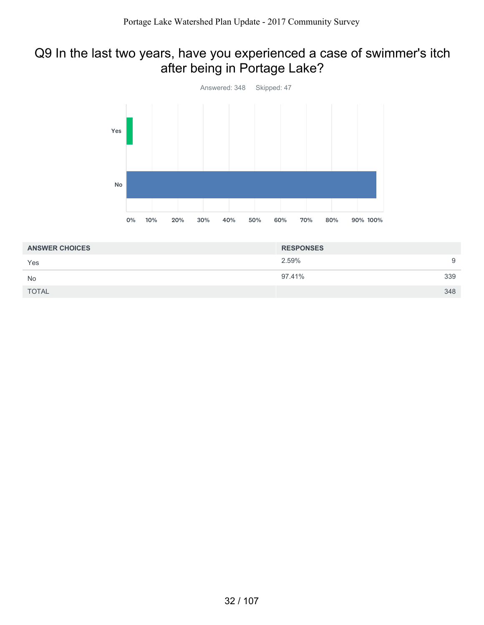## Q9 In the last two years, have you experienced a case of swimmer's itch after being in Portage Lake?



| <b>ANSWER CHOICES</b> | <b>RESPONSES</b> |     |
|-----------------------|------------------|-----|
| Yes                   | 2.59%            | 9   |
| <b>No</b>             | 97.41%           | 339 |
| <b>TOTAL</b>          |                  | 348 |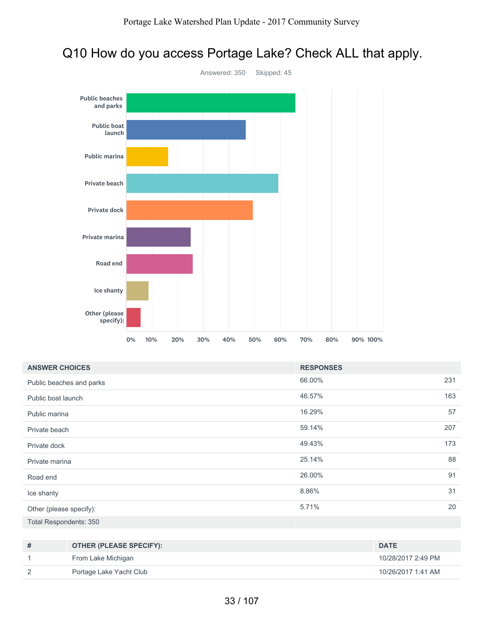# Q10 How do you access Portage Lake? Check ALL that apply.



| <b>ANSWER CHOICES</b>    | <b>RESPONSES</b> |     |
|--------------------------|------------------|-----|
| Public beaches and parks | 66.00%           | 231 |
| Public boat launch       | 46.57%           | 163 |
| Public marina            | 16.29%           | 57  |
| Private beach            | 59.14%           | 207 |
| Private dock             | 49.43%           | 173 |
| Private marina           | 25.14%           | 88  |
| Road end                 | 26.00%           | 91  |
| Ice shanty               | 8.86%            | 31  |
| Other (please specify):  | 5.71%            | 20  |
| Total Respondents: 350   |                  |     |

| # | OTHER (PLEASE SPECIFY): | <b>DATE</b>        |
|---|-------------------------|--------------------|
|   | From Lake Michigan      | 10/28/2017 2:49 PM |
|   | Portage Lake Yacht Club | 10/26/2017 1:41 AM |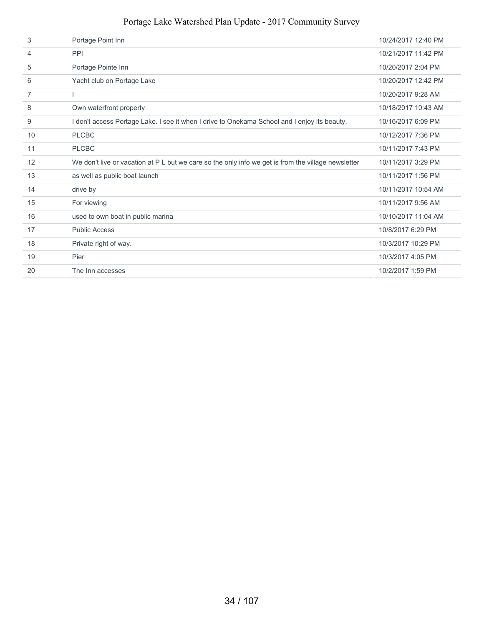| 3              | Portage Point Inn                                                                                   | 10/24/2017 12:40 PM |
|----------------|-----------------------------------------------------------------------------------------------------|---------------------|
| 4              | <b>PPI</b>                                                                                          | 10/21/2017 11:42 PM |
| 5              | Portage Pointe Inn                                                                                  | 10/20/2017 2:04 PM  |
| 6              | Yacht club on Portage Lake                                                                          | 10/20/2017 12:42 PM |
| $\overline{7}$ |                                                                                                     | 10/20/2017 9:28 AM  |
| 8              | Own waterfront property                                                                             | 10/18/2017 10:43 AM |
| 9              | I don't access Portage Lake. I see it when I drive to Onekama School and I enjoy its beauty.        | 10/16/2017 6:09 PM  |
| 10             | <b>PLCBC</b>                                                                                        | 10/12/2017 7:36 PM  |
| 11             | <b>PLCBC</b>                                                                                        | 10/11/2017 7:43 PM  |
| 12             | We don't live or vacation at P L but we care so the only info we get is from the village newsletter | 10/11/2017 3:29 PM  |
| 13             | as well as public boat launch                                                                       | 10/11/2017 1:56 PM  |
| 14             | drive by                                                                                            | 10/11/2017 10:54 AM |
| 15             | For viewing                                                                                         | 10/11/2017 9:56 AM  |
| 16             | used to own boat in public marina                                                                   | 10/10/2017 11:04 AM |
| 17             | <b>Public Access</b>                                                                                | 10/8/2017 6:29 PM   |
| 18             | Private right of way.                                                                               | 10/3/2017 10:29 PM  |
| 19             | Pier                                                                                                | 10/3/2017 4:05 PM   |
| 20             | The Inn accesses                                                                                    | 10/2/2017 1:59 PM   |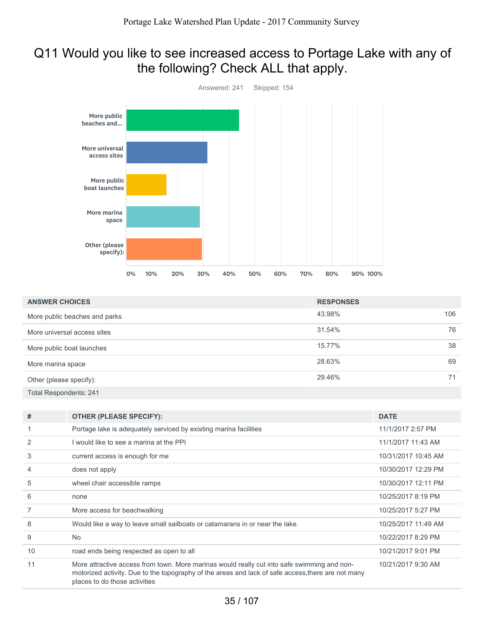## Q11 Would you like to see increased access to Portage Lake with any of the following? Check ALL that apply.



| <b>ANSWER CHOICES</b>         | <b>RESPONSES</b> |     |
|-------------------------------|------------------|-----|
| More public beaches and parks | 43.98%           | 106 |
| More universal access sites   | 31.54%           | 76  |
| More public boat launches     | 15.77%           | 38  |
| More marina space             | 28.63%           | 69  |
| Other (please specify):       | 29.46%           | 71  |
| <b>Total Respondents: 241</b> |                  |     |

| #  | <b>OTHER (PLEASE SPECIFY):</b>                                                                                                                                                                                                     | <b>DATE</b>         |
|----|------------------------------------------------------------------------------------------------------------------------------------------------------------------------------------------------------------------------------------|---------------------|
|    | Portage lake is adequately serviced by existing marina facilities                                                                                                                                                                  | 11/1/2017 2:57 PM   |
| 2  | I would like to see a marina at the PPI                                                                                                                                                                                            | 11/1/2017 11:43 AM  |
| 3  | current access is enough for me                                                                                                                                                                                                    | 10/31/2017 10:45 AM |
| 4  | does not apply                                                                                                                                                                                                                     | 10/30/2017 12:29 PM |
| 5  | wheel chair accessible ramps                                                                                                                                                                                                       | 10/30/2017 12:11 PM |
| 6  | none                                                                                                                                                                                                                               | 10/25/2017 8:19 PM  |
|    | More access for beachwalking                                                                                                                                                                                                       | 10/25/2017 5:27 PM  |
| 8  | Would like a way to leave small sailboats or catamarans in or near the lake.                                                                                                                                                       | 10/25/2017 11:49 AM |
| 9  | <b>No</b>                                                                                                                                                                                                                          | 10/22/2017 8:29 PM  |
| 10 | road ends being respected as open to all                                                                                                                                                                                           | 10/21/2017 9:01 PM  |
| 11 | More attractive access from town. More marinas would really cut into safe swimming and non-<br>motorized activity. Due to the topography of the areas and lack of safe access, there are not many<br>places to do those activities | 10/21/2017 9:30 AM  |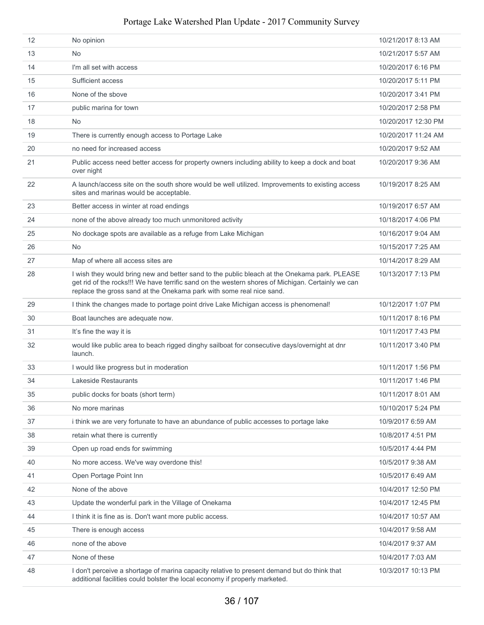| $12 \overline{ }$ | No opinion                                                                                                                                                                                                                                                                | 10/21/2017 8:13 AM  |
|-------------------|---------------------------------------------------------------------------------------------------------------------------------------------------------------------------------------------------------------------------------------------------------------------------|---------------------|
| 13                | <b>No</b>                                                                                                                                                                                                                                                                 | 10/21/2017 5:57 AM  |
| 14                | I'm all set with access                                                                                                                                                                                                                                                   | 10/20/2017 6:16 PM  |
| 15                | Sufficient access                                                                                                                                                                                                                                                         | 10/20/2017 5:11 PM  |
| 16                | None of the sbove                                                                                                                                                                                                                                                         | 10/20/2017 3:41 PM  |
| 17                | public marina for town                                                                                                                                                                                                                                                    | 10/20/2017 2:58 PM  |
| 18                | <b>No</b>                                                                                                                                                                                                                                                                 | 10/20/2017 12:30 PM |
| 19                | There is currently enough access to Portage Lake                                                                                                                                                                                                                          | 10/20/2017 11:24 AM |
| 20                | no need for increased access                                                                                                                                                                                                                                              | 10/20/2017 9:52 AM  |
| 21                | Public access need better access for property owners including ability to keep a dock and boat<br>over night                                                                                                                                                              | 10/20/2017 9:36 AM  |
| 22                | A launch/access site on the south shore would be well utilized. Improvements to existing access<br>sites and marinas would be acceptable.                                                                                                                                 | 10/19/2017 8:25 AM  |
| 23                | Better access in winter at road endings                                                                                                                                                                                                                                   | 10/19/2017 6:57 AM  |
| 24                | none of the above already too much unmonitored activity                                                                                                                                                                                                                   | 10/18/2017 4:06 PM  |
| 25                | No dockage spots are available as a refuge from Lake Michigan                                                                                                                                                                                                             | 10/16/2017 9:04 AM  |
| 26                | <b>No</b>                                                                                                                                                                                                                                                                 | 10/15/2017 7:25 AM  |
| 27                | Map of where all access sites are                                                                                                                                                                                                                                         | 10/14/2017 8:29 AM  |
| 28                | I wish they would bring new and better sand to the public bleach at the Onekama park. PLEASE<br>get rid of the rocks!!! We have terrific sand on the western shores of Michigan. Certainly we can<br>replace the gross sand at the Onekama park with some real nice sand. | 10/13/2017 7:13 PM  |
| 29                | I think the changes made to portage point drive Lake Michigan access is phenomenal!                                                                                                                                                                                       | 10/12/2017 1:07 PM  |
| 30                | Boat launches are adequate now.                                                                                                                                                                                                                                           | 10/11/2017 8:16 PM  |
| 31                | It's fine the way it is                                                                                                                                                                                                                                                   | 10/11/2017 7:43 PM  |
| 32                | would like public area to beach rigged dinghy sailboat for consecutive days/overnight at dnr<br>launch.                                                                                                                                                                   | 10/11/2017 3:40 PM  |
| 33                | I would like progress but in moderation                                                                                                                                                                                                                                   | 10/11/2017 1:56 PM  |
| 34                | Lakeside Restaurants                                                                                                                                                                                                                                                      | 10/11/2017 1:46 PM  |
| 35                | public docks for boats (short term)                                                                                                                                                                                                                                       | 10/11/2017 8:01 AM  |
| 36                | No more marinas                                                                                                                                                                                                                                                           | 10/10/2017 5:24 PM  |
| 37                | i think we are very fortunate to have an abundance of public accesses to portage lake                                                                                                                                                                                     | 10/9/2017 6:59 AM   |
| 38                | retain what there is currently                                                                                                                                                                                                                                            | 10/8/2017 4:51 PM   |
| 39                | Open up road ends for swimming                                                                                                                                                                                                                                            | 10/5/2017 4:44 PM   |
| 40                | No more access. We've way overdone this!                                                                                                                                                                                                                                  | 10/5/2017 9:38 AM   |
| 41                | Open Portage Point Inn                                                                                                                                                                                                                                                    | 10/5/2017 6:49 AM   |
| 42                | None of the above                                                                                                                                                                                                                                                         | 10/4/2017 12:50 PM  |
| 43                | Update the wonderful park in the Village of Onekama                                                                                                                                                                                                                       | 10/4/2017 12:45 PM  |
| 44                | I think it is fine as is. Don't want more public access.                                                                                                                                                                                                                  | 10/4/2017 10:57 AM  |
| 45                | There is enough access                                                                                                                                                                                                                                                    | 10/4/2017 9:58 AM   |
| 46                | none of the above                                                                                                                                                                                                                                                         | 10/4/2017 9:37 AM   |
| 47                | None of these                                                                                                                                                                                                                                                             | 10/4/2017 7:03 AM   |
| 48                | I don't perceive a shortage of marina capacity relative to present demand but do think that<br>additional facilities could bolster the local economy if properly marketed.                                                                                                | 10/3/2017 10:13 PM  |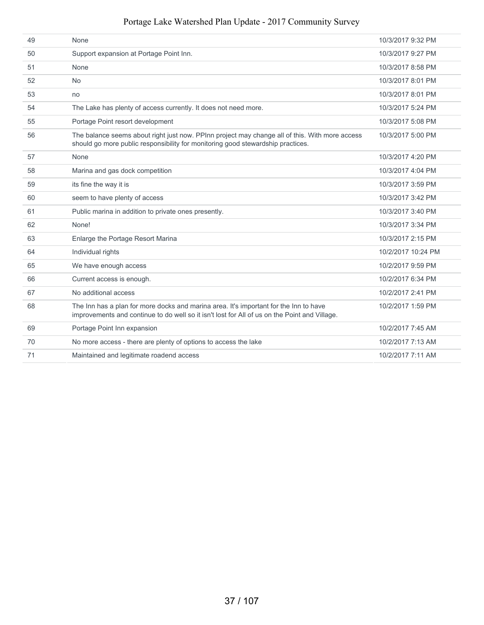| 49 | None                                                                                                                                                                                   | 10/3/2017 9:32 PM  |
|----|----------------------------------------------------------------------------------------------------------------------------------------------------------------------------------------|--------------------|
| 50 | Support expansion at Portage Point Inn.                                                                                                                                                | 10/3/2017 9:27 PM  |
| 51 | None                                                                                                                                                                                   | 10/3/2017 8:58 PM  |
| 52 | <b>No</b>                                                                                                                                                                              | 10/3/2017 8:01 PM  |
| 53 | no                                                                                                                                                                                     | 10/3/2017 8:01 PM  |
| 54 | The Lake has plenty of access currently. It does not need more.                                                                                                                        | 10/3/2017 5:24 PM  |
| 55 | Portage Point resort development                                                                                                                                                       | 10/3/2017 5:08 PM  |
| 56 | The balance seems about right just now. PPInn project may change all of this. With more access<br>should go more public responsibility for monitoring good stewardship practices.      | 10/3/2017 5:00 PM  |
| 57 | None                                                                                                                                                                                   | 10/3/2017 4:20 PM  |
| 58 | Marina and gas dock competition                                                                                                                                                        | 10/3/2017 4:04 PM  |
| 59 | its fine the way it is                                                                                                                                                                 | 10/3/2017 3:59 PM  |
| 60 | seem to have plenty of access                                                                                                                                                          | 10/3/2017 3:42 PM  |
| 61 | Public marina in addition to private ones presently.                                                                                                                                   | 10/3/2017 3:40 PM  |
| 62 | None!                                                                                                                                                                                  | 10/3/2017 3:34 PM  |
| 63 | Enlarge the Portage Resort Marina                                                                                                                                                      | 10/3/2017 2:15 PM  |
| 64 | Individual rights                                                                                                                                                                      | 10/2/2017 10:24 PM |
| 65 | We have enough access                                                                                                                                                                  | 10/2/2017 9:59 PM  |
| 66 | Current access is enough.                                                                                                                                                              | 10/2/2017 6:34 PM  |
| 67 | No additional access                                                                                                                                                                   | 10/2/2017 2:41 PM  |
| 68 | The Inn has a plan for more docks and marina area. It's important for the Inn to have<br>improvements and continue to do well so it isn't lost for All of us on the Point and Village. | 10/2/2017 1:59 PM  |
| 69 | Portage Point Inn expansion                                                                                                                                                            | 10/2/2017 7:45 AM  |
| 70 | No more access - there are plenty of options to access the lake                                                                                                                        | 10/2/2017 7:13 AM  |
| 71 | Maintained and legitimate roadend access                                                                                                                                               | 10/2/2017 7:11 AM  |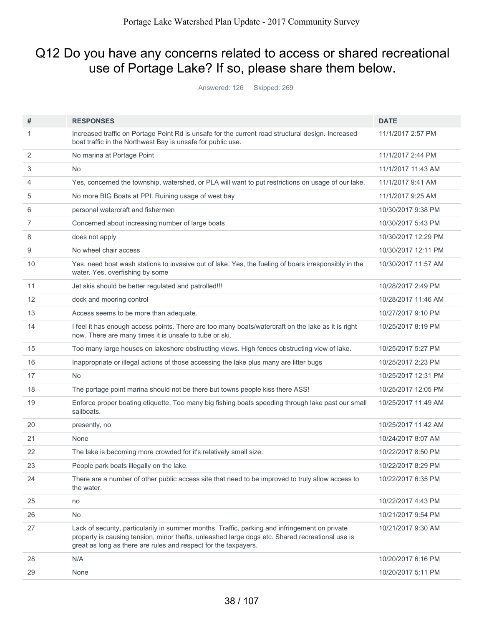## Q12 Do you have any concerns related to access or shared recreational use of Portage Lake? If so, please share them below.

Answered: 126 Skipped: 269

| #              | <b>RESPONSES</b>                                                                                                                                                                                                                                                     | <b>DATE</b>         |
|----------------|----------------------------------------------------------------------------------------------------------------------------------------------------------------------------------------------------------------------------------------------------------------------|---------------------|
| 1              | Increased traffic on Portage Point Rd is unsafe for the current road structural design. Increased<br>boat traffic in the Northwest Bay is unsafe for public use.                                                                                                     | 11/1/2017 2:57 PM   |
| 2              | No marina at Portage Point                                                                                                                                                                                                                                           | 11/1/2017 2:44 PM   |
| 3              | No.                                                                                                                                                                                                                                                                  | 11/1/2017 11:43 AM  |
| 4              | Yes, concerned the township, watershed, or PLA will want to put restrictions on usage of our lake.                                                                                                                                                                   | 11/1/2017 9:41 AM   |
| 5              | No more BIG Boats at PPI. Ruining usage of west bay                                                                                                                                                                                                                  | 11/1/2017 9:25 AM   |
| 6              | personal watercraft and fishermen                                                                                                                                                                                                                                    | 10/30/2017 9:38 PM  |
| $\overline{7}$ | Concerned about increasing number of large boats                                                                                                                                                                                                                     | 10/30/2017 5:43 PM  |
| 8              | does not apply                                                                                                                                                                                                                                                       | 10/30/2017 12:29 PM |
| 9              | No wheel chair access                                                                                                                                                                                                                                                | 10/30/2017 12:11 PM |
| 10             | Yes, need boat wash stations to invasive out of lake. Yes, the fueling of boars irresponsibly in the<br>water. Yes, overfishing by some                                                                                                                              | 10/30/2017 11:57 AM |
| 11             | Jet skis should be better regulated and patrolled!!!                                                                                                                                                                                                                 | 10/28/2017 2:49 PM  |
| 12             | dock and mooring control                                                                                                                                                                                                                                             | 10/28/2017 11:46 AM |
| 13             | Access seems to be more than adequate.                                                                                                                                                                                                                               | 10/27/2017 9:10 PM  |
| 14             | I feel it has enough access points. There are too many boats/watercraft on the lake as it is right<br>now. There are many times it is unsafe to tube or ski.                                                                                                         | 10/25/2017 8:19 PM  |
| 15             | Too many large houses on lakeshore obstructing views. High fences obstructing view of lake.                                                                                                                                                                          | 10/25/2017 5:27 PM  |
| 16             | Inappropriate or illegal actions of those accessing the lake plus many are litter bugs                                                                                                                                                                               | 10/25/2017 2:23 PM  |
| 17             | <b>No</b>                                                                                                                                                                                                                                                            | 10/25/2017 12:31 PM |
| 18             | The portage point marina should not be there but towns people kiss there ASS!                                                                                                                                                                                        | 10/25/2017 12:05 PM |
| 19             | Enforce proper boating etiquette. Too many big fishing boats speeding through lake past our small<br>sailboats.                                                                                                                                                      | 10/25/2017 11:49 AM |
| 20             | presently, no                                                                                                                                                                                                                                                        | 10/25/2017 11:42 AM |
| 21             | None                                                                                                                                                                                                                                                                 | 10/24/2017 8:07 AM  |
| 22             | The lake is becoming more crowded for it's relatively small size.                                                                                                                                                                                                    | 10/22/2017 8:50 PM  |
| 23             | People park boats illegally on the lake.                                                                                                                                                                                                                             | 10/22/2017 8:29 PM  |
| 24             | There are a number of other public access site that need to be improved to truly allow access to<br>the water.                                                                                                                                                       | 10/22/2017 6:35 PM  |
| 25             | no                                                                                                                                                                                                                                                                   | 10/22/2017 4:43 PM  |
| 26             | No                                                                                                                                                                                                                                                                   | 10/21/2017 9:54 PM  |
| 27             | Lack of security, particularily in summer months. Traffic, parking and infringement on private<br>property is causing tension, minor thefts, unleashed large dogs etc. Shared recreational use is<br>great as long as there are rules and respect for the taxpayers. | 10/21/2017 9:30 AM  |
| 28             | N/A                                                                                                                                                                                                                                                                  | 10/20/2017 6:16 PM  |
| 29             | None                                                                                                                                                                                                                                                                 | 10/20/2017 5:11 PM  |
|                |                                                                                                                                                                                                                                                                      |                     |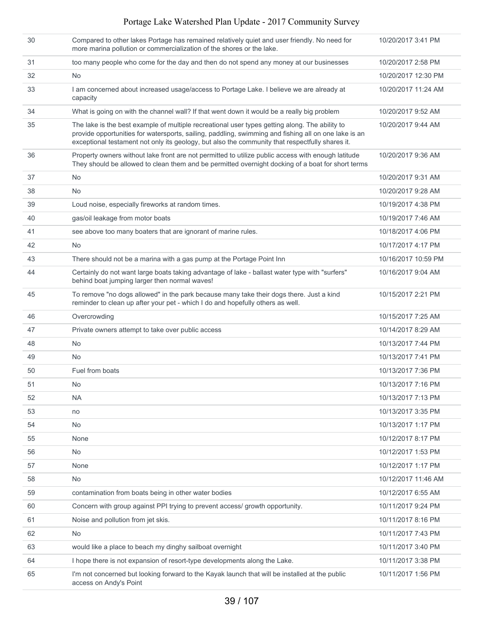| 30 | Compared to other lakes Portage has remained relatively quiet and user friendly. No need for<br>more marina pollution or commercialization of the shores or the lake.                                                                                                                                     | 10/20/2017 3:41 PM  |
|----|-----------------------------------------------------------------------------------------------------------------------------------------------------------------------------------------------------------------------------------------------------------------------------------------------------------|---------------------|
| 31 | too many people who come for the day and then do not spend any money at our businesses                                                                                                                                                                                                                    | 10/20/2017 2:58 PM  |
| 32 | <b>No</b>                                                                                                                                                                                                                                                                                                 | 10/20/2017 12:30 PM |
| 33 | I am concerned about increased usage/access to Portage Lake. I believe we are already at<br>capacity                                                                                                                                                                                                      | 10/20/2017 11:24 AM |
| 34 | What is going on with the channel wall? If that went down it would be a really big problem                                                                                                                                                                                                                | 10/20/2017 9:52 AM  |
| 35 | The lake is the best example of multiple recreational user types getting along. The ability to<br>provide opportunities for watersports, sailing, paddling, swimming and fishing all on one lake is an<br>exceptional testament not only its geology, but also the community that respectfully shares it. | 10/20/2017 9:44 AM  |
| 36 | Property owners without lake front are not permitted to utilize public access with enough latitude<br>They should be allowed to clean them and be permitted overnight docking of a boat for short terms                                                                                                   | 10/20/2017 9:36 AM  |
| 37 | No                                                                                                                                                                                                                                                                                                        | 10/20/2017 9:31 AM  |
| 38 | <b>No</b>                                                                                                                                                                                                                                                                                                 | 10/20/2017 9:28 AM  |
| 39 | Loud noise, especially fireworks at random times.                                                                                                                                                                                                                                                         | 10/19/2017 4:38 PM  |
| 40 | gas/oil leakage from motor boats                                                                                                                                                                                                                                                                          | 10/19/2017 7:46 AM  |
| 41 | see above too many boaters that are ignorant of marine rules.                                                                                                                                                                                                                                             | 10/18/2017 4:06 PM  |
| 42 | <b>No</b>                                                                                                                                                                                                                                                                                                 | 10/17/2017 4:17 PM  |
| 43 | There should not be a marina with a gas pump at the Portage Point Inn                                                                                                                                                                                                                                     | 10/16/2017 10:59 PM |
| 44 | Certainly do not want large boats taking advantage of lake - ballast water type with "surfers"<br>behind boat jumping larger then normal waves!                                                                                                                                                           | 10/16/2017 9:04 AM  |
| 45 | To remove "no dogs allowed" in the park because many take their dogs there. Just a kind<br>reminder to clean up after your pet - which I do and hopefully others as well.                                                                                                                                 | 10/15/2017 2:21 PM  |
| 46 | Overcrowding                                                                                                                                                                                                                                                                                              | 10/15/2017 7:25 AM  |
| 47 | Private owners attempt to take over public access                                                                                                                                                                                                                                                         | 10/14/2017 8:29 AM  |
| 48 | No                                                                                                                                                                                                                                                                                                        | 10/13/2017 7:44 PM  |
| 49 | <b>No</b>                                                                                                                                                                                                                                                                                                 | 10/13/2017 7:41 PM  |
| 50 | Fuel from boats                                                                                                                                                                                                                                                                                           | 10/13/2017 7:36 PM  |
| 51 | No                                                                                                                                                                                                                                                                                                        | 10/13/2017 7:16 PM  |
| 52 | <b>NA</b>                                                                                                                                                                                                                                                                                                 | 10/13/2017 7:13 PM  |
| 53 | no                                                                                                                                                                                                                                                                                                        | 10/13/2017 3:35 PM  |
| 54 | No                                                                                                                                                                                                                                                                                                        | 10/13/2017 1:17 PM  |
| 55 | None                                                                                                                                                                                                                                                                                                      | 10/12/2017 8:17 PM  |
| 56 | No                                                                                                                                                                                                                                                                                                        | 10/12/2017 1:53 PM  |
| 57 | None                                                                                                                                                                                                                                                                                                      | 10/12/2017 1:17 PM  |
| 58 | No                                                                                                                                                                                                                                                                                                        | 10/12/2017 11:46 AM |
| 59 | contamination from boats being in other water bodies                                                                                                                                                                                                                                                      | 10/12/2017 6:55 AM  |
| 60 | Concern with group against PPI trying to prevent access/ growth opportunity.                                                                                                                                                                                                                              | 10/11/2017 9:24 PM  |
| 61 | Noise and pollution from jet skis.                                                                                                                                                                                                                                                                        | 10/11/2017 8:16 PM  |
| 62 | <b>No</b>                                                                                                                                                                                                                                                                                                 | 10/11/2017 7:43 PM  |
| 63 | would like a place to beach my dinghy sailboat overnight                                                                                                                                                                                                                                                  | 10/11/2017 3:40 PM  |
| 64 | I hope there is not expansion of resort-type developments along the Lake.                                                                                                                                                                                                                                 | 10/11/2017 3:38 PM  |
| 65 | I'm not concerned but looking forward to the Kayak launch that will be installed at the public<br>access on Andy's Point                                                                                                                                                                                  | 10/11/2017 1:56 PM  |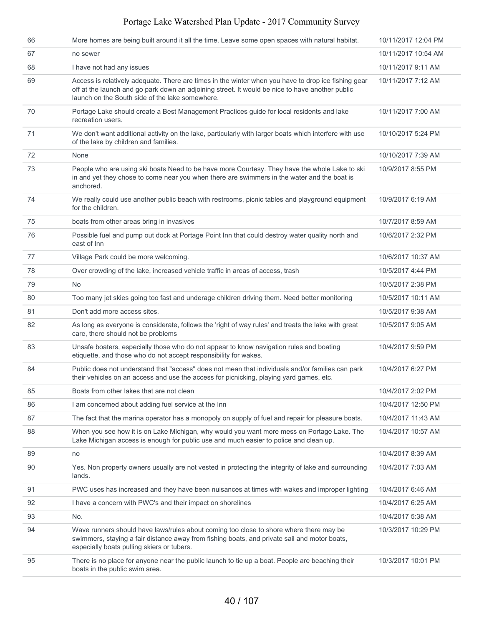| 66 | More homes are being built around it all the time. Leave some open spaces with natural habitat.                                                                                                                                                           | 10/11/2017 12:04 PM |
|----|-----------------------------------------------------------------------------------------------------------------------------------------------------------------------------------------------------------------------------------------------------------|---------------------|
| 67 | no sewer                                                                                                                                                                                                                                                  | 10/11/2017 10:54 AM |
| 68 | I have not had any issues                                                                                                                                                                                                                                 | 10/11/2017 9:11 AM  |
| 69 | Access is relatively adequate. There are times in the winter when you have to drop ice fishing gear<br>off at the launch and go park down an adjoining street. It would be nice to have another public<br>launch on the South side of the lake somewhere. | 10/11/2017 7:12 AM  |
| 70 | Portage Lake should create a Best Management Practices guide for local residents and lake<br>recreation users.                                                                                                                                            | 10/11/2017 7:00 AM  |
| 71 | We don't want additional activity on the lake, particularly with larger boats which interfere with use<br>of the lake by children and families.                                                                                                           | 10/10/2017 5:24 PM  |
| 72 | None                                                                                                                                                                                                                                                      | 10/10/2017 7:39 AM  |
| 73 | People who are using ski boats Need to be have more Courtesy. They have the whole Lake to ski<br>in and yet they chose to come near you when there are swimmers in the water and the boat is<br>anchored.                                                 | 10/9/2017 8:55 PM   |
| 74 | We really could use another public beach with restrooms, picnic tables and playground equipment<br>for the children.                                                                                                                                      | 10/9/2017 6:19 AM   |
| 75 | boats from other areas bring in invasives                                                                                                                                                                                                                 | 10/7/2017 8:59 AM   |
| 76 | Possible fuel and pump out dock at Portage Point Inn that could destroy water quality north and<br>east of Inn                                                                                                                                            | 10/6/2017 2:32 PM   |
| 77 | Village Park could be more welcoming.                                                                                                                                                                                                                     | 10/6/2017 10:37 AM  |
| 78 | Over crowding of the lake, increased vehicle traffic in areas of access, trash                                                                                                                                                                            | 10/5/2017 4:44 PM   |
| 79 | <b>No</b>                                                                                                                                                                                                                                                 | 10/5/2017 2:38 PM   |
| 80 | Too many jet skies going too fast and underage children driving them. Need better monitoring                                                                                                                                                              | 10/5/2017 10:11 AM  |
| 81 | Don't add more access sites.                                                                                                                                                                                                                              | 10/5/2017 9:38 AM   |
| 82 | As long as everyone is considerate, follows the 'right of way rules' and treats the lake with great<br>care, there should not be problems                                                                                                                 | 10/5/2017 9:05 AM   |
| 83 | Unsafe boaters, especially those who do not appear to know navigation rules and boating<br>etiquette, and those who do not accept responsibility for wakes.                                                                                               | 10/4/2017 9:59 PM   |
| 84 | Public does not understand that "access" does not mean that individuals and/or families can park<br>their vehicles on an access and use the access for picnicking, playing yard games, etc.                                                               | 10/4/2017 6:27 PM   |
| 85 | Boats from other lakes that are not clean                                                                                                                                                                                                                 | 10/4/2017 2:02 PM   |
| 86 | I am concerned about adding fuel service at the Inn                                                                                                                                                                                                       | 10/4/2017 12:50 PM  |
| 87 | The fact that the marina operator has a monopoly on supply of fuel and repair for pleasure boats.                                                                                                                                                         | 10/4/2017 11:43 AM  |
| 88 | When you see how it is on Lake Michigan, why would you want more mess on Portage Lake. The<br>Lake Michigan access is enough for public use and much easier to police and clean up.                                                                       | 10/4/2017 10:57 AM  |
| 89 | no                                                                                                                                                                                                                                                        | 10/4/2017 8:39 AM   |
| 90 | Yes. Non property owners usually are not vested in protecting the integrity of lake and surrounding<br>lands.                                                                                                                                             | 10/4/2017 7:03 AM   |
| 91 | PWC uses has increased and they have been nuisances at times with wakes and improper lighting                                                                                                                                                             | 10/4/2017 6:46 AM   |
| 92 | I have a concern with PWC's and their impact on shorelines                                                                                                                                                                                                | 10/4/2017 6:25 AM   |
| 93 | No.                                                                                                                                                                                                                                                       | 10/4/2017 5:38 AM   |
| 94 | Wave runners should have laws/rules about coming too close to shore where there may be<br>swimmers, staying a fair distance away from fishing boats, and private sail and motor boats,<br>especially boats pulling skiers or tubers.                      | 10/3/2017 10:29 PM  |
| 95 | There is no place for anyone near the public launch to tie up a boat. People are beaching their<br>boats in the public swim area.                                                                                                                         | 10/3/2017 10:01 PM  |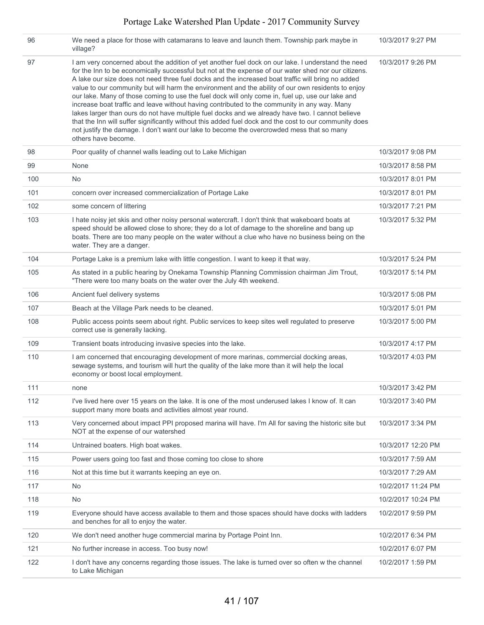| 96  | We need a place for those with catamarans to leave and launch them. Township park maybe in<br>village?                                                                                                                                                                                                                                                                                                                                                                                                                                                                                                                                                                                                                                                                                                                                                                                                                                                      | 10/3/2017 9:27 PM  |
|-----|-------------------------------------------------------------------------------------------------------------------------------------------------------------------------------------------------------------------------------------------------------------------------------------------------------------------------------------------------------------------------------------------------------------------------------------------------------------------------------------------------------------------------------------------------------------------------------------------------------------------------------------------------------------------------------------------------------------------------------------------------------------------------------------------------------------------------------------------------------------------------------------------------------------------------------------------------------------|--------------------|
| 97  | I am very concerned about the addition of yet another fuel dock on our lake. I understand the need<br>for the Inn to be economically successful but not at the expense of our water shed nor our citizens.<br>A lake our size does not need three fuel docks and the increased boat traffic will bring no added<br>value to our community but will harm the environment and the ability of our own residents to enjoy<br>our lake. Many of those coming to use the fuel dock will only come in, fuel up, use our lake and<br>increase boat traffic and leave without having contributed to the community in any way. Many<br>lakes larger than ours do not have multiple fuel docks and we already have two. I cannot believe<br>that the Inn will suffer significantly without this added fuel dock and the cost to our community does<br>not justify the damage. I don't want our lake to become the overcrowded mess that so many<br>others have become. | 10/3/2017 9:26 PM  |
| 98  | Poor quality of channel walls leading out to Lake Michigan                                                                                                                                                                                                                                                                                                                                                                                                                                                                                                                                                                                                                                                                                                                                                                                                                                                                                                  | 10/3/2017 9:08 PM  |
| 99  | None                                                                                                                                                                                                                                                                                                                                                                                                                                                                                                                                                                                                                                                                                                                                                                                                                                                                                                                                                        | 10/3/2017 8:58 PM  |
| 100 | <b>No</b>                                                                                                                                                                                                                                                                                                                                                                                                                                                                                                                                                                                                                                                                                                                                                                                                                                                                                                                                                   | 10/3/2017 8:01 PM  |
| 101 | concern over increased commercialization of Portage Lake                                                                                                                                                                                                                                                                                                                                                                                                                                                                                                                                                                                                                                                                                                                                                                                                                                                                                                    | 10/3/2017 8:01 PM  |
| 102 | some concern of littering                                                                                                                                                                                                                                                                                                                                                                                                                                                                                                                                                                                                                                                                                                                                                                                                                                                                                                                                   | 10/3/2017 7:21 PM  |
| 103 | I hate noisy jet skis and other noisy personal watercraft. I don't think that wakeboard boats at<br>speed should be allowed close to shore; they do a lot of damage to the shoreline and bang up<br>boats. There are too many people on the water without a clue who have no business being on the<br>water. They are a danger.                                                                                                                                                                                                                                                                                                                                                                                                                                                                                                                                                                                                                             | 10/3/2017 5:32 PM  |
| 104 | Portage Lake is a premium lake with little congestion. I want to keep it that way.                                                                                                                                                                                                                                                                                                                                                                                                                                                                                                                                                                                                                                                                                                                                                                                                                                                                          | 10/3/2017 5:24 PM  |
| 105 | As stated in a public hearing by Onekama Township Planning Commission chairman Jim Trout,<br>"There were too many boats on the water over the July 4th weekend.                                                                                                                                                                                                                                                                                                                                                                                                                                                                                                                                                                                                                                                                                                                                                                                             | 10/3/2017 5:14 PM  |
| 106 | Ancient fuel delivery systems                                                                                                                                                                                                                                                                                                                                                                                                                                                                                                                                                                                                                                                                                                                                                                                                                                                                                                                               | 10/3/2017 5:08 PM  |
| 107 | Beach at the Village Park needs to be cleaned.                                                                                                                                                                                                                                                                                                                                                                                                                                                                                                                                                                                                                                                                                                                                                                                                                                                                                                              | 10/3/2017 5:01 PM  |
| 108 | Public access points seem about right. Public services to keep sites well regulated to preserve<br>correct use is generally lacking.                                                                                                                                                                                                                                                                                                                                                                                                                                                                                                                                                                                                                                                                                                                                                                                                                        | 10/3/2017 5:00 PM  |
| 109 | Transient boats introducing invasive species into the lake.                                                                                                                                                                                                                                                                                                                                                                                                                                                                                                                                                                                                                                                                                                                                                                                                                                                                                                 | 10/3/2017 4:17 PM  |
| 110 | I am concerned that encouraging development of more marinas, commercial docking areas,<br>sewage systems, and tourism will hurt the quality of the lake more than it will help the local<br>economy or boost local employment.                                                                                                                                                                                                                                                                                                                                                                                                                                                                                                                                                                                                                                                                                                                              | 10/3/2017 4:03 PM  |
| 111 | none                                                                                                                                                                                                                                                                                                                                                                                                                                                                                                                                                                                                                                                                                                                                                                                                                                                                                                                                                        | 10/3/2017 3:42 PM  |
| 112 | I've lived here over 15 years on the lake. It is one of the most underused lakes I know of. It can<br>support many more boats and activities almost year round.                                                                                                                                                                                                                                                                                                                                                                                                                                                                                                                                                                                                                                                                                                                                                                                             | 10/3/2017 3:40 PM  |
| 113 | Very concerned about impact PPI proposed marina will have. I'm All for saving the historic site but<br>NOT at the expense of our watershed                                                                                                                                                                                                                                                                                                                                                                                                                                                                                                                                                                                                                                                                                                                                                                                                                  | 10/3/2017 3:34 PM  |
| 114 | Untrained boaters. High boat wakes.                                                                                                                                                                                                                                                                                                                                                                                                                                                                                                                                                                                                                                                                                                                                                                                                                                                                                                                         | 10/3/2017 12:20 PM |
| 115 | Power users going too fast and those coming too close to shore                                                                                                                                                                                                                                                                                                                                                                                                                                                                                                                                                                                                                                                                                                                                                                                                                                                                                              | 10/3/2017 7:59 AM  |
| 116 | Not at this time but it warrants keeping an eye on.                                                                                                                                                                                                                                                                                                                                                                                                                                                                                                                                                                                                                                                                                                                                                                                                                                                                                                         | 10/3/2017 7:29 AM  |
| 117 | No                                                                                                                                                                                                                                                                                                                                                                                                                                                                                                                                                                                                                                                                                                                                                                                                                                                                                                                                                          | 10/2/2017 11:24 PM |
| 118 | No                                                                                                                                                                                                                                                                                                                                                                                                                                                                                                                                                                                                                                                                                                                                                                                                                                                                                                                                                          | 10/2/2017 10:24 PM |
| 119 | Everyone should have access available to them and those spaces should have docks with ladders<br>and benches for all to enjoy the water.                                                                                                                                                                                                                                                                                                                                                                                                                                                                                                                                                                                                                                                                                                                                                                                                                    | 10/2/2017 9:59 PM  |
| 120 | We don't need another huge commercial marina by Portage Point Inn.                                                                                                                                                                                                                                                                                                                                                                                                                                                                                                                                                                                                                                                                                                                                                                                                                                                                                          | 10/2/2017 6:34 PM  |
| 121 | No further increase in access. Too busy now!                                                                                                                                                                                                                                                                                                                                                                                                                                                                                                                                                                                                                                                                                                                                                                                                                                                                                                                | 10/2/2017 6:07 PM  |
| 122 | I don't have any concerns regarding those issues. The lake is turned over so often w the channel<br>to Lake Michigan                                                                                                                                                                                                                                                                                                                                                                                                                                                                                                                                                                                                                                                                                                                                                                                                                                        | 10/2/2017 1:59 PM  |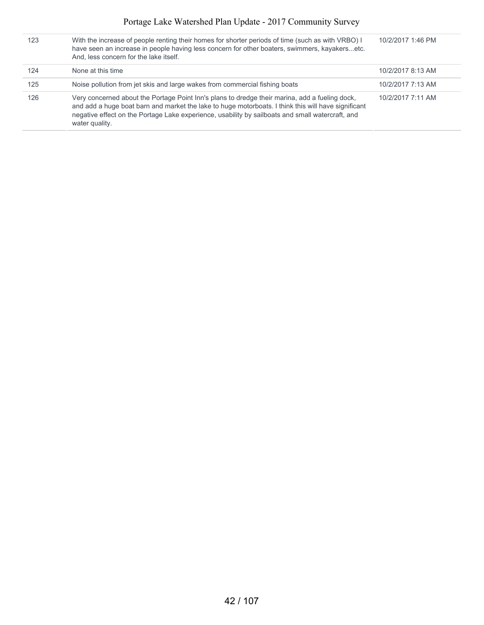| 123 | With the increase of people renting their homes for shorter periods of time (such as with VRBO) I<br>have seen an increase in people having less concern for other boaters, swimmers, kayakersetc.<br>And, less concern for the lake itself.                                                                                | 10/2/2017 1:46 PM |
|-----|-----------------------------------------------------------------------------------------------------------------------------------------------------------------------------------------------------------------------------------------------------------------------------------------------------------------------------|-------------------|
| 124 | None at this time                                                                                                                                                                                                                                                                                                           | 10/2/2017 8:13 AM |
| 125 | Noise pollution from jet skis and large wakes from commercial fishing boats                                                                                                                                                                                                                                                 | 10/2/2017 7:13 AM |
| 126 | Very concerned about the Portage Point Inn's plans to dredge their marina, add a fueling dock,<br>and add a huge boat barn and market the lake to huge motorboats. I think this will have significant<br>negative effect on the Portage Lake experience, usability by sailboats and small watercraft, and<br>water quality. | 10/2/2017 7:11 AM |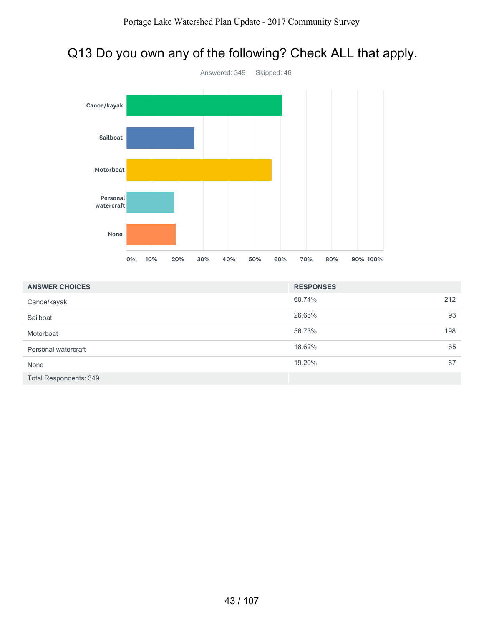# Q13 Do you own any of the following? Check ALL that apply.



| <b>ANSWER CHOICES</b>  | <b>RESPONSES</b> |
|------------------------|------------------|
| Canoe/kayak            | 60.74%<br>212    |
| Sailboat               | 26.65%<br>93     |
| Motorboat              | 56.73%<br>198    |
| Personal watercraft    | 65<br>18.62%     |
| None                   | 19.20%<br>67     |
| Total Respondents: 349 |                  |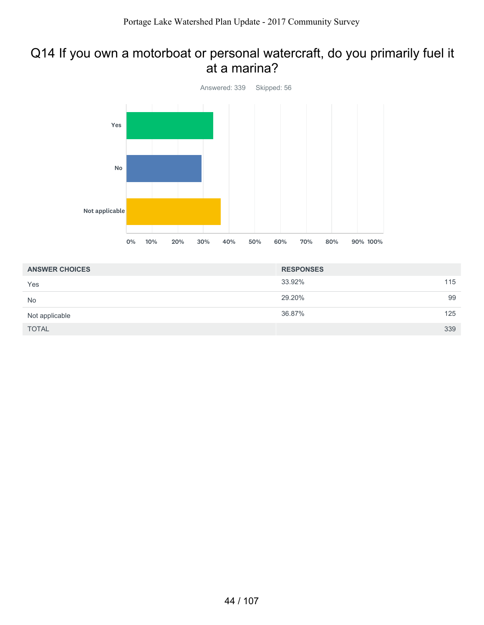## Q14 If you own a motorboat or personal watercraft, do you primarily fuel it at a marina?



| <b>ANSWER CHOICES</b> | <b>RESPONSES</b> |     |
|-----------------------|------------------|-----|
| Yes                   | 33.92%           | 115 |
| <b>No</b>             | 29.20%           | 99  |
| Not applicable        | 36.87%           | 125 |
| <b>TOTAL</b>          |                  | 339 |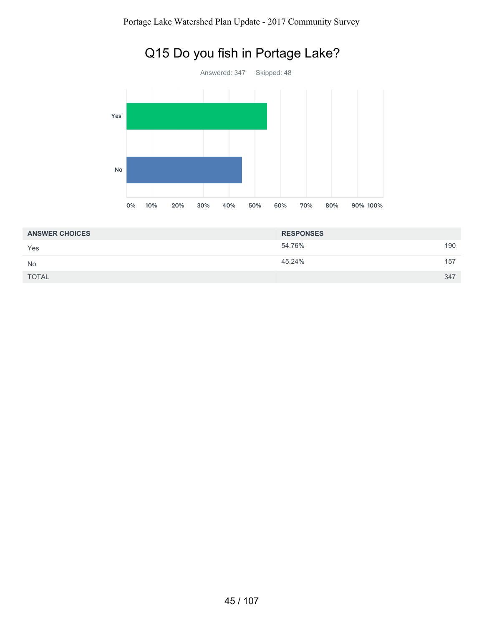

# Q15 Do you fish in Portage Lake?

| <b>ANSWER CHOICES</b> | <b>RESPONSES</b> |     |
|-----------------------|------------------|-----|
| Yes                   | 54.76%           | 190 |
| <b>No</b>             | 45.24%           | 157 |
| <b>TOTAL</b>          |                  | 347 |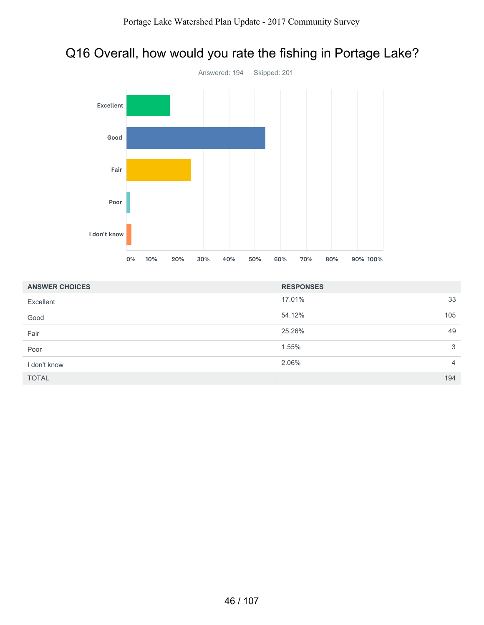# Q16 Overall, how would you rate the fishing in Portage Lake?



| <b>ANSWER CHOICES</b> | <b>RESPONSES</b> |                |
|-----------------------|------------------|----------------|
| Excellent             | 17.01%           | 33             |
| Good                  | 54.12%           | 105            |
| Fair                  | 25.26%           | 49             |
| Poor                  | 1.55%            | 3              |
| I don't know          | 2.06%            | $\overline{4}$ |
| <b>TOTAL</b>          |                  | 194            |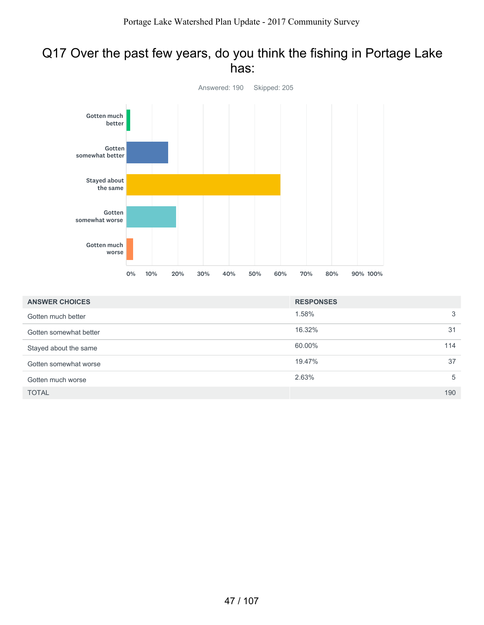## Q17 Over the past few years, do you think the fishing in Portage Lake has:



| <b>ANSWER CHOICES</b>  | <b>RESPONSES</b> |     |
|------------------------|------------------|-----|
| Gotten much better     | 1.58%            | 3   |
| Gotten somewhat better | 16.32%           | 31  |
| Stayed about the same  | 60.00%           | 114 |
| Gotten somewhat worse  | 19.47%           | 37  |
| Gotten much worse      | 2.63%            | 5   |
| <b>TOTAL</b>           |                  | 190 |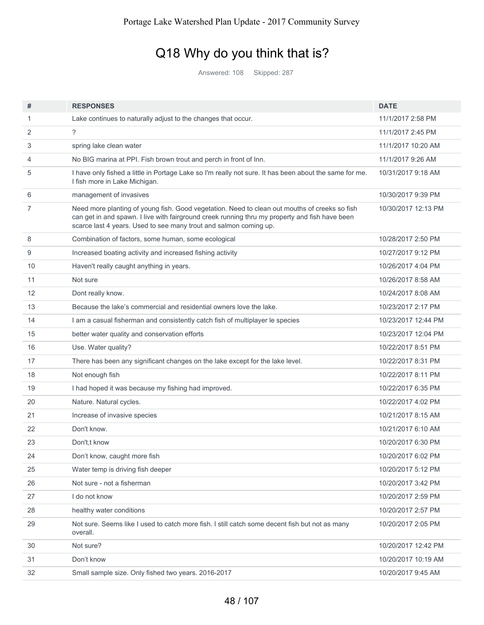# Q18 Why do you think that is?

Answered: 108 Skipped: 287

| #  | <b>RESPONSES</b>                                                                                                                                                                                                                                                     | <b>DATE</b>         |
|----|----------------------------------------------------------------------------------------------------------------------------------------------------------------------------------------------------------------------------------------------------------------------|---------------------|
| 1  | Lake continues to naturally adjust to the changes that occur.                                                                                                                                                                                                        | 11/1/2017 2:58 PM   |
| 2  | $\gamma$                                                                                                                                                                                                                                                             | 11/1/2017 2:45 PM   |
| 3  | spring lake clean water                                                                                                                                                                                                                                              | 11/1/2017 10:20 AM  |
| 4  | No BIG marina at PPI. Fish brown trout and perch in front of Inn.                                                                                                                                                                                                    | 11/1/2017 9:26 AM   |
| 5  | I have only fished a little in Portage Lake so I'm really not sure. It has been about the same for me.<br>I fish more in Lake Michigan.                                                                                                                              | 10/31/2017 9:18 AM  |
| 6  | management of invasives                                                                                                                                                                                                                                              | 10/30/2017 9:39 PM  |
| 7  | Need more planting of young fish. Good vegetation. Need to clean out mouths of creeks so fish<br>can get in and spawn. I live with fairground creek running thru my property and fish have been<br>scarce last 4 years. Used to see many trout and salmon coming up. | 10/30/2017 12:13 PM |
| 8  | Combination of factors, some human, some ecological                                                                                                                                                                                                                  | 10/28/2017 2:50 PM  |
| 9  | Increased boating activity and increased fishing activity                                                                                                                                                                                                            | 10/27/2017 9:12 PM  |
| 10 | Haven't really caught anything in years.                                                                                                                                                                                                                             | 10/26/2017 4:04 PM  |
| 11 | Not sure                                                                                                                                                                                                                                                             | 10/26/2017 8:58 AM  |
| 12 | Dont really know.                                                                                                                                                                                                                                                    | 10/24/2017 8:08 AM  |
| 13 | Because the lake's commercial and residential owners love the lake.                                                                                                                                                                                                  | 10/23/2017 2:17 PM  |
| 14 | I am a casual fisherman and consistently catch fish of multiplayer le species                                                                                                                                                                                        | 10/23/2017 12:44 PM |
| 15 | better water quality and conservation efforts                                                                                                                                                                                                                        | 10/23/2017 12:04 PM |
| 16 | Use. Water quality?                                                                                                                                                                                                                                                  | 10/22/2017 8:51 PM  |
| 17 | There has been any significant changes on the lake except for the lake level.                                                                                                                                                                                        | 10/22/2017 8:31 PM  |
| 18 | Not enough fish                                                                                                                                                                                                                                                      | 10/22/2017 8:11 PM  |
| 19 | I had hoped it was because my fishing had improved.                                                                                                                                                                                                                  | 10/22/2017 6:35 PM  |
| 20 | Nature. Natural cycles.                                                                                                                                                                                                                                              | 10/22/2017 4:02 PM  |
| 21 | Increase of invasive species                                                                                                                                                                                                                                         | 10/21/2017 8:15 AM  |
| 22 | Don't know.                                                                                                                                                                                                                                                          | 10/21/2017 6:10 AM  |
| 23 | Don't,t know                                                                                                                                                                                                                                                         | 10/20/2017 6:30 PM  |
| 24 | Don't know, caught more fish                                                                                                                                                                                                                                         | 10/20/2017 6:02 PM  |
| 25 | Water temp is driving fish deeper                                                                                                                                                                                                                                    | 10/20/2017 5:12 PM  |
| 26 | Not sure - not a fisherman                                                                                                                                                                                                                                           | 10/20/2017 3:42 PM  |
| 27 | I do not know                                                                                                                                                                                                                                                        | 10/20/2017 2:59 PM  |
| 28 | healthy water conditions                                                                                                                                                                                                                                             | 10/20/2017 2:57 PM  |
| 29 | Not sure. Seems like I used to catch more fish. I still catch some decent fish but not as many<br>overall.                                                                                                                                                           | 10/20/2017 2:05 PM  |
| 30 | Not sure?                                                                                                                                                                                                                                                            | 10/20/2017 12:42 PM |
| 31 | Don't know                                                                                                                                                                                                                                                           | 10/20/2017 10:19 AM |
| 32 | Small sample size. Only fished two years. 2016-2017                                                                                                                                                                                                                  | 10/20/2017 9:45 AM  |
|    |                                                                                                                                                                                                                                                                      |                     |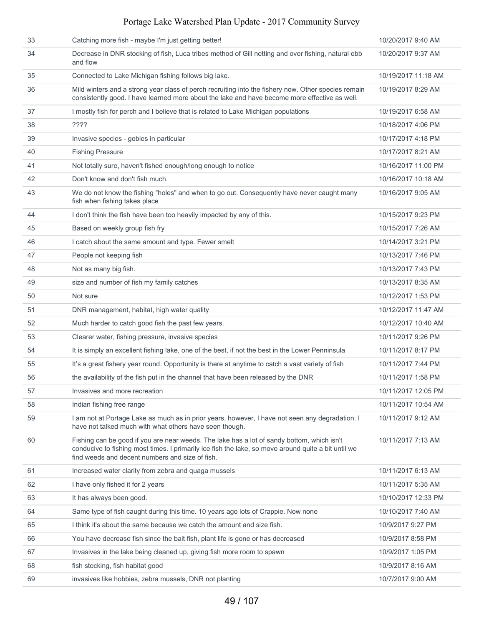| 33 | Catching more fish - maybe I'm just getting better!                                                                                                                                                                                                  | 10/20/2017 9:40 AM  |
|----|------------------------------------------------------------------------------------------------------------------------------------------------------------------------------------------------------------------------------------------------------|---------------------|
| 34 | Decrease in DNR stocking of fish, Luca tribes method of Gill netting and over fishing, natural ebb<br>and flow                                                                                                                                       | 10/20/2017 9:37 AM  |
| 35 | Connected to Lake Michigan fishing follows big lake.                                                                                                                                                                                                 | 10/19/2017 11:18 AM |
| 36 | Mild winters and a strong year class of perch recruiting into the fishery now. Other species remain<br>consistently good. I have learned more about the lake and have become more effective as well.                                                 | 10/19/2017 8:29 AM  |
| 37 | I mostly fish for perch and I believe that is related to Lake Michigan populations                                                                                                                                                                   | 10/19/2017 6:58 AM  |
| 38 | ????                                                                                                                                                                                                                                                 | 10/18/2017 4:06 PM  |
| 39 | Invasive species - gobies in particular                                                                                                                                                                                                              | 10/17/2017 4:18 PM  |
| 40 | <b>Fishing Pressure</b>                                                                                                                                                                                                                              | 10/17/2017 8:21 AM  |
| 41 | Not totally sure, haven't fished enough/long enough to notice                                                                                                                                                                                        | 10/16/2017 11:00 PM |
| 42 | Don't know and don't fish much.                                                                                                                                                                                                                      | 10/16/2017 10:18 AM |
| 43 | We do not know the fishing "holes" and when to go out. Consequently have never caught many<br>fish when fishing takes place                                                                                                                          | 10/16/2017 9:05 AM  |
| 44 | I don't think the fish have been too heavily impacted by any of this.                                                                                                                                                                                | 10/15/2017 9:23 PM  |
| 45 | Based on weekly group fish fry                                                                                                                                                                                                                       | 10/15/2017 7:26 AM  |
| 46 | I catch about the same amount and type. Fewer smelt                                                                                                                                                                                                  | 10/14/2017 3:21 PM  |
| 47 | People not keeping fish                                                                                                                                                                                                                              | 10/13/2017 7:46 PM  |
| 48 | Not as many big fish.                                                                                                                                                                                                                                | 10/13/2017 7:43 PM  |
| 49 | size and number of fish my family catches                                                                                                                                                                                                            | 10/13/2017 8:35 AM  |
| 50 | Not sure                                                                                                                                                                                                                                             | 10/12/2017 1:53 PM  |
| 51 | DNR management, habitat, high water quality                                                                                                                                                                                                          | 10/12/2017 11:47 AM |
| 52 | Much harder to catch good fish the past few years.                                                                                                                                                                                                   | 10/12/2017 10:40 AM |
| 53 | Clearer water, fishing pressure, invasive species                                                                                                                                                                                                    | 10/11/2017 9:26 PM  |
| 54 | It is simply an excellent fishing lake, one of the best, if not the best in the Lower Penninsula                                                                                                                                                     | 10/11/2017 8:17 PM  |
| 55 | It's a great fishery year round. Opportunity is there at anytime to catch a vast variety of fish                                                                                                                                                     | 10/11/2017 7:44 PM  |
| 56 | the availability of the fish put in the channel that have been released by the DNR                                                                                                                                                                   | 10/11/2017 1:58 PM  |
| 57 | Invasives and more recreation                                                                                                                                                                                                                        | 10/11/2017 12:05 PM |
| 58 | Indian fishing free range                                                                                                                                                                                                                            | 10/11/2017 10:54 AM |
| 59 | I am not at Portage Lake as much as in prior years, however, I have not seen any degradation. I<br>have not talked much with what others have seen though.                                                                                           | 10/11/2017 9:12 AM  |
| 60 | Fishing can be good if you are near weeds. The lake has a lot of sandy bottom, which isn't<br>conducive to fishing most times. I primarily ice fish the lake, so move around quite a bit until we<br>find weeds and decent numbers and size of fish. | 10/11/2017 7:13 AM  |
| 61 | Increased water clarity from zebra and quaga mussels                                                                                                                                                                                                 | 10/11/2017 6:13 AM  |
| 62 | I have only fished it for 2 years                                                                                                                                                                                                                    | 10/11/2017 5:35 AM  |
| 63 | It has always been good.                                                                                                                                                                                                                             | 10/10/2017 12:33 PM |
| 64 | Same type of fish caught during this time. 10 years ago lots of Crappie. Now none                                                                                                                                                                    | 10/10/2017 7:40 AM  |
| 65 | I think it's about the same because we catch the amount and size fish.                                                                                                                                                                               | 10/9/2017 9:27 PM   |
| 66 | You have decrease fish since the bait fish, plant life is gone or has decreased                                                                                                                                                                      | 10/9/2017 8:58 PM   |
| 67 | Invasives in the lake being cleaned up, giving fish more room to spawn                                                                                                                                                                               | 10/9/2017 1:05 PM   |
| 68 | fish stocking, fish habitat good                                                                                                                                                                                                                     | 10/9/2017 8:16 AM   |
| 69 | invasives like hobbies, zebra mussels, DNR not planting                                                                                                                                                                                              | 10/7/2017 9:00 AM   |
|    |                                                                                                                                                                                                                                                      |                     |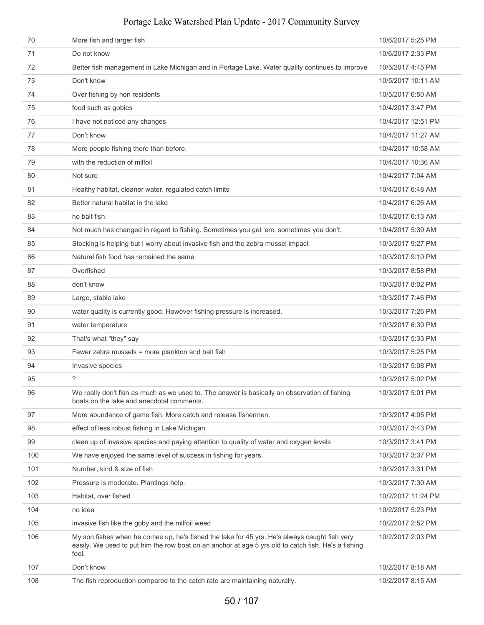| 70  | More fish and larger fish                                                                                                                                                                                     | 10/6/2017 5:25 PM  |
|-----|---------------------------------------------------------------------------------------------------------------------------------------------------------------------------------------------------------------|--------------------|
| 71  | Do not know                                                                                                                                                                                                   | 10/6/2017 2:33 PM  |
| 72  | Better fish management in Lake Michigan and in Portage Lake. Water quality continues to improve                                                                                                               | 10/5/2017 4:45 PM  |
| 73  | Don't know                                                                                                                                                                                                    | 10/5/2017 10:11 AM |
| 74  | Over fishing by non residents                                                                                                                                                                                 | 10/5/2017 6:50 AM  |
| 75  | food such as gobies                                                                                                                                                                                           | 10/4/2017 3:47 PM  |
| 76  | I have not noticed any changes                                                                                                                                                                                | 10/4/2017 12:51 PM |
| 77  | Don't know                                                                                                                                                                                                    | 10/4/2017 11:27 AM |
| 78  | More people fishing there than before.                                                                                                                                                                        | 10/4/2017 10:58 AM |
| 79  | with the reduction of milfoil                                                                                                                                                                                 | 10/4/2017 10:36 AM |
| 80  | Not sure                                                                                                                                                                                                      | 10/4/2017 7:04 AM  |
| 81  | Healthy habitat, cleaner water, regulated catch limits                                                                                                                                                        | 10/4/2017 6:48 AM  |
| 82  | Better natural habitat in the lake                                                                                                                                                                            | 10/4/2017 6:26 AM  |
| 83  | no bait fish                                                                                                                                                                                                  | 10/4/2017 6:13 AM  |
| 84  | Not much has changed in regard to fishing. Sometimes you get 'em, sometimes you don't.                                                                                                                        | 10/4/2017 5:39 AM  |
| 85  | Stocking is helping but I worry about invasive fish and the zebra mussel impact                                                                                                                               | 10/3/2017 9:27 PM  |
| 86  | Natural fish food has remained the same                                                                                                                                                                       | 10/3/2017 9:10 PM  |
| 87  | Overfished                                                                                                                                                                                                    | 10/3/2017 8:58 PM  |
| 88  | don't know                                                                                                                                                                                                    | 10/3/2017 8:02 PM  |
| 89  | Large, stable lake                                                                                                                                                                                            | 10/3/2017 7:46 PM  |
| 90  | water quality is currently good. However fishing pressure is increased.                                                                                                                                       | 10/3/2017 7:26 PM  |
| 91  | water temperature                                                                                                                                                                                             | 10/3/2017 6:30 PM  |
| 92  | That's what "they" say                                                                                                                                                                                        | 10/3/2017 5:33 PM  |
| 93  | Fewer zebra mussels = more plankton and bait fish                                                                                                                                                             | 10/3/2017 5:25 PM  |
| 94  | Invasive species                                                                                                                                                                                              | 10/3/2017 5:08 PM  |
| 95  | ?                                                                                                                                                                                                             | 10/3/2017 5:02 PM  |
| 96  | We really don't fish as much as we used to. The answer is basically an observation of fishing<br>boats on the lake and anecdotal comments.                                                                    | 10/3/2017 5:01 PM  |
| 97  | More abundance of game fish. More catch and release fishermen.                                                                                                                                                | 10/3/2017 4:05 PM  |
| 98  | effect of less robust fishing in Lake Michigan                                                                                                                                                                | 10/3/2017 3:43 PM  |
| 99  | clean up of invasive species and paying attention to quality of water and oxygen levels                                                                                                                       | 10/3/2017 3:41 PM  |
| 100 | We have enjoyed the same level of success in fishing for years.                                                                                                                                               | 10/3/2017 3:37 PM  |
| 101 | Number, kind & size of fish                                                                                                                                                                                   | 10/3/2017 3:31 PM  |
| 102 | Pressure is moderate. Plantings help.                                                                                                                                                                         | 10/3/2017 7:30 AM  |
| 103 | Habitat, over fished                                                                                                                                                                                          | 10/2/2017 11:24 PM |
| 104 | no idea                                                                                                                                                                                                       | 10/2/2017 5:23 PM  |
| 105 | invasive fish like the goby and the milfoil weed                                                                                                                                                              | 10/2/2017 2:52 PM  |
| 106 | My son fishes when he comes up, he's fished the lake for 45 yrs. He's always caught fish very<br>easily. We used to put him the row boat on an anchor at age 5 yrs old to catch fish. He's a fishing<br>fool. | 10/2/2017 2:03 PM  |
| 107 | Don't know                                                                                                                                                                                                    | 10/2/2017 8:18 AM  |
| 108 | The fish reproduction compared to the catch rate are maintaining naturally.                                                                                                                                   | 10/2/2017 8:15 AM  |
|     |                                                                                                                                                                                                               |                    |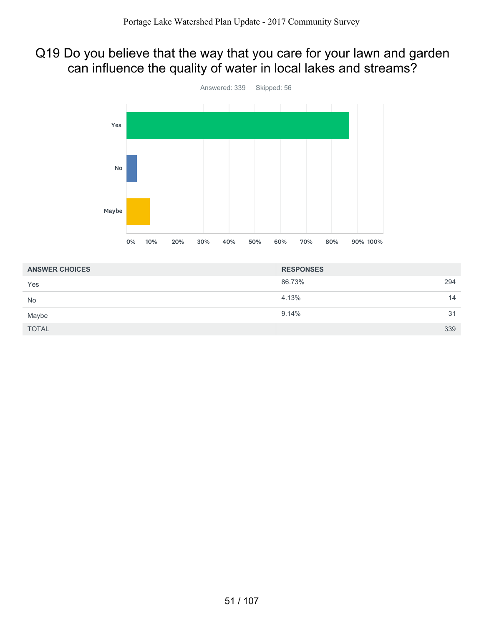# Q19 Do you believe that the way that you care for your lawn and garden can influence the quality of water in local lakes and streams?



| <b>ANSWER CHOICES</b> | <b>RESPONSES</b> |     |
|-----------------------|------------------|-----|
| Yes                   | 86.73%           | 294 |
| <b>No</b>             | 4.13%            | 14  |
| Maybe                 | 9.14%            | 31  |
| <b>TOTAL</b>          |                  | 339 |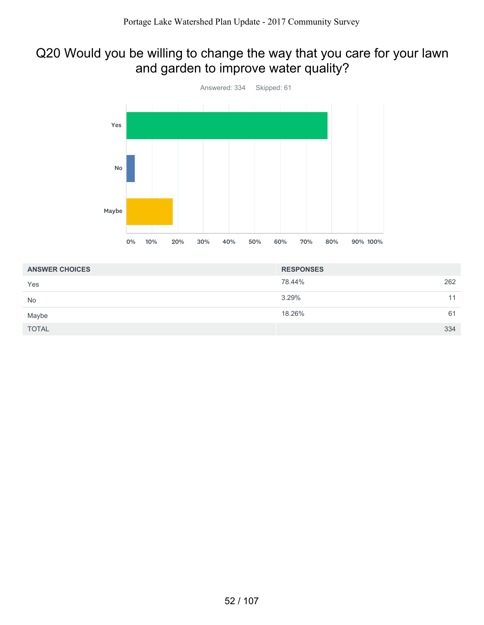## Q20 Would you be willing to change the way that you care for your lawn and garden to improve water quality?



| <b>ANSWER CHOICES</b> | <b>RESPONSES</b> |     |
|-----------------------|------------------|-----|
| Yes                   | 78.44%           | 262 |
| <b>No</b>             | 3.29%            | 11  |
| Maybe                 | 18.26%           | 61  |
| <b>TOTAL</b>          |                  | 334 |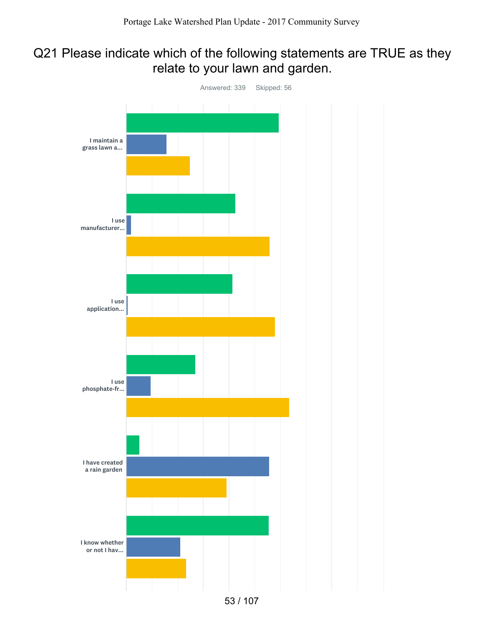## Q21 Please indicate which of the following statements are TRUE as they relate to your lawn and garden.

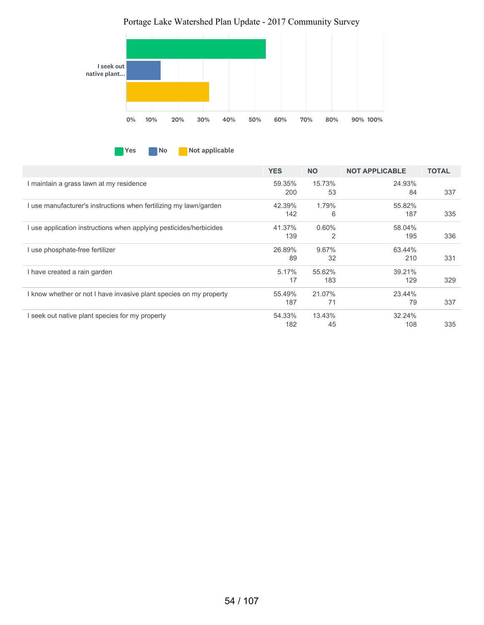

**No Not applicable** 

|                                                                    | <b>YES</b> | <b>NO</b> | <b>NOT APPLICABLE</b> | <b>TOTAL</b> |
|--------------------------------------------------------------------|------------|-----------|-----------------------|--------------|
| I maintain a grass lawn at my residence                            | 59.35%     | 15.73%    | 24.93%                |              |
|                                                                    | 200        | 53        | 84                    | 337          |
| I use manufacturer's instructions when fertilizing my lawn/garden  | 42.39%     | 1.79%     | 55.82%                |              |
|                                                                    | 142        | 6         | 187                   | 335          |
| I use application instructions when applying pesticides/herbicides | 41.37%     | 0.60%     | 58.04%                |              |
|                                                                    | 139        | 2         | 195                   | 336          |
| I use phosphate-free fertilizer                                    | 26.89%     | 9.67%     | 63.44%                |              |
|                                                                    | 89         | 32        | 210                   | 331          |
| I have created a rain garden                                       | 5.17%      | 55.62%    | 39.21%                |              |
|                                                                    | 17         | 183       | 129                   | 329          |
| I know whether or not I have invasive plant species on my property | 55.49%     | 21.07%    | 23.44%                |              |
|                                                                    | 187        | 71        | 79                    | 337          |
| I seek out native plant species for my property                    | 54.33%     | 13.43%    | 32.24%                |              |
|                                                                    | 182        | 45        | 108                   | 335          |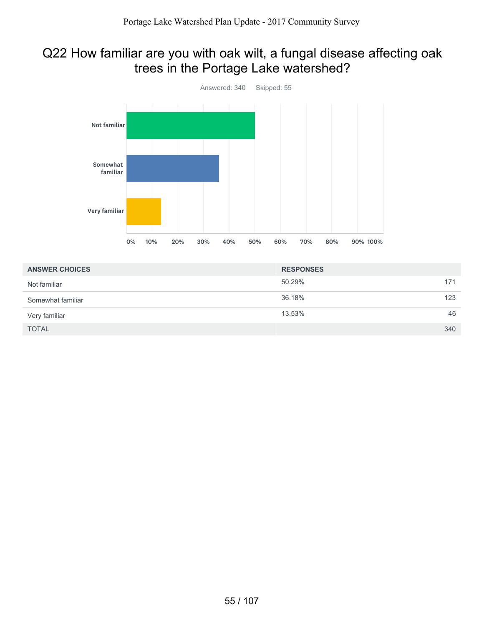## Q22 How familiar are you with oak wilt, a fungal disease affecting oak trees in the Portage Lake watershed?



| <b>ANSWER CHOICES</b> | <b>RESPONSES</b> |     |
|-----------------------|------------------|-----|
| Not familiar          | 50.29%           | 171 |
| Somewhat familiar     | 36.18%           | 123 |
| Very familiar         | 13.53%           | 46  |
| <b>TOTAL</b>          |                  | 340 |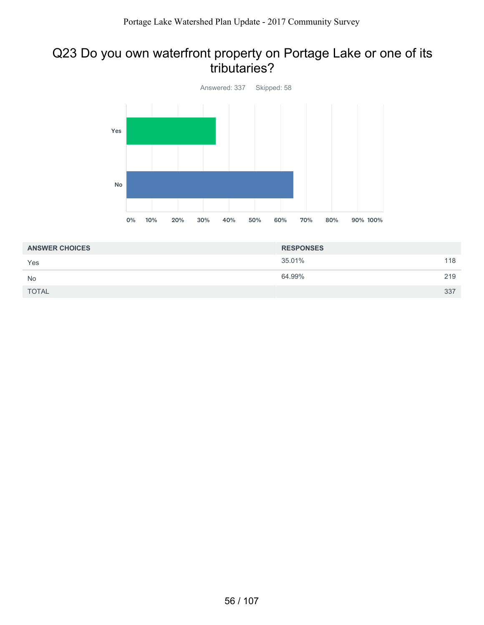#### Q23 Do you own waterfront property on Portage Lake or one of its tributaries?



| <b>RESPONSES</b> |     |
|------------------|-----|
| 35.01%           | 118 |
| 64.99%           | 219 |
|                  | 337 |
|                  |     |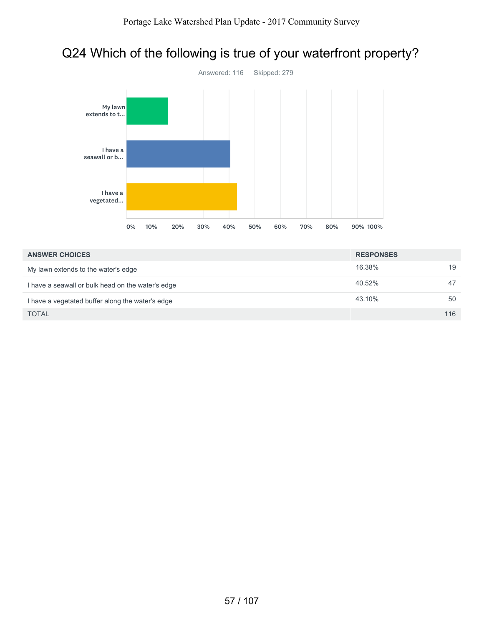# Q24 Which of the following is true of your waterfront property?



| <b>ANSWER CHOICES</b>                             | <b>RESPONSES</b> |     |
|---------------------------------------------------|------------------|-----|
| My lawn extends to the water's edge               | 16.38%           | 19  |
| I have a seawall or bulk head on the water's edge | 40.52%           | 47  |
| I have a vegetated buffer along the water's edge  | 43.10%           | 50  |
| <b>TOTAL</b>                                      |                  | 116 |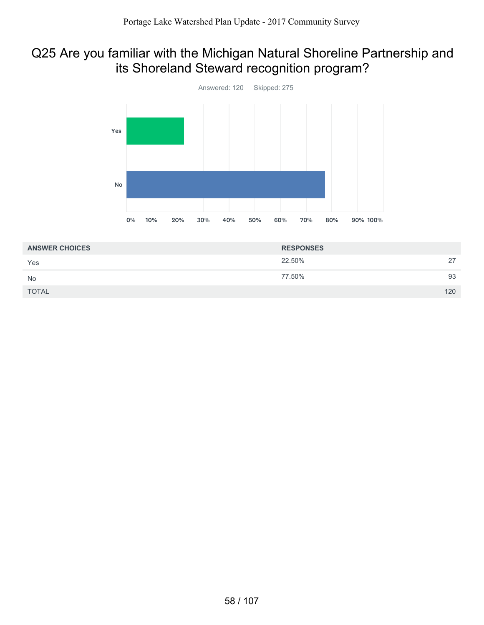## Q25 Are you familiar with the Michigan Natural Shoreline Partnership and its Shoreland Steward recognition program?



| <b>ANSWER CHOICES</b> | <b>RESPONSES</b> |     |
|-----------------------|------------------|-----|
| Yes                   | 22.50%           | 27  |
| <b>No</b>             | 77.50%           | 93  |
| <b>TOTAL</b>          |                  | 120 |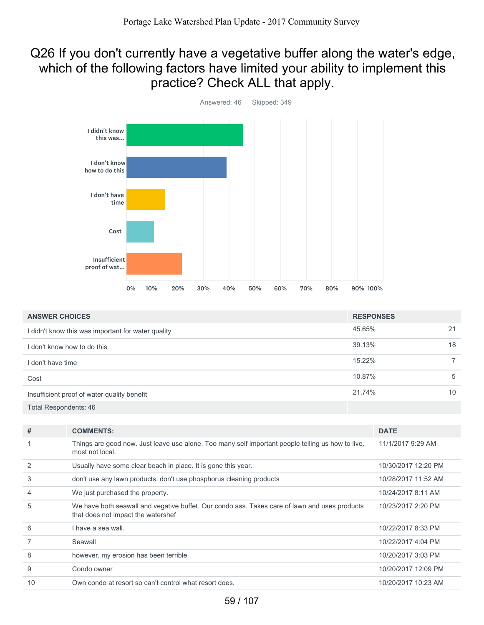## Q26 If you don't currently have a vegetative buffer along the water's edge, which of the following factors have limited your ability to implement this practice? Check ALL that apply.



| <b>ANSWER CHOICES</b>                              | <b>RESPONSES</b> |    |
|----------------------------------------------------|------------------|----|
| I didn't know this was important for water quality | 45.65%           | 21 |
| I don't know how to do this                        | 39.13%           | 18 |
| I don't have time                                  | 15.22%           |    |
| Cost                                               | 10.87%           | 5  |
| Insufficient proof of water quality benefit        | 21.74%           | 10 |
| Total Respondents: 46                              |                  |    |

| #  | <b>COMMENTS:</b>                                                                                                                    | <b>DATE</b>         |
|----|-------------------------------------------------------------------------------------------------------------------------------------|---------------------|
|    | Things are good now. Just leave use alone. Too many self important people telling us how to live.<br>most not local.                | 11/1/2017 9:29 AM   |
| 2  | Usually have some clear beach in place. It is gone this year.                                                                       | 10/30/2017 12:20 PM |
| 3  | don't use any lawn products, don't use phosphorus cleaning products                                                                 | 10/28/2017 11:52 AM |
| 4  | We just purchased the property.                                                                                                     | 10/24/2017 8:11 AM  |
| 5  | We have both seawall and vegative buffet. Our condo ass. Takes care of lawn and uses products<br>that does not impact the watershef | 10/23/2017 2:20 PM  |
| 6  | I have a sea wall.                                                                                                                  | 10/22/2017 8:33 PM  |
|    | Seawall                                                                                                                             | 10/22/2017 4:04 PM  |
| 8  | however, my erosion has been terrible                                                                                               | 10/20/2017 3:03 PM  |
| 9  | Condo owner                                                                                                                         | 10/20/2017 12:09 PM |
| 10 | Own condo at resort so can't control what resort does.                                                                              | 10/20/2017 10:23 AM |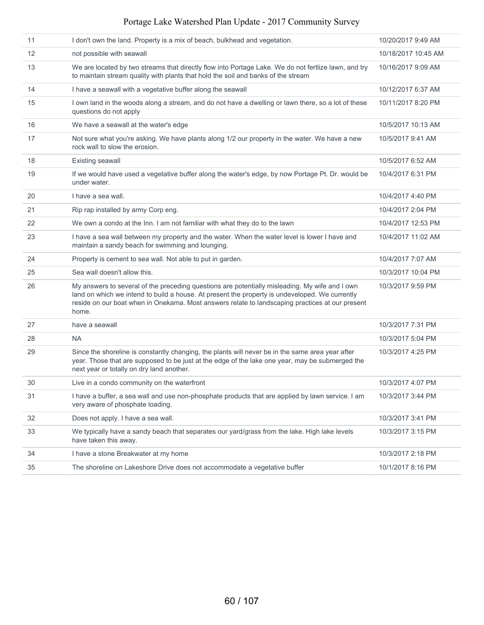| 11 | I don't own the land. Property is a mix of beach, bulkhead and vegetation.                                                                                                                                                                                                                                   | 10/20/2017 9:49 AM  |
|----|--------------------------------------------------------------------------------------------------------------------------------------------------------------------------------------------------------------------------------------------------------------------------------------------------------------|---------------------|
| 12 | not possible with seawall                                                                                                                                                                                                                                                                                    | 10/18/2017 10:45 AM |
| 13 | We are located by two streams that directly flow into Portage Lake. We do not fertlize lawn, and try<br>to maintain stream quality with plants that hold the soil and banks of the stream                                                                                                                    | 10/16/2017 9:09 AM  |
| 14 | I have a seawall with a vegetative buffer along the seawall                                                                                                                                                                                                                                                  | 10/12/2017 6:37 AM  |
| 15 | I own land in the woods along a stream, and do not have a dwelling or lawn there, so a lot of these<br>questions do not apply                                                                                                                                                                                | 10/11/2017 8:20 PM  |
| 16 | We have a seawall at the water's edge                                                                                                                                                                                                                                                                        | 10/5/2017 10:13 AM  |
| 17 | Not sure what you're asking. We have plants along 1/2 our property in the water. We have a new<br>rock wall to slow the erosion.                                                                                                                                                                             | 10/5/2017 9:41 AM   |
| 18 | Existing seawall                                                                                                                                                                                                                                                                                             | 10/5/2017 6:52 AM   |
| 19 | If we would have used a vegetative buffer along the water's edge, by now Portage Pt. Dr. would be<br>under water.                                                                                                                                                                                            | 10/4/2017 6:31 PM   |
| 20 | I have a sea wall.                                                                                                                                                                                                                                                                                           | 10/4/2017 4:40 PM   |
| 21 | Rip rap installed by army Corp eng.                                                                                                                                                                                                                                                                          | 10/4/2017 2:04 PM   |
| 22 | We own a condo at the Inn. I am not familiar with what they do to the lawn                                                                                                                                                                                                                                   | 10/4/2017 12:53 PM  |
| 23 | I have a sea wall between my property and the water. When the water level is lower I have and<br>maintain a sandy beach for swimming and lounging.                                                                                                                                                           | 10/4/2017 11:02 AM  |
| 24 | Property is cement to sea wall. Not able to put in garden.                                                                                                                                                                                                                                                   | 10/4/2017 7:07 AM   |
| 25 | Sea wall doesn't allow this.                                                                                                                                                                                                                                                                                 | 10/3/2017 10:04 PM  |
| 26 | My answers to several of the preceding questions are potentially misleading. My wife and I own<br>land on which we intend to build a house. At present the property is undeveloped. We currently<br>reside on our boat when in Onekama. Most answers relate to landscaping practices at our present<br>home. | 10/3/2017 9:59 PM   |
| 27 | have a seawall                                                                                                                                                                                                                                                                                               | 10/3/2017 7:31 PM   |
| 28 | NA.                                                                                                                                                                                                                                                                                                          | 10/3/2017 5:04 PM   |
| 29 | Since the shoreline is constantly changing, the plants will never be in the same area year after<br>year. Those that are supposed to be just at the edge of the lake one year, may be submerged the<br>next year or totally on dry land another.                                                             | 10/3/2017 4:25 PM   |
| 30 | Live in a condo community on the waterfront                                                                                                                                                                                                                                                                  | 10/3/2017 4:07 PM   |
| 31 | I have a buffer, a sea wall and use non-phosphate products that are applied by lawn service. I am<br>very aware of phosphate loading.                                                                                                                                                                        | 10/3/2017 3:44 PM   |
| 32 | Does not apply. I have a sea wall.                                                                                                                                                                                                                                                                           | 10/3/2017 3:41 PM   |
| 33 | We typically have a sandy beach that separates our yard/grass from the lake. High lake levels<br>have taken this away.                                                                                                                                                                                       | 10/3/2017 3:15 PM   |
| 34 | I have a stone Breakwater at my home                                                                                                                                                                                                                                                                         | 10/3/2017 2:18 PM   |
| 35 | The shoreline on Lakeshore Drive does not accommodate a vegetative buffer                                                                                                                                                                                                                                    | 10/1/2017 8:16 PM   |
|    |                                                                                                                                                                                                                                                                                                              |                     |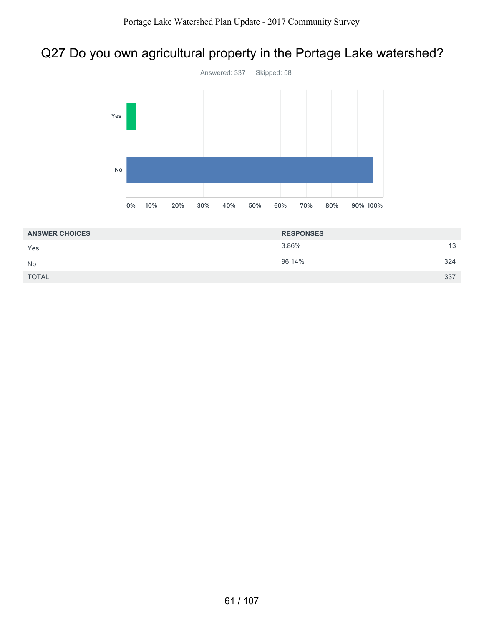# Q27 Do you own agricultural property in the Portage Lake watershed?



| <b>ANSWER CHOICES</b> | <b>RESPONSES</b> |     |
|-----------------------|------------------|-----|
| Yes                   | 3.86%            | 13  |
| No                    | 96.14%           | 324 |
| <b>TOTAL</b>          |                  | 337 |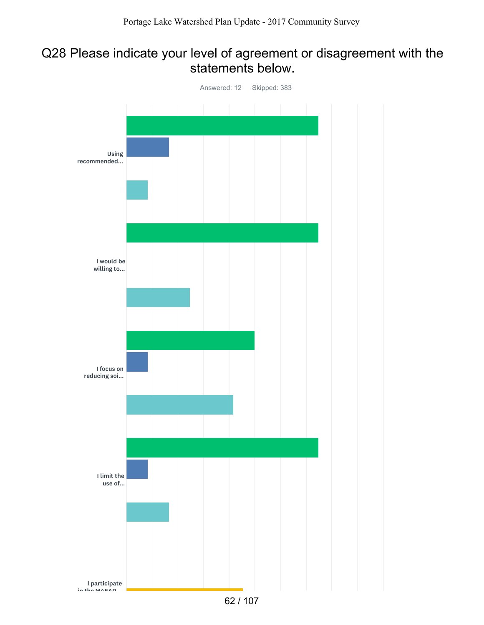## Q28 Please indicate your level of agreement or disagreement with the statements below.

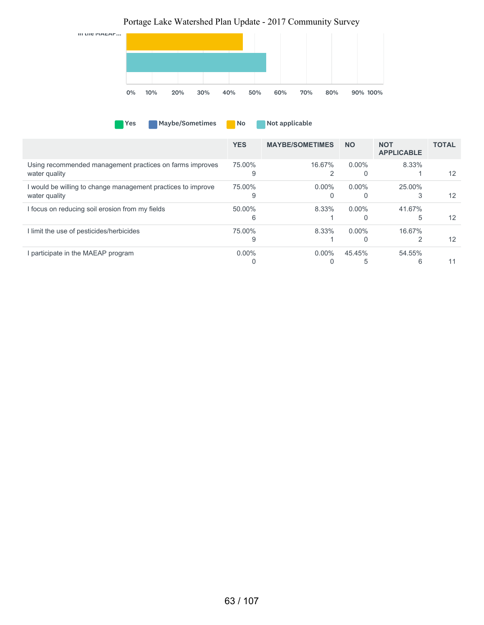# Yes Maybe/Sometimes No Not applicable in the MAEAP... 0% 10% 20% 30% 40% 50% 60% 70% 80% 90% 100% Portage Lake Watershed Plan Update - 2017 Community Survey

|                                                              | <b>YES</b> | <b>MAYBE/SOMETIMES</b> | <b>NO</b> | <b>NOT</b><br><b>APPLICABLE</b> | <b>TOTAL</b> |
|--------------------------------------------------------------|------------|------------------------|-----------|---------------------------------|--------------|
| Using recommended management practices on farms improves     | 75.00%     | 16.67%                 | $0.00\%$  | 8.33%                           |              |
| water quality                                                | Ω          |                        |           |                                 | 12           |
| I would be willing to change management practices to improve | 75.00%     | $0.00\%$               | $0.00\%$  | 25.00%                          |              |
| water quality                                                |            |                        | 0         | 3                               | 12           |
| I focus on reducing soil erosion from my fields              | 50.00%     | 8.33%                  | $0.00\%$  | 41.67%                          |              |
|                                                              | 6          |                        | $\Omega$  | 5                               | 12           |
| I limit the use of pesticides/herbicides                     | 75.00%     | 8.33%                  | $0.00\%$  | 16.67%                          |              |
|                                                              | 9          |                        | $\Omega$  |                                 | 12           |
| I participate in the MAEAP program                           | $0.00\%$   | $0.00\%$               | 45.45%    | 54.55%                          |              |
|                                                              |            |                        |           | 6                               |              |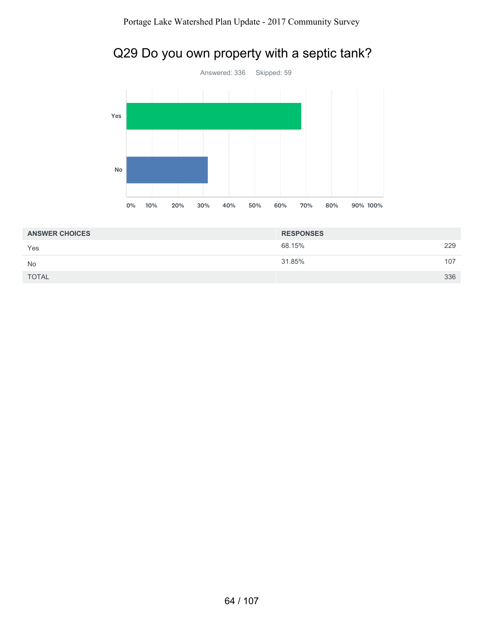



| <b>ANSWER CHOICES</b> | <b>RESPONSES</b> |     |
|-----------------------|------------------|-----|
| Yes                   | 68.15%           | 229 |
| <b>No</b>             | 31.85%           | 107 |
| <b>TOTAL</b>          |                  | 336 |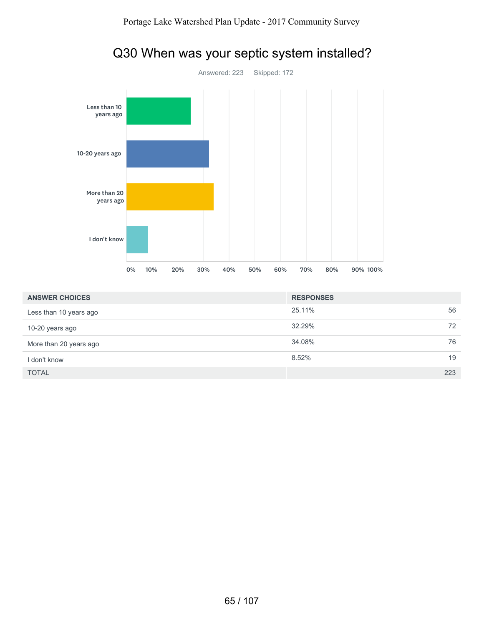

# Q30 When was your septic system installed?

| <b>ANSWER CHOICES</b>  | <b>RESPONSES</b> |     |
|------------------------|------------------|-----|
| Less than 10 years ago | 25.11%           | 56  |
| 10-20 years ago        | 32.29%           | 72  |
| More than 20 years ago | 34.08%           | 76  |
| I don't know           | 8.52%            | 19  |
| <b>TOTAL</b>           |                  | 223 |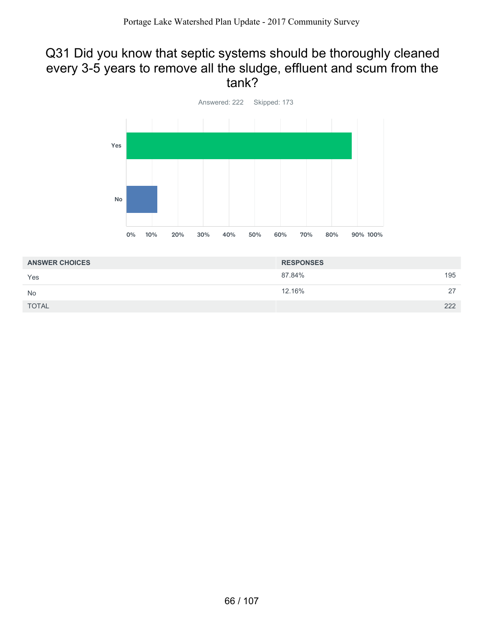#### Q31 Did you know that septic systems should be thoroughly cleaned every 3-5 years to remove all the sludge, effluent and scum from the tank?



| <b>ANSWER CHOICES</b> | <b>RESPONSES</b> |     |
|-----------------------|------------------|-----|
| Yes                   | 87.84%           | 195 |
| <b>No</b>             | 12.16%           | 27  |
| <b>TOTAL</b>          |                  | 222 |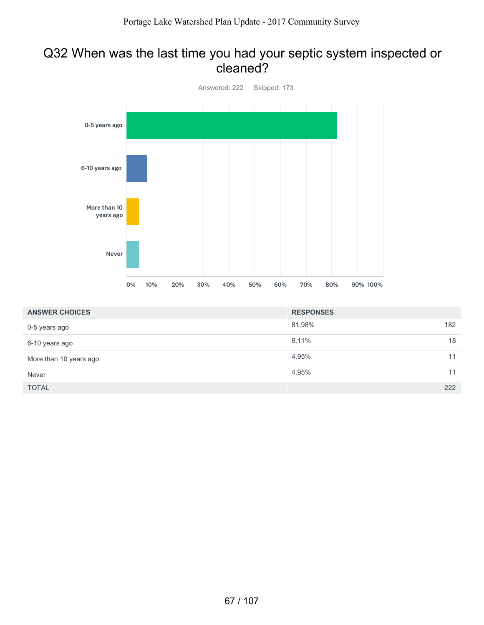#### Q32 When was the last time you had your septic system inspected or cleaned?



| <b>ANSWER CHOICES</b>  | <b>RESPONSES</b> |     |
|------------------------|------------------|-----|
| 0-5 years ago          | 81.98%           | 182 |
| 6-10 years ago         | 8.11%            | 18  |
| More than 10 years ago | 4.95%            | 11  |
| Never                  | 4.95%            | 11  |
| <b>TOTAL</b>           |                  | 222 |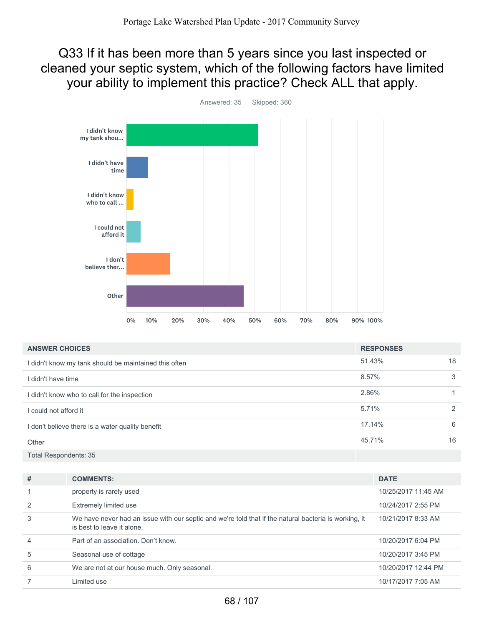Q33 If it has been more than 5 years since you last inspected or cleaned your septic system, which of the following factors have limited your ability to implement this practice? Check ALL that apply.



51.43% 18 8.57% 3 2.86% 1 5.71% 2 17.14% 6 45.71% 16 Total Respondents: 35 **ANSWER CHOICES RESPONSES** I didn't know my tank should be maintained this often I didn't have time I didn't know who to call for the inspection I could not afford it I don't believe there is a water quality benefit **Other** 

| #              | <b>COMMENTS:</b>                                                                                                                    | <b>DATE</b>         |
|----------------|-------------------------------------------------------------------------------------------------------------------------------------|---------------------|
|                | property is rarely used                                                                                                             | 10/25/2017 11:45 AM |
| $\overline{2}$ | Extremely limited use                                                                                                               | 10/24/2017 2:55 PM  |
| 3              | We have never had an issue with our septic and we're told that if the natural bacteria is working, it<br>is best to leave it alone. | 10/21/2017 8:33 AM  |
| $\overline{4}$ | Part of an association. Don't know.                                                                                                 | 10/20/2017 6:04 PM  |
| 5              | Seasonal use of cottage                                                                                                             | 10/20/2017 3:45 PM  |
| 6              | We are not at our house much. Only seasonal.                                                                                        | 10/20/2017 12:44 PM |
|                | Limited use                                                                                                                         | 10/17/2017 7:05 AM  |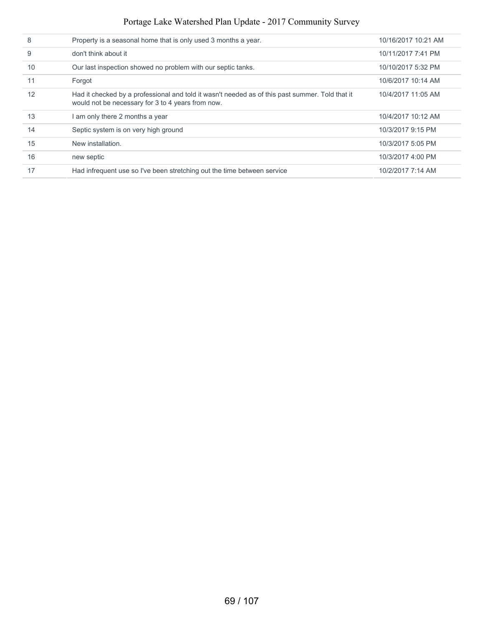| 8  | Property is a seasonal home that is only used 3 months a year.                                                                                       | 10/16/2017 10:21 AM |
|----|------------------------------------------------------------------------------------------------------------------------------------------------------|---------------------|
| 9  | don't think about it                                                                                                                                 | 10/11/2017 7:41 PM  |
| 10 | Our last inspection showed no problem with our septic tanks.                                                                                         | 10/10/2017 5:32 PM  |
| 11 | Forgot                                                                                                                                               | 10/6/2017 10:14 AM  |
| 12 | Had it checked by a professional and told it wasn't needed as of this past summer. Told that it<br>would not be necessary for 3 to 4 years from now. | 10/4/2017 11:05 AM  |
| 13 | am only there 2 months a year                                                                                                                        | 10/4/2017 10:12 AM  |
| 14 | Septic system is on very high ground                                                                                                                 | 10/3/2017 9:15 PM   |
| 15 | New installation.                                                                                                                                    | 10/3/2017 5:05 PM   |
| 16 | new septic                                                                                                                                           | 10/3/2017 4:00 PM   |
| 17 | Had infrequent use so I've been stretching out the time between service                                                                              | 10/2/2017 7:14 AM   |
|    |                                                                                                                                                      |                     |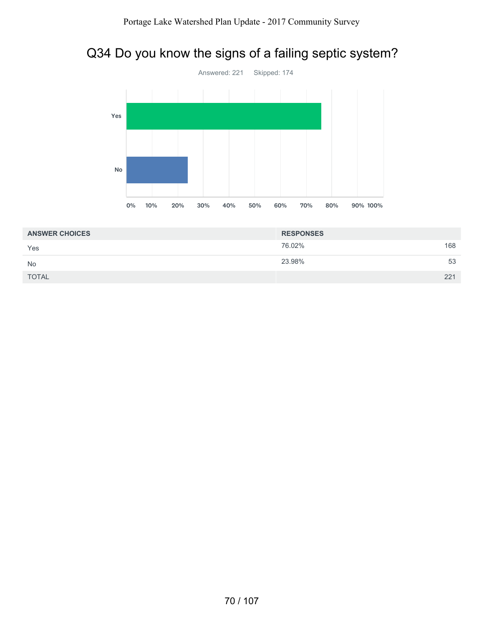# Q34 Do you know the signs of a failing septic system?



| <b>ANSWER CHOICES</b> | <b>RESPONSES</b> |     |
|-----------------------|------------------|-----|
| Yes                   | 76.02%           | 168 |
| <b>No</b>             | 23.98%           | 53  |
| <b>TOTAL</b>          |                  | 221 |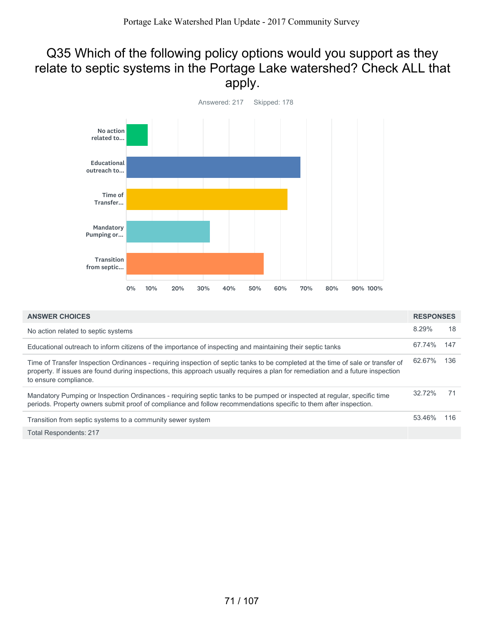## Q35 Which of the following policy options would you support as they relate to septic systems in the Portage Lake watershed? Check ALL that apply.



| <b>ANSWER CHOICES</b>                                                                                                                                                                                                                                                                        |        | <b>RESPONSES</b> |
|----------------------------------------------------------------------------------------------------------------------------------------------------------------------------------------------------------------------------------------------------------------------------------------------|--------|------------------|
| No action related to septic systems                                                                                                                                                                                                                                                          | 8.29%  | 18               |
| Educational outreach to inform citizens of the importance of inspecting and maintaining their septic tanks                                                                                                                                                                                   | 67.74% | 147              |
| Time of Transfer Inspection Ordinances - requiring inspection of septic tanks to be completed at the time of sale or transfer of<br>property. If issues are found during inspections, this approach usually requires a plan for remediation and a future inspection<br>to ensure compliance. | 62.67% | 136              |
| Mandatory Pumping or Inspection Ordinances - requiring septic tanks to be pumped or inspected at regular, specific time<br>periods. Property owners submit proof of compliance and follow recommendations specific to them after inspection.                                                 | 32.72% | 71               |
| Transition from septic systems to a community sewer system                                                                                                                                                                                                                                   | 53.46% | 116              |
| <b>Total Respondents: 217</b>                                                                                                                                                                                                                                                                |        |                  |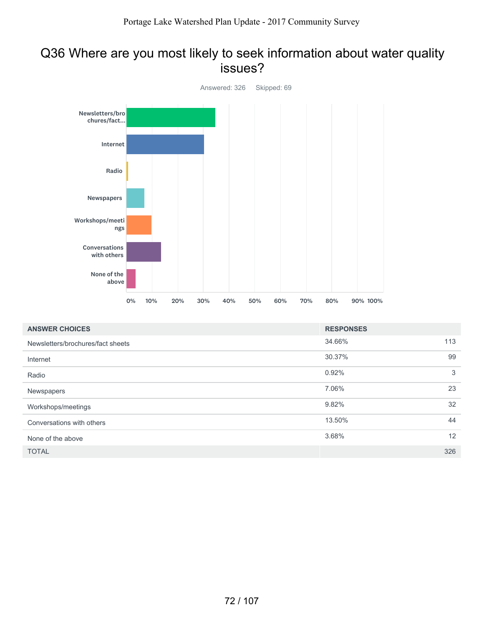#### Q36 Where are you most likely to seek information about water quality issues?



| <b>ANSWER CHOICES</b>             | <b>RESPONSES</b> |     |
|-----------------------------------|------------------|-----|
| Newsletters/brochures/fact sheets | 34.66%           | 113 |
| Internet                          | 30.37%           | 99  |
| Radio                             | 0.92%            | 3   |
| Newspapers                        | 7.06%            | 23  |
| Workshops/meetings                | 9.82%            | 32  |
| Conversations with others         | 13.50%           | 44  |
| None of the above                 | 3.68%            | 12  |
| <b>TOTAL</b>                      |                  | 326 |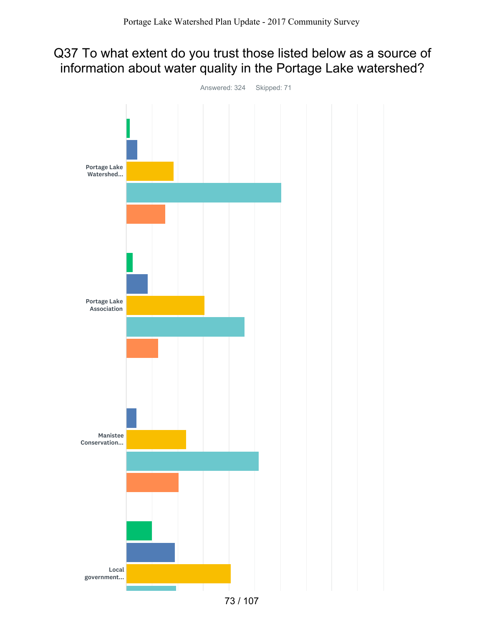## Q37 To what extent do you trust those listed below as a source of information about water quality in the Portage Lake watershed?

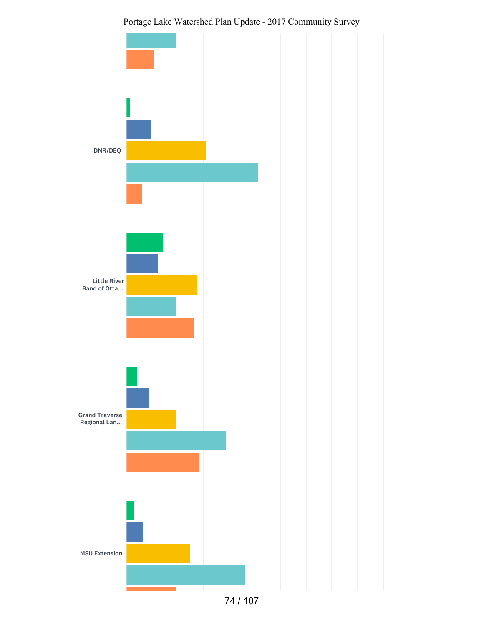

Portage Lake Watershed Plan Update - 2017 Community Survey

74 / 107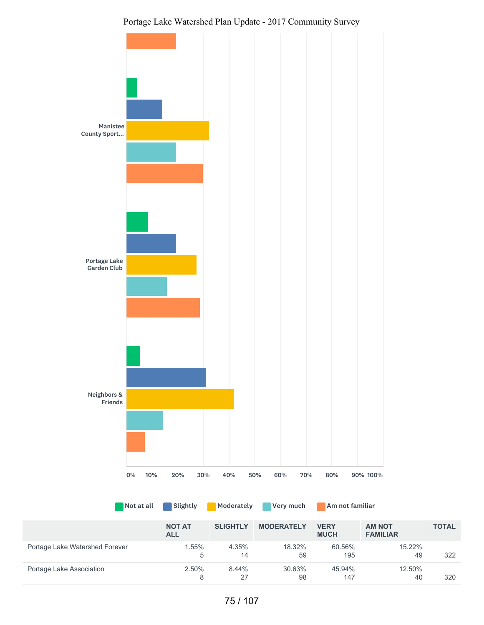

|                                | <b>NOT AT</b><br><b>ALL</b> | <b>SLIGHTLY</b> | <b>MODERATELY</b> | <b>VERY</b><br><b>MUCH</b> | <b>AM NOT</b><br><b>FAMILIAR</b> | <b>TOTAL</b> |
|--------------------------------|-----------------------------|-----------------|-------------------|----------------------------|----------------------------------|--------------|
| Portage Lake Watershed Forever | 1.55%<br>5                  | 4.35%<br>14     | 18.32%<br>59      | 60.56%<br>195              | $15.22\%$<br>49                  | 322          |
| Portage Lake Association       | 2.50%<br>8                  | 8.44%<br>27     | 30.63%<br>98      | 45.94%<br>147              | 12.50%<br>40                     | 320          |

Not at all Slightly Moderately Very much Am not familiar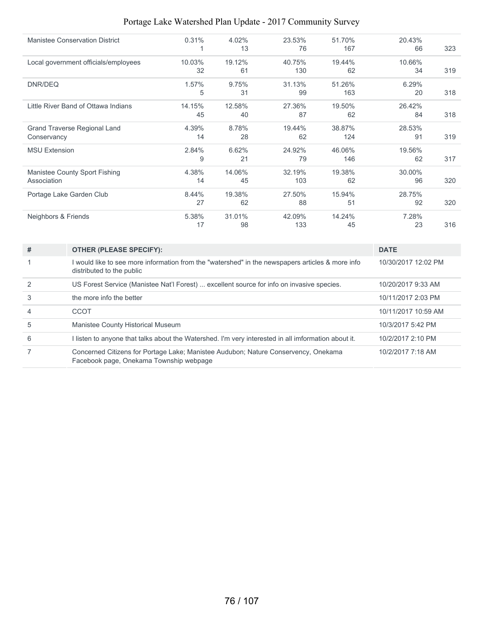| <b>Manistee Conservation District</b> | 0.31%  | 4.02%  | 23.53% | 51.70% | 20.43% |     |
|---------------------------------------|--------|--------|--------|--------|--------|-----|
|                                       | 1      | 13     | 76     | 167    | 66     | 323 |
| Local government officials/employees  | 10.03% | 19.12% | 40.75% | 19.44% | 10.66% |     |
|                                       | 32     | 61     | 130    | 62     | 34     | 319 |
| DNR/DEQ                               | 1.57%  | 9.75%  | 31.13% | 51.26% | 6.29%  |     |
|                                       | 5      | 31     | 99     | 163    | 20     | 318 |
| Little River Band of Ottawa Indians   | 14.15% | 12.58% | 27.36% | 19.50% | 26.42% |     |
|                                       | 45     | 40     | 87     | 62     | 84     | 318 |
| <b>Grand Traverse Regional Land</b>   | 4.39%  | 8.78%  | 19.44% | 38.87% | 28.53% |     |
| Conservancy                           | 14     | 28     | 62     | 124    | 91     | 319 |
| <b>MSU Extension</b>                  | 2.84%  | 6.62%  | 24.92% | 46.06% | 19.56% |     |
|                                       | 9      | 21     | 79     | 146    | 62     | 317 |
| Manistee County Sport Fishing         | 4.38%  | 14.06% | 32.19% | 19.38% | 30.00% |     |
| Association                           | 14     | 45     | 103    | 62     | 96     | 320 |
| Portage Lake Garden Club              | 8.44%  | 19.38% | 27.50% | 15.94% | 28.75% |     |
|                                       | 27     | 62     | 88     | 51     | 92     | 320 |
| Neighbors & Friends                   | 5.38%  | 31.01% | 42.09% | 14.24% | 7.28%  |     |
|                                       | 17     | 98     | 133    | 45     | 23     | 316 |

| # | <b>OTHER (PLEASE SPECIFY):</b>                                                                                                | <b>DATE</b>         |
|---|-------------------------------------------------------------------------------------------------------------------------------|---------------------|
|   | would like to see more information from the "watershed" in the newspapers articles & more info<br>distributed to the public   | 10/30/2017 12:02 PM |
|   | US Forest Service (Manistee Nat'l Forest)  excellent source for info on invasive species.                                     | 10/20/2017 9:33 AM  |
|   | the more info the better                                                                                                      | 10/11/2017 2:03 PM  |
| 4 | <b>CCOT</b>                                                                                                                   | 10/11/2017 10:59 AM |
| 5 | Manistee County Historical Museum                                                                                             | 10/3/2017 5:42 PM   |
| 6 | listen to anyone that talks about the Watershed. I'm very interested in all imformation about it.                             | 10/2/2017 2:10 PM   |
|   | Concerned Citizens for Portage Lake; Manistee Audubon; Nature Conservency, Onekama<br>Facebook page, Onekama Township webpage | 10/2/2017 7:18 AM   |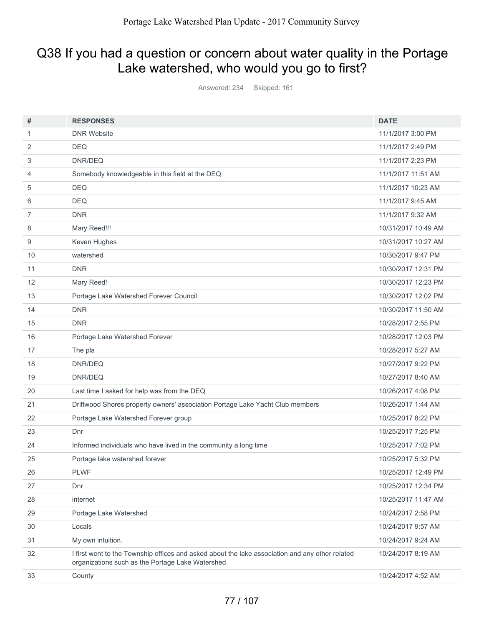# Q38 If you had a question or concern about water quality in the Portage Lake watershed, who would you go to first?

Answered: 234 Skipped: 161

| #              | <b>RESPONSES</b>                                                                                                                                     | <b>DATE</b>         |
|----------------|------------------------------------------------------------------------------------------------------------------------------------------------------|---------------------|
| 1              | <b>DNR Website</b>                                                                                                                                   | 11/1/2017 3:00 PM   |
| 2              | <b>DEQ</b>                                                                                                                                           | 11/1/2017 2:49 PM   |
| 3              | DNR/DEQ                                                                                                                                              | 11/1/2017 2:23 PM   |
| 4              | Somebody knowledgeable in this field at the DEQ.                                                                                                     | 11/1/2017 11:51 AM  |
| 5              | <b>DEQ</b>                                                                                                                                           | 11/1/2017 10:23 AM  |
| 6              | <b>DEQ</b>                                                                                                                                           | 11/1/2017 9:45 AM   |
| $\overline{7}$ | <b>DNR</b>                                                                                                                                           | 11/1/2017 9:32 AM   |
| 8              | Mary Reed!!!                                                                                                                                         | 10/31/2017 10:49 AM |
| 9              | Keven Hughes                                                                                                                                         | 10/31/2017 10:27 AM |
| 10             | watershed                                                                                                                                            | 10/30/2017 9:47 PM  |
| 11             | <b>DNR</b>                                                                                                                                           | 10/30/2017 12:31 PM |
| 12             | Mary Reed!                                                                                                                                           | 10/30/2017 12:23 PM |
| 13             | Portage Lake Watershed Forever Council                                                                                                               | 10/30/2017 12:02 PM |
| 14             | <b>DNR</b>                                                                                                                                           | 10/30/2017 11:50 AM |
| 15             | <b>DNR</b>                                                                                                                                           | 10/28/2017 2:55 PM  |
| 16             | Portage Lake Watershed Forever                                                                                                                       | 10/28/2017 12:03 PM |
| 17             | The pla                                                                                                                                              | 10/28/2017 5:27 AM  |
| 18             | DNR/DEQ                                                                                                                                              | 10/27/2017 9:22 PM  |
| 19             | DNR/DEQ                                                                                                                                              | 10/27/2017 8:40 AM  |
| 20             | Last time I asked for help was from the DEQ                                                                                                          | 10/26/2017 4:08 PM  |
| 21             | Driftwood Shores property owners' association Portage Lake Yacht Club members                                                                        | 10/26/2017 1:44 AM  |
| 22             | Portage Lake Watershed Forever group                                                                                                                 | 10/25/2017 8:22 PM  |
| 23             | Dnr                                                                                                                                                  | 10/25/2017 7:25 PM  |
| 24             | Informed individuals who have lived in the community a long time                                                                                     | 10/25/2017 7:02 PM  |
| 25             | Portage lake watershed forever                                                                                                                       | 10/25/2017 5:32 PM  |
| 26             | <b>PLWF</b>                                                                                                                                          | 10/25/2017 12:49 PM |
| 27             | Dnr                                                                                                                                                  | 10/25/2017 12:34 PM |
| 28             | internet                                                                                                                                             | 10/25/2017 11:47 AM |
| 29             | Portage Lake Watershed                                                                                                                               | 10/24/2017 2:58 PM  |
| 30             | Locals                                                                                                                                               | 10/24/2017 9:57 AM  |
| 31             | My own intuition.                                                                                                                                    | 10/24/2017 9:24 AM  |
| 32             | I first went to the Township offices and asked about the lake association and any other related<br>organizations such as the Portage Lake Watershed. | 10/24/2017 8:19 AM  |
| 33             | County                                                                                                                                               | 10/24/2017 4:52 AM  |
|                |                                                                                                                                                      |                     |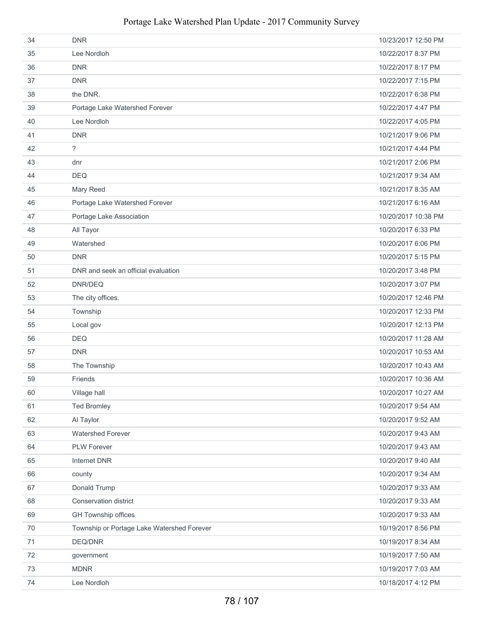| 34     | <b>DNR</b>                                 | 10/23/2017 12:50 PM |
|--------|--------------------------------------------|---------------------|
| 35     | Lee Nordloh                                | 10/22/2017 8:37 PM  |
| 36     | <b>DNR</b>                                 | 10/22/2017 8:17 PM  |
| 37     | <b>DNR</b>                                 | 10/22/2017 7:15 PM  |
| 38     | the DNR.                                   | 10/22/2017 6:38 PM  |
| 39     | Portage Lake Watershed Forever             | 10/22/2017 4:47 PM  |
| 40     | Lee Nordloh                                | 10/22/2017 4:05 PM  |
| 41     | <b>DNR</b>                                 | 10/21/2017 9:06 PM  |
| 42     | $\tilde{?}$                                | 10/21/2017 4:44 PM  |
| 43     | dnr                                        | 10/21/2017 2:06 PM  |
| 44     | <b>DEQ</b>                                 | 10/21/2017 9:34 AM  |
| 45     | Mary Reed                                  | 10/21/2017 8:35 AM  |
| 46     | Portage Lake Watershed Forever             | 10/21/2017 6:16 AM  |
| 47     | Portage Lake Association                   | 10/20/2017 10:38 PM |
| 48     | All Tayor                                  | 10/20/2017 6:33 PM  |
| 49     | Watershed                                  | 10/20/2017 6:06 PM  |
| 50     | <b>DNR</b>                                 | 10/20/2017 5:15 PM  |
| 51     | DNR and seek an official evaluation        | 10/20/2017 3:48 PM  |
| 52     | DNR/DEQ                                    | 10/20/2017 3:07 PM  |
| 53     | The city offices.                          | 10/20/2017 12:46 PM |
| 54     | Township                                   | 10/20/2017 12:33 PM |
| 55     | Local gov                                  | 10/20/2017 12:13 PM |
| 56     | <b>DEQ</b>                                 | 10/20/2017 11:28 AM |
| 57     | <b>DNR</b>                                 | 10/20/2017 10:53 AM |
| 58     | The Township                               | 10/20/2017 10:43 AM |
| 59     | Friends                                    | 10/20/2017 10:36 AM |
| 60     | Village hall                               | 10/20/2017 10:27 AM |
| 61     | <b>Ted Bromley</b>                         | 10/20/2017 9:54 AM  |
| 62     | Al Taylor                                  | 10/20/2017 9:52 AM  |
| 63     | <b>Watershed Forever</b>                   | 10/20/2017 9:43 AM  |
| 64     | PLW Forever                                | 10/20/2017 9:43 AM  |
| 65     | Internet DNR                               | 10/20/2017 9:40 AM  |
| 66     | county                                     | 10/20/2017 9:34 AM  |
| 67     | Donald Trump                               | 10/20/2017 9:33 AM  |
| 68     | Conservation district                      | 10/20/2017 9:33 AM  |
| 69     | GH Township offices                        | 10/20/2017 9:33 AM  |
| $70\,$ | Township or Portage Lake Watershed Forever | 10/19/2017 8:56 PM  |
| 71     | DEQ/DNR                                    | 10/19/2017 8:34 AM  |
| 72     | government                                 | 10/19/2017 7:50 AM  |
| 73     | <b>MDNR</b>                                | 10/19/2017 7:03 AM  |
| 74     | Lee Nordloh                                | 10/18/2017 4:12 PM  |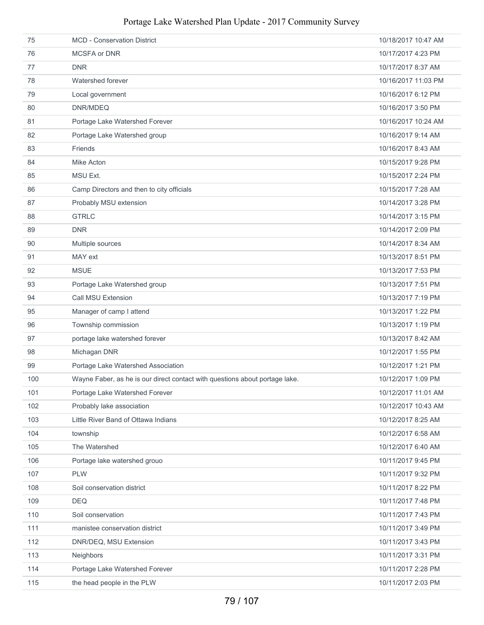| 75  | <b>MCD</b> - Conservation District                                          | 10/18/2017 10:47 AM |
|-----|-----------------------------------------------------------------------------|---------------------|
| 76  | <b>MCSFA or DNR</b>                                                         | 10/17/2017 4:23 PM  |
| 77  | <b>DNR</b>                                                                  | 10/17/2017 8:37 AM  |
| 78  | Watershed forever                                                           | 10/16/2017 11:03 PM |
| 79  | Local government                                                            | 10/16/2017 6:12 PM  |
| 80  | DNR/MDEQ                                                                    | 10/16/2017 3:50 PM  |
| 81  | Portage Lake Watershed Forever                                              | 10/16/2017 10:24 AM |
| 82  | Portage Lake Watershed group                                                | 10/16/2017 9:14 AM  |
| 83  | Friends                                                                     | 10/16/2017 8:43 AM  |
| 84  | Mike Acton                                                                  | 10/15/2017 9:28 PM  |
| 85  | MSU Ext.                                                                    | 10/15/2017 2:24 PM  |
| 86  | Camp Directors and then to city officials                                   | 10/15/2017 7:28 AM  |
| 87  | Probably MSU extension                                                      | 10/14/2017 3:28 PM  |
| 88  | <b>GTRLC</b>                                                                | 10/14/2017 3:15 PM  |
| 89  | <b>DNR</b>                                                                  | 10/14/2017 2:09 PM  |
| 90  | Multiple sources                                                            | 10/14/2017 8:34 AM  |
| 91  | MAY ext                                                                     | 10/13/2017 8:51 PM  |
| 92  | <b>MSUE</b>                                                                 | 10/13/2017 7:53 PM  |
| 93  | Portage Lake Watershed group                                                | 10/13/2017 7:51 PM  |
| 94  | Call MSU Extension                                                          | 10/13/2017 7:19 PM  |
| 95  | Manager of camp I attend                                                    | 10/13/2017 1:22 PM  |
| 96  | Township commission                                                         | 10/13/2017 1:19 PM  |
| 97  | portage lake watershed forever                                              | 10/13/2017 8:42 AM  |
| 98  | Michagan DNR                                                                | 10/12/2017 1:55 PM  |
| 99  | Portage Lake Watershed Association                                          | 10/12/2017 1:21 PM  |
| 100 | Wayne Faber, as he is our direct contact with questions about portage lake. | 10/12/2017 1:09 PM  |
| 101 | Portage Lake Watershed Forever                                              | 10/12/2017 11:01 AM |
| 102 | Probably lake association                                                   | 10/12/2017 10:43 AM |
| 103 | Little River Band of Ottawa Indians                                         | 10/12/2017 8:25 AM  |
| 104 | township                                                                    | 10/12/2017 6:58 AM  |
| 105 | The Watershed                                                               | 10/12/2017 6:40 AM  |
| 106 | Portage lake watershed grouo                                                | 10/11/2017 9:45 PM  |
| 107 | <b>PLW</b>                                                                  | 10/11/2017 9:32 PM  |
| 108 | Soil conservation district                                                  | 10/11/2017 8:22 PM  |
| 109 | <b>DEQ</b>                                                                  | 10/11/2017 7:48 PM  |
| 110 | Soil conservation                                                           | 10/11/2017 7:43 PM  |
| 111 | manistee conservation district                                              | 10/11/2017 3:49 PM  |
| 112 | DNR/DEQ, MSU Extension                                                      | 10/11/2017 3:43 PM  |
| 113 | Neighbors                                                                   | 10/11/2017 3:31 PM  |
| 114 | Portage Lake Watershed Forever                                              | 10/11/2017 2:28 PM  |
| 115 | the head people in the PLW                                                  | 10/11/2017 2:03 PM  |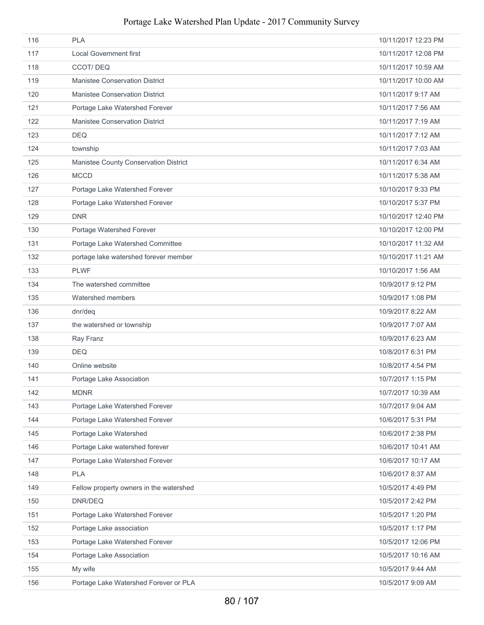| 116 | <b>PLA</b>                              | 10/11/2017 12:23 PM |
|-----|-----------------------------------------|---------------------|
| 117 | <b>Local Government first</b>           | 10/11/2017 12:08 PM |
| 118 | CCOT/DEQ                                | 10/11/2017 10:59 AM |
| 119 | <b>Manistee Conservation District</b>   | 10/11/2017 10:00 AM |
| 120 | <b>Manistee Conservation District</b>   | 10/11/2017 9:17 AM  |
| 121 | Portage Lake Watershed Forever          | 10/11/2017 7:56 AM  |
| 122 | <b>Manistee Conservation District</b>   | 10/11/2017 7:19 AM  |
| 123 | <b>DEQ</b>                              | 10/11/2017 7:12 AM  |
| 124 | township                                | 10/11/2017 7:03 AM  |
| 125 | Manistee County Conservation District   | 10/11/2017 6:34 AM  |
| 126 | <b>MCCD</b>                             | 10/11/2017 5:38 AM  |
| 127 | Portage Lake Watershed Forever          | 10/10/2017 9:33 PM  |
| 128 | Portage Lake Watershed Forever          | 10/10/2017 5:37 PM  |
| 129 | <b>DNR</b>                              | 10/10/2017 12:40 PM |
| 130 | Portage Watershed Forever               | 10/10/2017 12:00 PM |
| 131 | Portage Lake Watershed Committee        | 10/10/2017 11:32 AM |
| 132 | portage lake watershed forever member   | 10/10/2017 11:21 AM |
| 133 | <b>PLWF</b>                             | 10/10/2017 1:56 AM  |
| 134 | The watershed committee                 | 10/9/2017 9:12 PM   |
| 135 | Watershed members                       | 10/9/2017 1:08 PM   |
| 136 | dnr/deq                                 | 10/9/2017 8:22 AM   |
| 137 | the watershed or township               | 10/9/2017 7:07 AM   |
| 138 | Ray Franz                               | 10/9/2017 6:23 AM   |
| 139 | <b>DEQ</b>                              | 10/8/2017 6:31 PM   |
| 140 | Online website                          | 10/8/2017 4:54 PM   |
| 141 | Portage Lake Association                | 10/7/2017 1:15 PM   |
| 142 | <b>MDNR</b>                             | 10/7/2017 10:39 AM  |
| 143 | Portage Lake Watershed Forever          | 10/7/2017 9:04 AM   |
| 144 | Portage Lake Watershed Forever          | 10/6/2017 5:31 PM   |
| 145 | Portage Lake Watershed                  | 10/6/2017 2:38 PM   |
| 146 | Portage Lake watershed forever          | 10/6/2017 10:41 AM  |
| 147 | Portage Lake Watershed Forever          | 10/6/2017 10:17 AM  |
| 148 | <b>PLA</b>                              | 10/6/2017 8:37 AM   |
| 149 | Fellow property owners in the watershed | 10/5/2017 4:49 PM   |
| 150 | DNR/DEQ                                 | 10/5/2017 2:42 PM   |
| 151 | Portage Lake Watershed Forever          | 10/5/2017 1:20 PM   |
| 152 | Portage Lake association                | 10/5/2017 1:17 PM   |
| 153 | Portage Lake Watershed Forever          | 10/5/2017 12:06 PM  |
| 154 | Portage Lake Association                | 10/5/2017 10:16 AM  |
| 155 | My wife                                 | 10/5/2017 9:44 AM   |
| 156 | Portage Lake Watershed Forever or PLA   | 10/5/2017 9:09 AM   |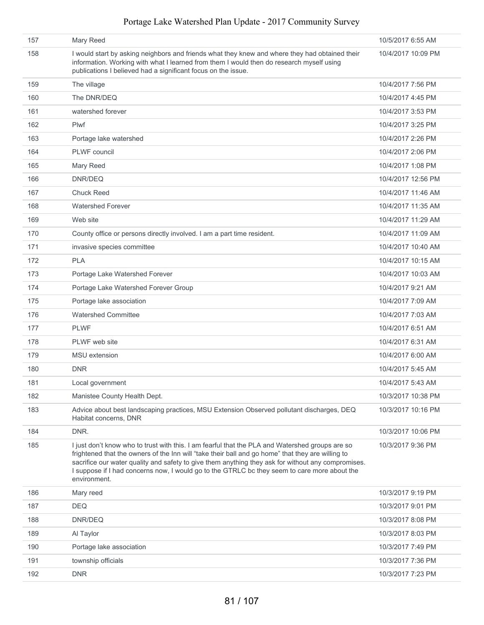| 157 | Mary Reed                                                                                                                                                                                                                                                                                                                                                                                                                  | 10/5/2017 6:55 AM  |
|-----|----------------------------------------------------------------------------------------------------------------------------------------------------------------------------------------------------------------------------------------------------------------------------------------------------------------------------------------------------------------------------------------------------------------------------|--------------------|
| 158 | I would start by asking neighbors and friends what they knew and where they had obtained their<br>information. Working with what I learned from them I would then do research myself using<br>publications I believed had a significant focus on the issue.                                                                                                                                                                | 10/4/2017 10:09 PM |
| 159 | The village                                                                                                                                                                                                                                                                                                                                                                                                                | 10/4/2017 7:56 PM  |
| 160 | The DNR/DEQ                                                                                                                                                                                                                                                                                                                                                                                                                | 10/4/2017 4:45 PM  |
| 161 | watershed forever                                                                                                                                                                                                                                                                                                                                                                                                          | 10/4/2017 3:53 PM  |
| 162 | <b>Plwf</b>                                                                                                                                                                                                                                                                                                                                                                                                                | 10/4/2017 3:25 PM  |
| 163 | Portage lake watershed                                                                                                                                                                                                                                                                                                                                                                                                     | 10/4/2017 2:26 PM  |
| 164 | <b>PLWF</b> council                                                                                                                                                                                                                                                                                                                                                                                                        | 10/4/2017 2:06 PM  |
| 165 | Mary Reed                                                                                                                                                                                                                                                                                                                                                                                                                  | 10/4/2017 1:08 PM  |
| 166 | DNR/DEQ                                                                                                                                                                                                                                                                                                                                                                                                                    | 10/4/2017 12:56 PM |
| 167 | <b>Chuck Reed</b>                                                                                                                                                                                                                                                                                                                                                                                                          | 10/4/2017 11:46 AM |
| 168 | <b>Watershed Forever</b>                                                                                                                                                                                                                                                                                                                                                                                                   | 10/4/2017 11:35 AM |
| 169 | Web site                                                                                                                                                                                                                                                                                                                                                                                                                   | 10/4/2017 11:29 AM |
| 170 | County office or persons directly involved. I am a part time resident.                                                                                                                                                                                                                                                                                                                                                     | 10/4/2017 11:09 AM |
| 171 | invasive species committee                                                                                                                                                                                                                                                                                                                                                                                                 | 10/4/2017 10:40 AM |
| 172 | <b>PLA</b>                                                                                                                                                                                                                                                                                                                                                                                                                 | 10/4/2017 10:15 AM |
| 173 | Portage Lake Watershed Forever                                                                                                                                                                                                                                                                                                                                                                                             | 10/4/2017 10:03 AM |
| 174 | Portage Lake Watershed Forever Group                                                                                                                                                                                                                                                                                                                                                                                       | 10/4/2017 9:21 AM  |
| 175 | Portage lake association                                                                                                                                                                                                                                                                                                                                                                                                   | 10/4/2017 7:09 AM  |
| 176 | <b>Watershed Committee</b>                                                                                                                                                                                                                                                                                                                                                                                                 | 10/4/2017 7:03 AM  |
| 177 | <b>PLWF</b>                                                                                                                                                                                                                                                                                                                                                                                                                | 10/4/2017 6:51 AM  |
| 178 | PLWF web site                                                                                                                                                                                                                                                                                                                                                                                                              | 10/4/2017 6:31 AM  |
| 179 | <b>MSU</b> extension                                                                                                                                                                                                                                                                                                                                                                                                       | 10/4/2017 6:00 AM  |
| 180 | <b>DNR</b>                                                                                                                                                                                                                                                                                                                                                                                                                 | 10/4/2017 5:45 AM  |
| 181 | Local government                                                                                                                                                                                                                                                                                                                                                                                                           | 10/4/2017 5:43 AM  |
| 182 | Manistee County Health Dept.                                                                                                                                                                                                                                                                                                                                                                                               | 10/3/2017 10:38 PM |
| 183 | Advice about best landscaping practices, MSU Extension Observed pollutant discharges, DEQ<br>Habitat concerns, DNR                                                                                                                                                                                                                                                                                                         | 10/3/2017 10:16 PM |
| 184 | DNR.                                                                                                                                                                                                                                                                                                                                                                                                                       | 10/3/2017 10:06 PM |
| 185 | I just don't know who to trust with this. I am fearful that the PLA and Watershed groups are so<br>frightened that the owners of the Inn will "take their ball and go home" that they are willing to<br>sacrifice our water quality and safety to give them anything they ask for without any compromises.<br>I suppose if I had concerns now, I would go to the GTRLC bc they seem to care more about the<br>environment. | 10/3/2017 9:36 PM  |
| 186 | Mary reed                                                                                                                                                                                                                                                                                                                                                                                                                  | 10/3/2017 9:19 PM  |
| 187 | <b>DEQ</b>                                                                                                                                                                                                                                                                                                                                                                                                                 | 10/3/2017 9:01 PM  |
| 188 | DNR/DEQ                                                                                                                                                                                                                                                                                                                                                                                                                    | 10/3/2017 8:08 PM  |
| 189 | Al Taylor                                                                                                                                                                                                                                                                                                                                                                                                                  | 10/3/2017 8:03 PM  |
| 190 | Portage lake association                                                                                                                                                                                                                                                                                                                                                                                                   | 10/3/2017 7:49 PM  |
| 191 | township officials                                                                                                                                                                                                                                                                                                                                                                                                         | 10/3/2017 7:36 PM  |
| 192 | <b>DNR</b>                                                                                                                                                                                                                                                                                                                                                                                                                 | 10/3/2017 7:23 PM  |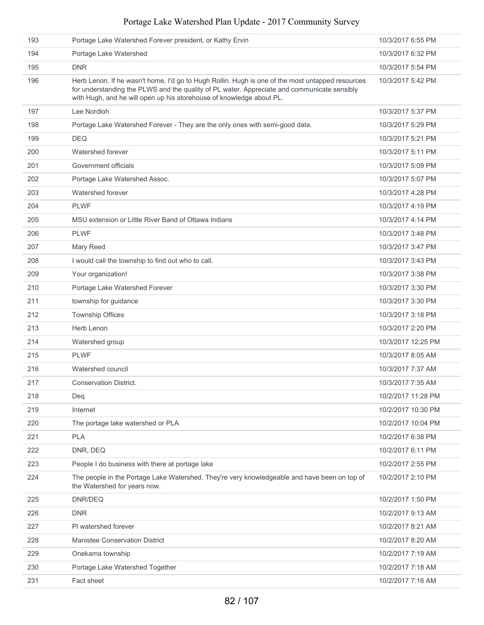| 193 | Portage Lake Watershed Forever president, or Kathy Ervin                                                                                                                                                                                                                | 10/3/2017 6:55 PM  |
|-----|-------------------------------------------------------------------------------------------------------------------------------------------------------------------------------------------------------------------------------------------------------------------------|--------------------|
| 194 | Portage Lake Watershed                                                                                                                                                                                                                                                  | 10/3/2017 6:32 PM  |
| 195 | <b>DNR</b>                                                                                                                                                                                                                                                              | 10/3/2017 5:54 PM  |
| 196 | Herb Lenon. If he wasn't home, I'd go to Hugh Rollin. Hugh is one of the most untapped resources<br>for understanding the PLWS and the quality of PL water. Appreciate and communicate sensibly<br>with Hugh, and he will open up his storehouse of knowledge about PL. | 10/3/2017 5:42 PM  |
| 197 | Lee Nordloh                                                                                                                                                                                                                                                             | 10/3/2017 5:37 PM  |
| 198 | Portage Lake Watershed Forever - They are the only ones with semi-good data.                                                                                                                                                                                            | 10/3/2017 5:29 PM  |
| 199 | <b>DEQ</b>                                                                                                                                                                                                                                                              | 10/3/2017 5:21 PM  |
| 200 | Watershed forever                                                                                                                                                                                                                                                       | 10/3/2017 5:11 PM  |
| 201 | Government officials                                                                                                                                                                                                                                                    | 10/3/2017 5:09 PM  |
| 202 | Portage Lake Watershed Assoc.                                                                                                                                                                                                                                           | 10/3/2017 5:07 PM  |
| 203 | Watershed forever                                                                                                                                                                                                                                                       | 10/3/2017 4:28 PM  |
| 204 | <b>PLWF</b>                                                                                                                                                                                                                                                             | 10/3/2017 4:19 PM  |
| 205 | MSU extension or Little River Band of Ottawa Indians                                                                                                                                                                                                                    | 10/3/2017 4:14 PM  |
| 206 | <b>PLWF</b>                                                                                                                                                                                                                                                             | 10/3/2017 3:48 PM  |
| 207 | Mary Reed                                                                                                                                                                                                                                                               | 10/3/2017 3:47 PM  |
| 208 | I would call the township to find out who to call.                                                                                                                                                                                                                      | 10/3/2017 3:43 PM  |
| 209 | Your organization!                                                                                                                                                                                                                                                      | 10/3/2017 3:38 PM  |
| 210 | Portage Lake Watershed Forever                                                                                                                                                                                                                                          | 10/3/2017 3:30 PM  |
| 211 | township for guidance                                                                                                                                                                                                                                                   | 10/3/2017 3:30 PM  |
| 212 | <b>Township Offices</b>                                                                                                                                                                                                                                                 | 10/3/2017 3:18 PM  |
| 213 | Herb Lenon                                                                                                                                                                                                                                                              | 10/3/2017 2:20 PM  |
| 214 | Watershed group                                                                                                                                                                                                                                                         | 10/3/2017 12:25 PM |
| 215 | <b>PLWF</b>                                                                                                                                                                                                                                                             | 10/3/2017 8:05 AM  |
| 216 | Watershed council                                                                                                                                                                                                                                                       | 10/3/2017 7:37 AM  |
| 217 | <b>Conservation District.</b>                                                                                                                                                                                                                                           | 10/3/2017 7:35 AM  |
| 218 | Deq                                                                                                                                                                                                                                                                     | 10/2/2017 11:28 PM |
| 219 | Internet                                                                                                                                                                                                                                                                | 10/2/2017 10:30 PM |
| 220 | The portage lake watershed or PLA                                                                                                                                                                                                                                       | 10/2/2017 10:04 PM |
| 221 | <b>PLA</b>                                                                                                                                                                                                                                                              | 10/2/2017 6:38 PM  |
| 222 | DNR, DEQ                                                                                                                                                                                                                                                                | 10/2/2017 6:11 PM  |
| 223 | People I do business with there at portage lake                                                                                                                                                                                                                         | 10/2/2017 2:55 PM  |
| 224 | The people in the Portage Lake Watershed. They're very knowledgeable and have been on top of<br>the Watershed for years now.                                                                                                                                            | 10/2/2017 2:10 PM  |
| 225 | DNR/DEQ                                                                                                                                                                                                                                                                 | 10/2/2017 1:50 PM  |
| 226 | <b>DNR</b>                                                                                                                                                                                                                                                              | 10/2/2017 9:13 AM  |
| 227 | PI watershed forever                                                                                                                                                                                                                                                    | 10/2/2017 8:21 AM  |
| 228 | <b>Manistee Conservation District</b>                                                                                                                                                                                                                                   | 10/2/2017 8:20 AM  |
| 229 | Onekama township                                                                                                                                                                                                                                                        | 10/2/2017 7:19 AM  |
| 230 | Portage Lake Watershed Together                                                                                                                                                                                                                                         | 10/2/2017 7:18 AM  |
| 231 | Fact sheet                                                                                                                                                                                                                                                              | 10/2/2017 7:16 AM  |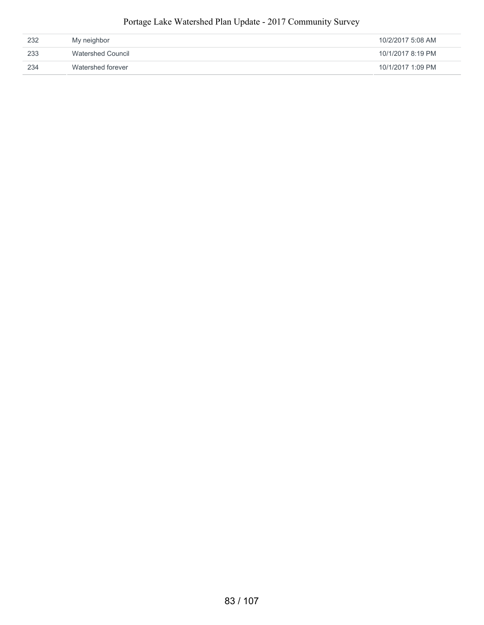| 232 | My neighbor       | 10/2/2017 5:08 AM |
|-----|-------------------|-------------------|
| 233 | Watershed Council | 10/1/2017 8:19 PM |
| 234 | Watershed forever | 10/1/2017 1:09 PM |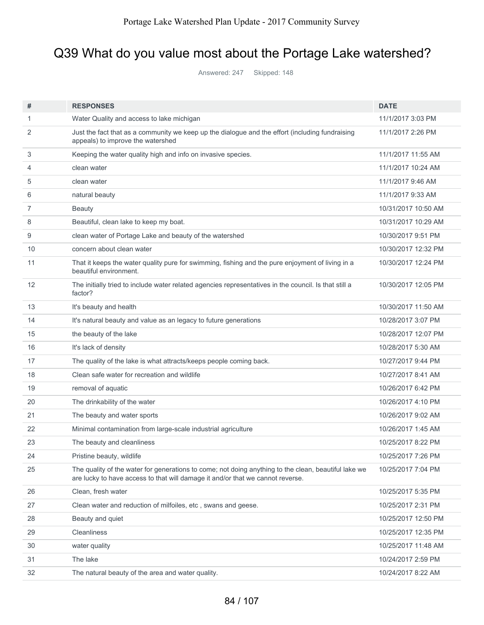# Q39 What do you value most about the Portage Lake watershed?

Answered: 247 Skipped: 148

| #  | <b>RESPONSES</b>                                                                                                                                                                       | <b>DATE</b>         |
|----|----------------------------------------------------------------------------------------------------------------------------------------------------------------------------------------|---------------------|
| 1  | Water Quality and access to lake michigan                                                                                                                                              | 11/1/2017 3:03 PM   |
| 2  | Just the fact that as a community we keep up the dialogue and the effort (including fundraising<br>appeals) to improve the watershed                                                   | 11/1/2017 2:26 PM   |
| 3  | Keeping the water quality high and info on invasive species.                                                                                                                           | 11/1/2017 11:55 AM  |
| 4  | clean water                                                                                                                                                                            | 11/1/2017 10:24 AM  |
| 5  | clean water                                                                                                                                                                            | 11/1/2017 9:46 AM   |
| 6  | natural beauty                                                                                                                                                                         | 11/1/2017 9:33 AM   |
| 7  | <b>Beauty</b>                                                                                                                                                                          | 10/31/2017 10:50 AM |
| 8  | Beautiful, clean lake to keep my boat.                                                                                                                                                 | 10/31/2017 10:29 AM |
| 9  | clean water of Portage Lake and beauty of the watershed                                                                                                                                | 10/30/2017 9:51 PM  |
| 10 | concern about clean water                                                                                                                                                              | 10/30/2017 12:32 PM |
| 11 | That it keeps the water quality pure for swimming, fishing and the pure enjoyment of living in a<br>beautiful environment.                                                             | 10/30/2017 12:24 PM |
| 12 | The initially tried to include water related agencies representatives in the council. Is that still a<br>factor?                                                                       | 10/30/2017 12:05 PM |
| 13 | It's beauty and health                                                                                                                                                                 | 10/30/2017 11:50 AM |
| 14 | It's natural beauty and value as an legacy to future generations                                                                                                                       | 10/28/2017 3:07 PM  |
| 15 | the beauty of the lake                                                                                                                                                                 | 10/28/2017 12:07 PM |
| 16 | It's lack of density                                                                                                                                                                   | 10/28/2017 5:30 AM  |
| 17 | The quality of the lake is what attracts/keeps people coming back.                                                                                                                     | 10/27/2017 9:44 PM  |
| 18 | Clean safe water for recreation and wildlife                                                                                                                                           | 10/27/2017 8:41 AM  |
| 19 | removal of aquatic                                                                                                                                                                     | 10/26/2017 6:42 PM  |
| 20 | The drinkability of the water                                                                                                                                                          | 10/26/2017 4:10 PM  |
| 21 | The beauty and water sports                                                                                                                                                            | 10/26/2017 9:02 AM  |
| 22 | Minimal contamination from large-scale industrial agriculture                                                                                                                          | 10/26/2017 1:45 AM  |
| 23 | The beauty and cleanliness                                                                                                                                                             | 10/25/2017 8:22 PM  |
| 24 | Pristine beauty, wildlife                                                                                                                                                              | 10/25/2017 7:26 PM  |
| 25 | The quality of the water for generations to come; not doing anything to the clean, beautiful lake we<br>are lucky to have access to that will damage it and/or that we cannot reverse. | 10/25/2017 7:04 PM  |
| 26 | Clean, fresh water                                                                                                                                                                     | 10/25/2017 5:35 PM  |
| 27 | Clean water and reduction of milfoiles, etc, swans and geese.                                                                                                                          | 10/25/2017 2:31 PM  |
| 28 | Beauty and quiet                                                                                                                                                                       | 10/25/2017 12:50 PM |
| 29 | <b>Cleanliness</b>                                                                                                                                                                     | 10/25/2017 12:35 PM |
| 30 | water quality                                                                                                                                                                          | 10/25/2017 11:48 AM |
| 31 | The lake                                                                                                                                                                               | 10/24/2017 2:59 PM  |
| 32 | The natural beauty of the area and water quality.                                                                                                                                      | 10/24/2017 8:22 AM  |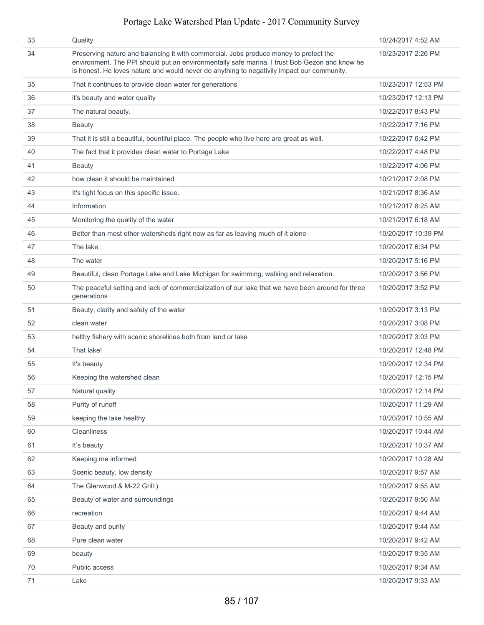| 33 | Quality                                                                                                                                                                                                                                                                              | 10/24/2017 4:52 AM  |
|----|--------------------------------------------------------------------------------------------------------------------------------------------------------------------------------------------------------------------------------------------------------------------------------------|---------------------|
| 34 | Preserving nature and balancing it with commercial. Jobs produce money to protect the<br>environment. The PPI should put an environmentally safe marina. I trust Bob Gezon and know he<br>is honest. He loves nature and would never do anything to negativily impact our community. | 10/23/2017 2:26 PM  |
| 35 | That it continues to provide clean water for generations                                                                                                                                                                                                                             | 10/23/2017 12:53 PM |
| 36 | it's beauty and water quality                                                                                                                                                                                                                                                        | 10/23/2017 12:13 PM |
| 37 | The natural beauty.                                                                                                                                                                                                                                                                  | 10/22/2017 8:43 PM  |
| 38 | <b>Beauty</b>                                                                                                                                                                                                                                                                        | 10/22/2017 7:16 PM  |
| 39 | That it is still a beautiful, bountiful place. The people who live here are great as well.                                                                                                                                                                                           | 10/22/2017 6:42 PM  |
| 40 | The fact that it provides clean water to Portage Lake                                                                                                                                                                                                                                | 10/22/2017 4:48 PM  |
| 41 | <b>Beauty</b>                                                                                                                                                                                                                                                                        | 10/22/2017 4:06 PM  |
| 42 | how clean it should be maintained                                                                                                                                                                                                                                                    | 10/21/2017 2:08 PM  |
| 43 | It's tight focus on this specific issue.                                                                                                                                                                                                                                             | 10/21/2017 8:36 AM  |
| 44 | Information                                                                                                                                                                                                                                                                          | 10/21/2017 8:25 AM  |
| 45 | Monitoring the quality of the water                                                                                                                                                                                                                                                  | 10/21/2017 6:18 AM  |
| 46 | Better than most other watersheds right now as far as leaving much of it alone                                                                                                                                                                                                       | 10/20/2017 10:39 PM |
| 47 | The lake                                                                                                                                                                                                                                                                             | 10/20/2017 6:34 PM  |
| 48 | The water                                                                                                                                                                                                                                                                            | 10/20/2017 5:16 PM  |
| 49 | Beautiful, clean Portage Lake and Lake Michigan for swimming, walking and relaxation.                                                                                                                                                                                                | 10/20/2017 3:56 PM  |
| 50 | The peaceful setting and lack of commercialization of our lake that we have been around for three<br>generations                                                                                                                                                                     | 10/20/2017 3:52 PM  |
| 51 | Beauty, clarity and safety of the water                                                                                                                                                                                                                                              | 10/20/2017 3:13 PM  |
| 52 | clean water                                                                                                                                                                                                                                                                          | 10/20/2017 3:08 PM  |
| 53 | helthy fishery with scenic shorelines both from land or lake                                                                                                                                                                                                                         | 10/20/2017 3:03 PM  |
| 54 | That lake!                                                                                                                                                                                                                                                                           | 10/20/2017 12:48 PM |
| 55 | It's beauty                                                                                                                                                                                                                                                                          | 10/20/2017 12:34 PM |
| 56 | Keeping the watershed clean                                                                                                                                                                                                                                                          | 10/20/2017 12:15 PM |
| 57 | Natural quality                                                                                                                                                                                                                                                                      | 10/20/2017 12:14 PM |
| 58 | Purity of runoff                                                                                                                                                                                                                                                                     | 10/20/2017 11:29 AM |
| 59 | keeping the lake healthy                                                                                                                                                                                                                                                             | 10/20/2017 10:55 AM |
| 60 | Cleanliness                                                                                                                                                                                                                                                                          | 10/20/2017 10:44 AM |
| 61 | It's beauty                                                                                                                                                                                                                                                                          | 10/20/2017 10:37 AM |
| 62 | Keeping me informed                                                                                                                                                                                                                                                                  | 10/20/2017 10:28 AM |
| 63 | Scenic beauty, low density                                                                                                                                                                                                                                                           | 10/20/2017 9:57 AM  |
| 64 | The Glenwood & M-22 Grill:)                                                                                                                                                                                                                                                          | 10/20/2017 9:55 AM  |
| 65 | Beauty of water and surroundings                                                                                                                                                                                                                                                     | 10/20/2017 9:50 AM  |
| 66 | recreation                                                                                                                                                                                                                                                                           | 10/20/2017 9:44 AM  |
| 67 | Beauty and purity                                                                                                                                                                                                                                                                    | 10/20/2017 9:44 AM  |
| 68 | Pure clean water                                                                                                                                                                                                                                                                     | 10/20/2017 9:42 AM  |
| 69 | beauty                                                                                                                                                                                                                                                                               | 10/20/2017 9:35 AM  |
| 70 | Public access                                                                                                                                                                                                                                                                        | 10/20/2017 9:34 AM  |
| 71 | Lake                                                                                                                                                                                                                                                                                 | 10/20/2017 9:33 AM  |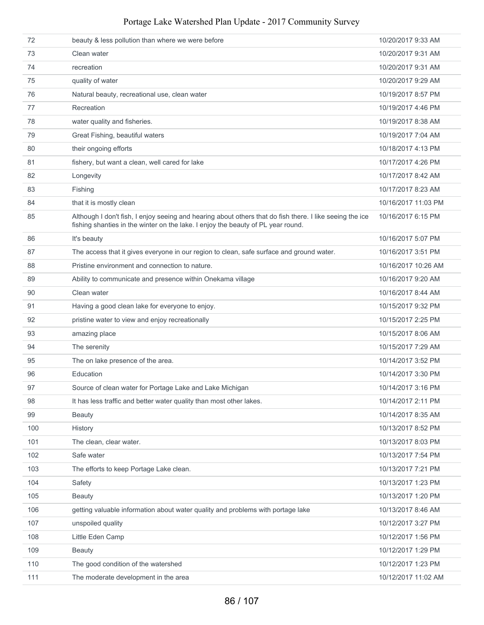| 72  | beauty & less pollution than where we were before                                                                                                                                            | 10/20/2017 9:33 AM  |
|-----|----------------------------------------------------------------------------------------------------------------------------------------------------------------------------------------------|---------------------|
| 73  | Clean water                                                                                                                                                                                  | 10/20/2017 9:31 AM  |
| 74  | recreation                                                                                                                                                                                   | 10/20/2017 9:31 AM  |
| 75  | quality of water                                                                                                                                                                             | 10/20/2017 9:29 AM  |
| 76  | Natural beauty, recreational use, clean water                                                                                                                                                | 10/19/2017 8:57 PM  |
| 77  | Recreation                                                                                                                                                                                   | 10/19/2017 4:46 PM  |
| 78  | water quality and fisheries.                                                                                                                                                                 | 10/19/2017 8:38 AM  |
| 79  | Great Fishing, beautiful waters                                                                                                                                                              | 10/19/2017 7:04 AM  |
| 80  | their ongoing efforts                                                                                                                                                                        | 10/18/2017 4:13 PM  |
| 81  | fishery, but want a clean, well cared for lake                                                                                                                                               | 10/17/2017 4:26 PM  |
| 82  | Longevity                                                                                                                                                                                    | 10/17/2017 8:42 AM  |
| 83  | Fishing                                                                                                                                                                                      | 10/17/2017 8:23 AM  |
| 84  | that it is mostly clean                                                                                                                                                                      | 10/16/2017 11:03 PM |
| 85  | Although I don't fish, I enjoy seeing and hearing about others that do fish there. I like seeing the ice<br>fishing shanties in the winter on the lake. I enjoy the beauty of PL year round. | 10/16/2017 6:15 PM  |
| 86  | It's beauty                                                                                                                                                                                  | 10/16/2017 5:07 PM  |
| 87  | The access that it gives everyone in our region to clean, safe surface and ground water.                                                                                                     | 10/16/2017 3:51 PM  |
| 88  | Pristine environment and connection to nature.                                                                                                                                               | 10/16/2017 10:26 AM |
| 89  | Ability to communicate and presence within Onekama village                                                                                                                                   | 10/16/2017 9:20 AM  |
| 90  | Clean water                                                                                                                                                                                  | 10/16/2017 8:44 AM  |
| 91  | Having a good clean lake for everyone to enjoy.                                                                                                                                              | 10/15/2017 9:32 PM  |
| 92  | pristine water to view and enjoy recreationally                                                                                                                                              | 10/15/2017 2:25 PM  |
| 93  | amazing place                                                                                                                                                                                | 10/15/2017 8:06 AM  |
| 94  | The serenity                                                                                                                                                                                 | 10/15/2017 7:29 AM  |
| 95  | The on lake presence of the area.                                                                                                                                                            | 10/14/2017 3:52 PM  |
| 96  | Education                                                                                                                                                                                    | 10/14/2017 3:30 PM  |
| 97  | Source of clean water for Portage Lake and Lake Michigan                                                                                                                                     | 10/14/2017 3:16 PM  |
| 98  | It has less traffic and better water quality than most other lakes.                                                                                                                          | 10/14/2017 2:11 PM  |
| 99  | <b>Beauty</b>                                                                                                                                                                                | 10/14/2017 8:35 AM  |
| 100 | History                                                                                                                                                                                      | 10/13/2017 8:52 PM  |
| 101 | The clean, clear water.                                                                                                                                                                      | 10/13/2017 8:03 PM  |
| 102 | Safe water                                                                                                                                                                                   | 10/13/2017 7:54 PM  |
| 103 | The efforts to keep Portage Lake clean.                                                                                                                                                      | 10/13/2017 7:21 PM  |
| 104 | Safety                                                                                                                                                                                       | 10/13/2017 1:23 PM  |
| 105 | <b>Beauty</b>                                                                                                                                                                                | 10/13/2017 1:20 PM  |
| 106 | getting valuable information about water quality and problems with portage lake                                                                                                              | 10/13/2017 8:46 AM  |
| 107 | unspoiled quality                                                                                                                                                                            | 10/12/2017 3:27 PM  |
| 108 | Little Eden Camp                                                                                                                                                                             | 10/12/2017 1:56 PM  |
| 109 | <b>Beauty</b>                                                                                                                                                                                | 10/12/2017 1:29 PM  |
| 110 | The good condition of the watershed                                                                                                                                                          | 10/12/2017 1:23 PM  |
| 111 | The moderate development in the area                                                                                                                                                         | 10/12/2017 11:02 AM |
|     |                                                                                                                                                                                              |                     |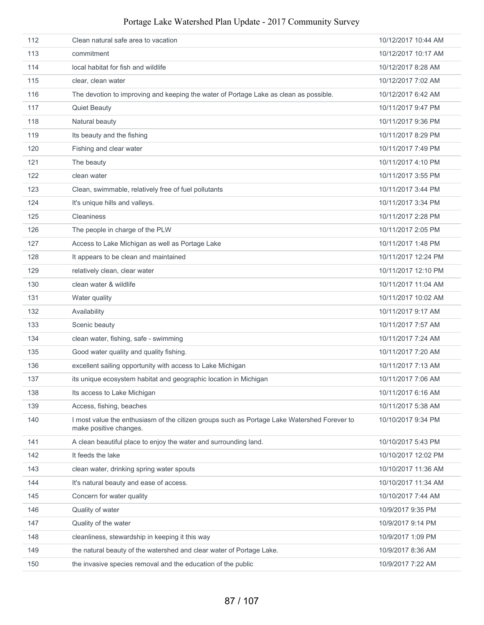| 112 | Clean natural safe area to vacation                                                                                   | 10/12/2017 10:44 AM |
|-----|-----------------------------------------------------------------------------------------------------------------------|---------------------|
| 113 | commitment                                                                                                            | 10/12/2017 10:17 AM |
| 114 | local habitat for fish and wildlife                                                                                   | 10/12/2017 8:28 AM  |
| 115 | clear, clean water                                                                                                    | 10/12/2017 7:02 AM  |
| 116 | The devotion to improving and keeping the water of Portage Lake as clean as possible.                                 | 10/12/2017 6:42 AM  |
| 117 | <b>Quiet Beauty</b>                                                                                                   | 10/11/2017 9:47 PM  |
| 118 | Natural beauty                                                                                                        | 10/11/2017 9:36 PM  |
| 119 | Its beauty and the fishing                                                                                            | 10/11/2017 8:29 PM  |
| 120 | Fishing and clear water                                                                                               | 10/11/2017 7:49 PM  |
| 121 | The beauty                                                                                                            | 10/11/2017 4:10 PM  |
| 122 | clean water                                                                                                           | 10/11/2017 3:55 PM  |
| 123 | Clean, swimmable, relatively free of fuel pollutants                                                                  | 10/11/2017 3:44 PM  |
| 124 | It's unique hills and valleys.                                                                                        | 10/11/2017 3:34 PM  |
| 125 | <b>Cleaniness</b>                                                                                                     | 10/11/2017 2:28 PM  |
| 126 | The people in charge of the PLW                                                                                       | 10/11/2017 2:05 PM  |
| 127 | Access to Lake Michigan as well as Portage Lake                                                                       | 10/11/2017 1:48 PM  |
| 128 | It appears to be clean and maintained                                                                                 | 10/11/2017 12:24 PM |
| 129 | relatively clean, clear water                                                                                         | 10/11/2017 12:10 PM |
| 130 | clean water & wildlife                                                                                                | 10/11/2017 11:04 AM |
| 131 | Water quality                                                                                                         | 10/11/2017 10:02 AM |
| 132 | Availability                                                                                                          | 10/11/2017 9:17 AM  |
| 133 | Scenic beauty                                                                                                         | 10/11/2017 7:57 AM  |
| 134 | clean water, fishing, safe - swimming                                                                                 | 10/11/2017 7:24 AM  |
| 135 | Good water quality and quality fishing.                                                                               | 10/11/2017 7:20 AM  |
| 136 | excellent sailing opportunity with access to Lake Michigan                                                            | 10/11/2017 7:13 AM  |
| 137 | its unique ecosystem habitat and geographic location in Michigan                                                      | 10/11/2017 7:06 AM  |
| 138 | Its access to Lake Michigan                                                                                           | 10/11/2017 6:16 AM  |
| 139 | Access, fishing, beaches                                                                                              | 10/11/2017 5:38 AM  |
| 140 | I most value the enthusiasm of the citizen groups such as Portage Lake Watershed Forever to<br>make positive changes. | 10/10/2017 9:34 PM  |
| 141 | A clean beautiful place to enjoy the water and surrounding land.                                                      | 10/10/2017 5:43 PM  |
| 142 | It feeds the lake                                                                                                     | 10/10/2017 12:02 PM |
| 143 | clean water, drinking spring water spouts                                                                             | 10/10/2017 11:36 AM |
| 144 | It's natural beauty and ease of access.                                                                               | 10/10/2017 11:34 AM |
| 145 | Concern for water quality                                                                                             | 10/10/2017 7:44 AM  |
| 146 | Quality of water                                                                                                      | 10/9/2017 9:35 PM   |
| 147 | Quality of the water                                                                                                  | 10/9/2017 9:14 PM   |
| 148 | cleanliness, stewardship in keeping it this way                                                                       | 10/9/2017 1:09 PM   |
| 149 | the natural beauty of the watershed and clear water of Portage Lake.                                                  | 10/9/2017 8:36 AM   |
| 150 | the invasive species removal and the education of the public                                                          | 10/9/2017 7:22 AM   |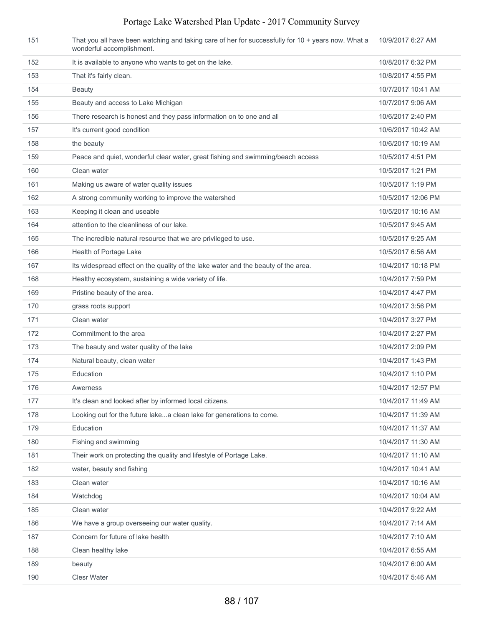| 151 | That you all have been watching and taking care of her for successfully for 10 + years now. What a<br>wonderful accomplishment. | 10/9/2017 6:27 AM  |
|-----|---------------------------------------------------------------------------------------------------------------------------------|--------------------|
| 152 | It is available to anyone who wants to get on the lake.                                                                         | 10/8/2017 6:32 PM  |
| 153 | That it's fairly clean.                                                                                                         | 10/8/2017 4:55 PM  |
| 154 | Beauty                                                                                                                          | 10/7/2017 10:41 AM |
| 155 | Beauty and access to Lake Michigan                                                                                              | 10/7/2017 9:06 AM  |
| 156 | There research is honest and they pass information on to one and all                                                            | 10/6/2017 2:40 PM  |
| 157 | It's current good condition                                                                                                     | 10/6/2017 10:42 AM |
| 158 | the beauty                                                                                                                      | 10/6/2017 10:19 AM |
| 159 | Peace and quiet, wonderful clear water, great fishing and swimming/beach access                                                 | 10/5/2017 4:51 PM  |
| 160 | Clean water                                                                                                                     | 10/5/2017 1:21 PM  |
| 161 | Making us aware of water quality issues                                                                                         | 10/5/2017 1:19 PM  |
| 162 | A strong community working to improve the watershed                                                                             | 10/5/2017 12:06 PM |
| 163 | Keeping it clean and useable                                                                                                    | 10/5/2017 10:16 AM |
| 164 | attention to the cleanliness of our lake.                                                                                       | 10/5/2017 9:45 AM  |
| 165 | The incredible natural resource that we are privileged to use.                                                                  | 10/5/2017 9:25 AM  |
| 166 | Health of Portage Lake                                                                                                          | 10/5/2017 6:56 AM  |
| 167 | Its widespread effect on the quality of the lake water and the beauty of the area.                                              | 10/4/2017 10:18 PM |
| 168 | Healthy ecosystem, sustaining a wide variety of life.                                                                           | 10/4/2017 7:59 PM  |
| 169 | Pristine beauty of the area.                                                                                                    | 10/4/2017 4:47 PM  |
| 170 | grass roots support                                                                                                             | 10/4/2017 3:56 PM  |
| 171 | Clean water                                                                                                                     | 10/4/2017 3:27 PM  |
| 172 | Commitment to the area                                                                                                          | 10/4/2017 2:27 PM  |
| 173 | The beauty and water quality of the lake                                                                                        | 10/4/2017 2:09 PM  |
| 174 | Natural beauty, clean water                                                                                                     | 10/4/2017 1:43 PM  |
| 175 | Education                                                                                                                       | 10/4/2017 1:10 PM  |
| 176 | Awerness                                                                                                                        | 10/4/2017 12:57 PM |
| 177 | It's clean and looked after by informed local citizens.                                                                         | 10/4/2017 11:49 AM |
| 178 | Looking out for the future lakea clean lake for generations to come.                                                            | 10/4/2017 11:39 AM |
| 179 | Education                                                                                                                       | 10/4/2017 11:37 AM |
| 180 | Fishing and swimming                                                                                                            | 10/4/2017 11:30 AM |
| 181 | Their work on protecting the quality and lifestyle of Portage Lake.                                                             | 10/4/2017 11:10 AM |
| 182 | water, beauty and fishing                                                                                                       | 10/4/2017 10:41 AM |
| 183 | Clean water                                                                                                                     | 10/4/2017 10:16 AM |
| 184 | Watchdog                                                                                                                        | 10/4/2017 10:04 AM |
| 185 | Clean water                                                                                                                     | 10/4/2017 9:22 AM  |
| 186 | We have a group overseeing our water quality.                                                                                   | 10/4/2017 7:14 AM  |
| 187 | Concern for future of lake health                                                                                               | 10/4/2017 7:10 AM  |
| 188 | Clean healthy lake                                                                                                              | 10/4/2017 6:55 AM  |
| 189 | beauty                                                                                                                          | 10/4/2017 6:00 AM  |
| 190 | Clesr Water                                                                                                                     | 10/4/2017 5:46 AM  |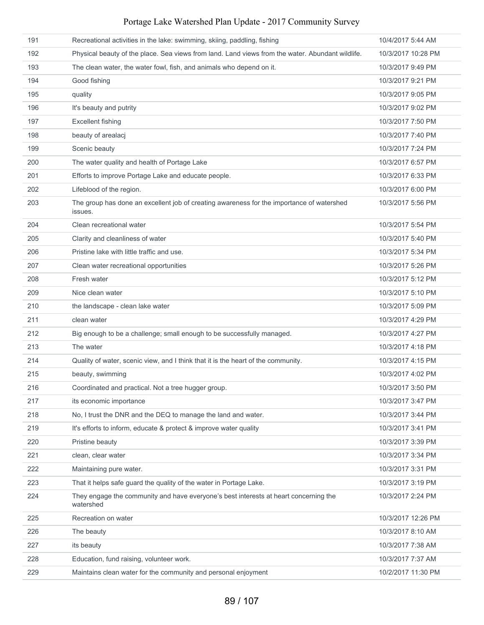| Portage Lake Watershed Plan Update - 2017 Community Survey |  |  |  |  |  |  |
|------------------------------------------------------------|--|--|--|--|--|--|
|------------------------------------------------------------|--|--|--|--|--|--|

| 191 | Recreational activities in the lake: swimming, skiing, paddling, fishing                             | 10/4/2017 5:44 AM  |
|-----|------------------------------------------------------------------------------------------------------|--------------------|
| 192 | Physical beauty of the place. Sea views from land. Land views from the water. Abundant wildlife.     | 10/3/2017 10:28 PM |
| 193 | The clean water, the water fowl, fish, and animals who depend on it.                                 | 10/3/2017 9:49 PM  |
| 194 | Good fishing                                                                                         | 10/3/2017 9:21 PM  |
| 195 | quality                                                                                              | 10/3/2017 9:05 PM  |
| 196 | It's beauty and putrity                                                                              | 10/3/2017 9:02 PM  |
| 197 | <b>Excellent fishing</b>                                                                             | 10/3/2017 7:50 PM  |
| 198 | beauty of arealacj                                                                                   | 10/3/2017 7:40 PM  |
| 199 | Scenic beauty                                                                                        | 10/3/2017 7:24 PM  |
| 200 | The water quality and health of Portage Lake                                                         | 10/3/2017 6:57 PM  |
| 201 | Efforts to improve Portage Lake and educate people.                                                  | 10/3/2017 6:33 PM  |
| 202 | Lifeblood of the region.                                                                             | 10/3/2017 6:00 PM  |
| 203 | The group has done an excellent job of creating awareness for the importance of watershed<br>issues. | 10/3/2017 5:56 PM  |
| 204 | Clean recreational water                                                                             | 10/3/2017 5:54 PM  |
| 205 | Clarity and cleanliness of water                                                                     | 10/3/2017 5:40 PM  |
| 206 | Pristine lake with little traffic and use.                                                           | 10/3/2017 5:34 PM  |
| 207 | Clean water recreational opportunities                                                               | 10/3/2017 5:26 PM  |
| 208 | Fresh water                                                                                          | 10/3/2017 5:12 PM  |
| 209 | Nice clean water                                                                                     | 10/3/2017 5:10 PM  |
| 210 | the landscape - clean lake water                                                                     | 10/3/2017 5:09 PM  |
| 211 | clean water                                                                                          | 10/3/2017 4:29 PM  |
| 212 | Big enough to be a challenge; small enough to be successfully managed.                               | 10/3/2017 4:27 PM  |
| 213 | The water                                                                                            | 10/3/2017 4:18 PM  |
| 214 | Quality of water, scenic view, and I think that it is the heart of the community.                    | 10/3/2017 4:15 PM  |
| 215 | beauty, swimming                                                                                     | 10/3/2017 4:02 PM  |
| 216 | Coordinated and practical. Not a tree hugger group.                                                  | 10/3/2017 3:50 PM  |
| 217 | its economic importance                                                                              | 10/3/2017 3:47 PM  |
| 218 | No, I trust the DNR and the DEQ to manage the land and water.                                        | 10/3/2017 3:44 PM  |
| 219 | It's efforts to inform, educate & protect & improve water quality                                    | 10/3/2017 3:41 PM  |
| 220 | Pristine beauty                                                                                      | 10/3/2017 3:39 PM  |
| 221 | clean, clear water                                                                                   | 10/3/2017 3:34 PM  |
| 222 | Maintaining pure water.                                                                              | 10/3/2017 3:31 PM  |
| 223 | That it helps safe guard the quality of the water in Portage Lake.                                   | 10/3/2017 3:19 PM  |
| 224 | They engage the community and have everyone's best interests at heart concerning the<br>watershed    | 10/3/2017 2:24 PM  |
| 225 | Recreation on water                                                                                  | 10/3/2017 12:26 PM |
| 226 | The beauty                                                                                           | 10/3/2017 8:10 AM  |
| 227 | its beauty                                                                                           | 10/3/2017 7:38 AM  |
| 228 | Education, fund raising, volunteer work.                                                             | 10/3/2017 7:37 AM  |
| 229 | Maintains clean water for the community and personal enjoyment                                       | 10/2/2017 11:30 PM |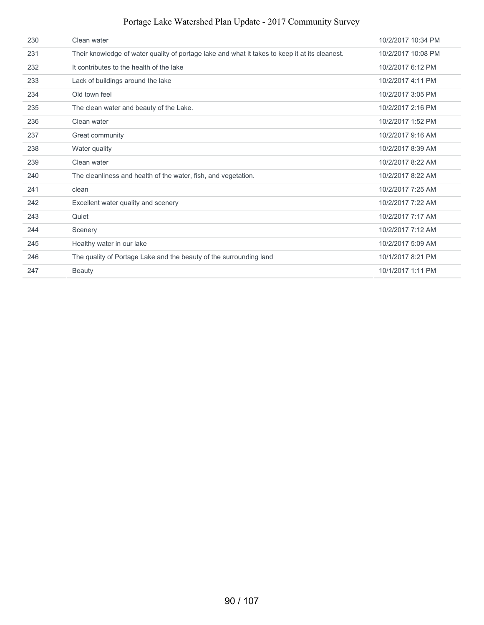Portage Lake Watershed Plan Update - 2017 Community Survey

| 230 | Clean water                                                                                    | 10/2/2017 10:34 PM |
|-----|------------------------------------------------------------------------------------------------|--------------------|
| 231 | Their knowledge of water quality of portage lake and what it takes to keep it at its cleanest. | 10/2/2017 10:08 PM |
| 232 | It contributes to the health of the lake                                                       | 10/2/2017 6:12 PM  |
| 233 | Lack of buildings around the lake                                                              | 10/2/2017 4:11 PM  |
| 234 | Old town feel                                                                                  | 10/2/2017 3:05 PM  |
| 235 | The clean water and beauty of the Lake.                                                        | 10/2/2017 2:16 PM  |
| 236 | Clean water                                                                                    | 10/2/2017 1:52 PM  |
| 237 | Great community                                                                                | 10/2/2017 9:16 AM  |
| 238 | Water quality                                                                                  | 10/2/2017 8:39 AM  |
| 239 | Clean water                                                                                    | 10/2/2017 8:22 AM  |
| 240 | The cleanliness and health of the water, fish, and vegetation.                                 | 10/2/2017 8:22 AM  |
| 241 | clean                                                                                          | 10/2/2017 7:25 AM  |
| 242 | Excellent water quality and scenery                                                            | 10/2/2017 7:22 AM  |
| 243 | Quiet                                                                                          | 10/2/2017 7:17 AM  |
| 244 | Scenery                                                                                        | 10/2/2017 7:12 AM  |
| 245 | Healthy water in our lake                                                                      | 10/2/2017 5:09 AM  |
| 246 | The quality of Portage Lake and the beauty of the surrounding land                             | 10/1/2017 8:21 PM  |
| 247 | Beauty                                                                                         | 10/1/2017 1:11 PM  |
|     |                                                                                                |                    |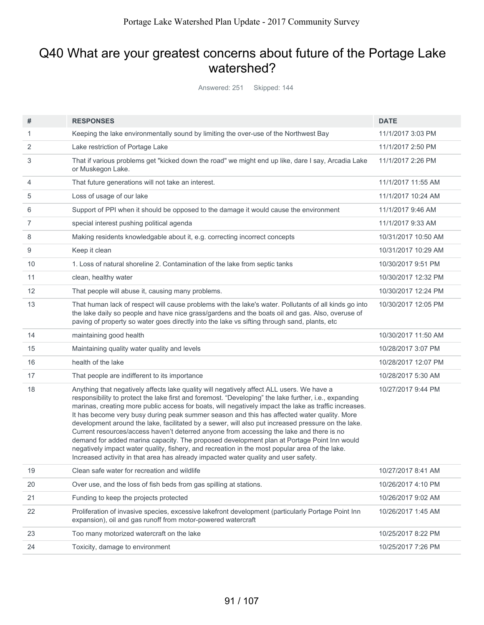# Q40 What are your greatest concerns about future of the Portage Lake watershed?

Answered: 251 Skipped: 144

| #  | <b>RESPONSES</b>                                                                                                                                                                                                                                                                                                                                                                                                                                                                                                                                                                                                                                                                                                                                                                                                                                                                                    | <b>DATE</b>         |
|----|-----------------------------------------------------------------------------------------------------------------------------------------------------------------------------------------------------------------------------------------------------------------------------------------------------------------------------------------------------------------------------------------------------------------------------------------------------------------------------------------------------------------------------------------------------------------------------------------------------------------------------------------------------------------------------------------------------------------------------------------------------------------------------------------------------------------------------------------------------------------------------------------------------|---------------------|
| 1  | Keeping the lake environmentally sound by limiting the over-use of the Northwest Bay                                                                                                                                                                                                                                                                                                                                                                                                                                                                                                                                                                                                                                                                                                                                                                                                                | 11/1/2017 3:03 PM   |
| 2  | Lake restriction of Portage Lake                                                                                                                                                                                                                                                                                                                                                                                                                                                                                                                                                                                                                                                                                                                                                                                                                                                                    | 11/1/2017 2:50 PM   |
| 3  | That if various problems get "kicked down the road" we might end up like, dare I say, Arcadia Lake<br>or Muskegon Lake.                                                                                                                                                                                                                                                                                                                                                                                                                                                                                                                                                                                                                                                                                                                                                                             | 11/1/2017 2:26 PM   |
| 4  | That future generations will not take an interest.                                                                                                                                                                                                                                                                                                                                                                                                                                                                                                                                                                                                                                                                                                                                                                                                                                                  | 11/1/2017 11:55 AM  |
| 5  | Loss of usage of our lake                                                                                                                                                                                                                                                                                                                                                                                                                                                                                                                                                                                                                                                                                                                                                                                                                                                                           | 11/1/2017 10:24 AM  |
| 6  | Support of PPI when it should be opposed to the damage it would cause the environment                                                                                                                                                                                                                                                                                                                                                                                                                                                                                                                                                                                                                                                                                                                                                                                                               | 11/1/2017 9:46 AM   |
| 7  | special interest pushing political agenda                                                                                                                                                                                                                                                                                                                                                                                                                                                                                                                                                                                                                                                                                                                                                                                                                                                           | 11/1/2017 9:33 AM   |
| 8  | Making residents knowledgable about it, e.g. correcting incorrect concepts                                                                                                                                                                                                                                                                                                                                                                                                                                                                                                                                                                                                                                                                                                                                                                                                                          | 10/31/2017 10:50 AM |
| 9  | Keep it clean                                                                                                                                                                                                                                                                                                                                                                                                                                                                                                                                                                                                                                                                                                                                                                                                                                                                                       | 10/31/2017 10:29 AM |
| 10 | 1. Loss of natural shoreline 2. Contamination of the lake from septic tanks                                                                                                                                                                                                                                                                                                                                                                                                                                                                                                                                                                                                                                                                                                                                                                                                                         | 10/30/2017 9:51 PM  |
| 11 | clean, healthy water                                                                                                                                                                                                                                                                                                                                                                                                                                                                                                                                                                                                                                                                                                                                                                                                                                                                                | 10/30/2017 12:32 PM |
| 12 | That people will abuse it, causing many problems.                                                                                                                                                                                                                                                                                                                                                                                                                                                                                                                                                                                                                                                                                                                                                                                                                                                   | 10/30/2017 12:24 PM |
| 13 | That human lack of respect will cause problems with the lake's water. Pollutants of all kinds go into<br>the lake daily so people and have nice grass/gardens and the boats oil and gas. Also, overuse of<br>paving of property so water goes directly into the lake vs sifting through sand, plants, etc                                                                                                                                                                                                                                                                                                                                                                                                                                                                                                                                                                                           | 10/30/2017 12:05 PM |
| 14 | maintaining good health                                                                                                                                                                                                                                                                                                                                                                                                                                                                                                                                                                                                                                                                                                                                                                                                                                                                             | 10/30/2017 11:50 AM |
| 15 | Maintaining quality water quality and levels                                                                                                                                                                                                                                                                                                                                                                                                                                                                                                                                                                                                                                                                                                                                                                                                                                                        | 10/28/2017 3:07 PM  |
| 16 | health of the lake                                                                                                                                                                                                                                                                                                                                                                                                                                                                                                                                                                                                                                                                                                                                                                                                                                                                                  | 10/28/2017 12:07 PM |
| 17 | That people are indifferent to its importance                                                                                                                                                                                                                                                                                                                                                                                                                                                                                                                                                                                                                                                                                                                                                                                                                                                       | 10/28/2017 5:30 AM  |
| 18 | Anything that negatively affects lake quality will negatively affect ALL users. We have a<br>responsibility to protect the lake first and foremost. "Developing" the lake further, i.e., expanding<br>marinas, creating more public access for boats, will negatively impact the lake as traffic increases.<br>It has become very busy during peak summer season and this has affected water quality. More<br>development around the lake, facilitated by a sewer, will also put increased pressure on the lake.<br>Current resources/access haven't deterred anyone from accessing the lake and there is no<br>demand for added marina capacity. The proposed development plan at Portage Point Inn would<br>negatively impact water quality, fishery, and recreation in the most popular area of the lake.<br>Increased activity in that area has already impacted water quality and user safety. | 10/27/2017 9:44 PM  |
| 19 | Clean safe water for recreation and wildlife                                                                                                                                                                                                                                                                                                                                                                                                                                                                                                                                                                                                                                                                                                                                                                                                                                                        | 10/27/2017 8:41 AM  |
| 20 | Over use, and the loss of fish beds from gas spilling at stations.                                                                                                                                                                                                                                                                                                                                                                                                                                                                                                                                                                                                                                                                                                                                                                                                                                  | 10/26/2017 4:10 PM  |
| 21 | Funding to keep the projects protected                                                                                                                                                                                                                                                                                                                                                                                                                                                                                                                                                                                                                                                                                                                                                                                                                                                              | 10/26/2017 9:02 AM  |
| 22 | Proliferation of invasive species, excessive lakefront development (particularly Portage Point Inn<br>expansion), oil and gas runoff from motor-powered watercraft                                                                                                                                                                                                                                                                                                                                                                                                                                                                                                                                                                                                                                                                                                                                  | 10/26/2017 1:45 AM  |
| 23 | Too many motorized watercraft on the lake                                                                                                                                                                                                                                                                                                                                                                                                                                                                                                                                                                                                                                                                                                                                                                                                                                                           | 10/25/2017 8:22 PM  |
| 24 | Toxicity, damage to environment                                                                                                                                                                                                                                                                                                                                                                                                                                                                                                                                                                                                                                                                                                                                                                                                                                                                     | 10/25/2017 7:26 PM  |
|    |                                                                                                                                                                                                                                                                                                                                                                                                                                                                                                                                                                                                                                                                                                                                                                                                                                                                                                     |                     |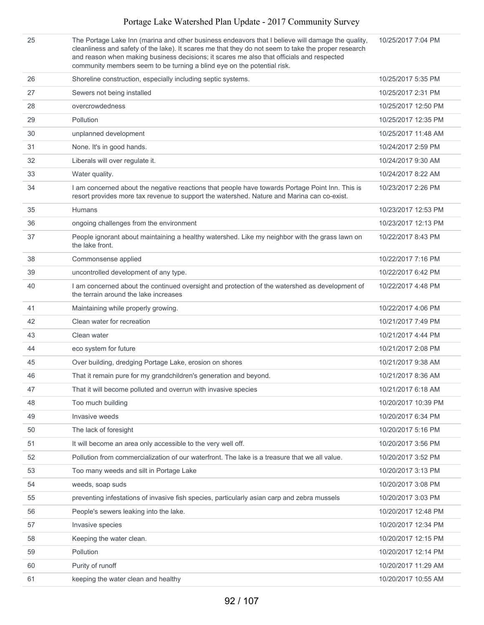The Portage Lake Inn (marina and other business endeavors that I believe will damage the quality, cleanliness and safety of the lake). It scares me that they do not seem to take the proper research and reason when making business decisions; it scares me also that officials and respected community members seem to be turning a blind eye on the potential risk. 10/25/2017 7:04 PM

| 26 | Shoreline construction, especially including septic systems.                                                                                                                                  | 10/25/2017 5:35 PM  |
|----|-----------------------------------------------------------------------------------------------------------------------------------------------------------------------------------------------|---------------------|
| 27 | Sewers not being installed                                                                                                                                                                    | 10/25/2017 2:31 PM  |
| 28 | overcrowdedness                                                                                                                                                                               | 10/25/2017 12:50 PM |
| 29 | Pollution                                                                                                                                                                                     | 10/25/2017 12:35 PM |
| 30 | unplanned development                                                                                                                                                                         | 10/25/2017 11:48 AM |
| 31 | None. It's in good hands.                                                                                                                                                                     | 10/24/2017 2:59 PM  |
| 32 | Liberals will over regulate it.                                                                                                                                                               | 10/24/2017 9:30 AM  |
| 33 | Water quality.                                                                                                                                                                                | 10/24/2017 8:22 AM  |
| 34 | I am concerned about the negative reactions that people have towards Portage Point Inn. This is<br>resort provides more tax revenue to support the watershed. Nature and Marina can co-exist. | 10/23/2017 2:26 PM  |
| 35 | <b>Humans</b>                                                                                                                                                                                 | 10/23/2017 12:53 PM |
| 36 | ongoing challenges from the environment                                                                                                                                                       | 10/23/2017 12:13 PM |
| 37 | People ignorant about maintaining a healthy watershed. Like my neighbor with the grass lawn on<br>the lake front.                                                                             | 10/22/2017 8:43 PM  |
| 38 | Commonsense applied                                                                                                                                                                           | 10/22/2017 7:16 PM  |
| 39 | uncontrolled development of any type.                                                                                                                                                         | 10/22/2017 6:42 PM  |
| 40 | I am concerned about the continued oversight and protection of the watershed as development of<br>the terrain around the lake increases                                                       | 10/22/2017 4:48 PM  |
| 41 | Maintaining while properly growing.                                                                                                                                                           | 10/22/2017 4:06 PM  |
| 42 | Clean water for recreation                                                                                                                                                                    | 10/21/2017 7:49 PM  |
| 43 | Clean water                                                                                                                                                                                   | 10/21/2017 4:44 PM  |
| 44 | eco system for future                                                                                                                                                                         | 10/21/2017 2:08 PM  |
| 45 | Over building, dredging Portage Lake, erosion on shores                                                                                                                                       | 10/21/2017 9:38 AM  |
| 46 | That it remain pure for my grandchildren's generation and beyond.                                                                                                                             | 10/21/2017 8:36 AM  |
| 47 | That it will become polluted and overrun with invasive species                                                                                                                                | 10/21/2017 6:18 AM  |
| 48 | Too much building                                                                                                                                                                             | 10/20/2017 10:39 PM |
| 49 | Invasive weeds                                                                                                                                                                                | 10/20/2017 6:34 PM  |
| 50 | The lack of foresight                                                                                                                                                                         | 10/20/2017 5:16 PM  |
| 51 | It will become an area only accessible to the very well off.                                                                                                                                  | 10/20/2017 3:56 PM  |
| 52 | Pollution from commercialization of our waterfront. The lake is a treasure that we all value.                                                                                                 | 10/20/2017 3:52 PM  |
| 53 | Too many weeds and silt in Portage Lake                                                                                                                                                       | 10/20/2017 3:13 PM  |
| 54 | weeds, soap suds                                                                                                                                                                              | 10/20/2017 3:08 PM  |
| 55 | preventing infestations of invasive fish species, particularly asian carp and zebra mussels                                                                                                   | 10/20/2017 3:03 PM  |
| 56 | People's sewers leaking into the lake.                                                                                                                                                        | 10/20/2017 12:48 PM |
| 57 | Invasive species                                                                                                                                                                              | 10/20/2017 12:34 PM |
| 58 | Keeping the water clean.                                                                                                                                                                      | 10/20/2017 12:15 PM |
| 59 | Pollution                                                                                                                                                                                     | 10/20/2017 12:14 PM |
| 60 | Purity of runoff                                                                                                                                                                              | 10/20/2017 11:29 AM |
| 61 | keeping the water clean and healthy                                                                                                                                                           | 10/20/2017 10:55 AM |
|    |                                                                                                                                                                                               |                     |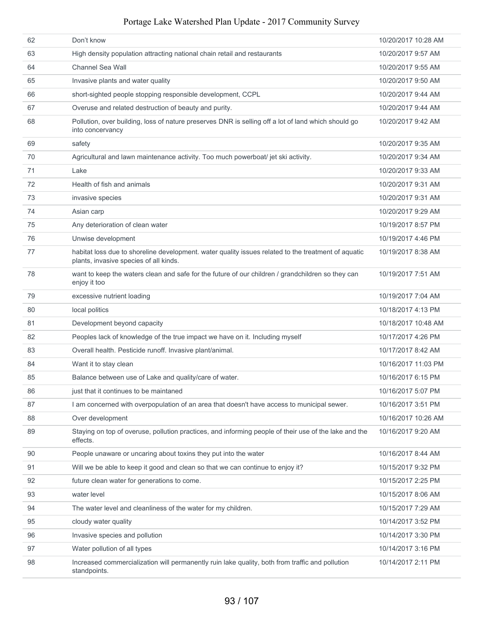| 62 | Don't know                                                                                                                                    | 10/20/2017 10:28 AM |
|----|-----------------------------------------------------------------------------------------------------------------------------------------------|---------------------|
| 63 | High density population attracting national chain retail and restaurants                                                                      | 10/20/2017 9:57 AM  |
| 64 | Channel Sea Wall                                                                                                                              | 10/20/2017 9:55 AM  |
| 65 | Invasive plants and water quality                                                                                                             | 10/20/2017 9:50 AM  |
| 66 | short-sighted people stopping responsible development, CCPL                                                                                   | 10/20/2017 9:44 AM  |
| 67 | Overuse and related destruction of beauty and purity.                                                                                         | 10/20/2017 9:44 AM  |
| 68 | Pollution, over building, loss of nature preserves DNR is selling off a lot of land which should go<br>into concervancy                       | 10/20/2017 9:42 AM  |
| 69 | safety                                                                                                                                        | 10/20/2017 9:35 AM  |
| 70 | Agricultural and lawn maintenance activity. Too much powerboat/ jet ski activity.                                                             | 10/20/2017 9:34 AM  |
| 71 | Lake                                                                                                                                          | 10/20/2017 9:33 AM  |
| 72 | Health of fish and animals                                                                                                                    | 10/20/2017 9:31 AM  |
| 73 | invasive species                                                                                                                              | 10/20/2017 9:31 AM  |
| 74 | Asian carp                                                                                                                                    | 10/20/2017 9:29 AM  |
| 75 | Any deterioration of clean water                                                                                                              | 10/19/2017 8:57 PM  |
| 76 | Unwise development                                                                                                                            | 10/19/2017 4:46 PM  |
| 77 | habitat loss due to shoreline development. water quality issues related to the treatment of aquatic<br>plants, invasive species of all kinds. | 10/19/2017 8:38 AM  |
| 78 | want to keep the waters clean and safe for the future of our children / grandchildren so they can<br>enjoy it too                             | 10/19/2017 7:51 AM  |
| 79 | excessive nutrient loading                                                                                                                    | 10/19/2017 7:04 AM  |
| 80 | local politics                                                                                                                                | 10/18/2017 4:13 PM  |
| 81 | Development beyond capacity                                                                                                                   | 10/18/2017 10:48 AM |
| 82 | Peoples lack of knowledge of the true impact we have on it. Including myself                                                                  | 10/17/2017 4:26 PM  |
| 83 | Overall health. Pesticide runoff. Invasive plant/animal.                                                                                      | 10/17/2017 8:42 AM  |
| 84 | Want it to stay clean                                                                                                                         | 10/16/2017 11:03 PM |
| 85 | Balance between use of Lake and quality/care of water.                                                                                        | 10/16/2017 6:15 PM  |
| 86 | just that it continues to be maintaned                                                                                                        | 10/16/2017 5:07 PM  |
| 87 | I am concerned with overpopulation of an area that doesn't have access to municipal sewer.                                                    | 10/16/2017 3:51 PM  |
| 88 | Over development                                                                                                                              | 10/16/2017 10:26 AM |
| 89 | Staying on top of overuse, pollution practices, and informing people of their use of the lake and the<br>effects.                             | 10/16/2017 9:20 AM  |
| 90 | People unaware or uncaring about toxins they put into the water                                                                               | 10/16/2017 8:44 AM  |
| 91 | Will we be able to keep it good and clean so that we can continue to enjoy it?                                                                | 10/15/2017 9:32 PM  |
| 92 | future clean water for generations to come.                                                                                                   | 10/15/2017 2:25 PM  |
| 93 | water level                                                                                                                                   | 10/15/2017 8:06 AM  |
| 94 | The water level and cleanliness of the water for my children.                                                                                 | 10/15/2017 7:29 AM  |
| 95 | cloudy water quality                                                                                                                          | 10/14/2017 3:52 PM  |
| 96 | Invasive species and pollution                                                                                                                | 10/14/2017 3:30 PM  |
| 97 | Water pollution of all types                                                                                                                  | 10/14/2017 3:16 PM  |
| 98 | Increased commercialization will permanently ruin lake quality, both from traffic and pollution<br>standpoints.                               | 10/14/2017 2:11 PM  |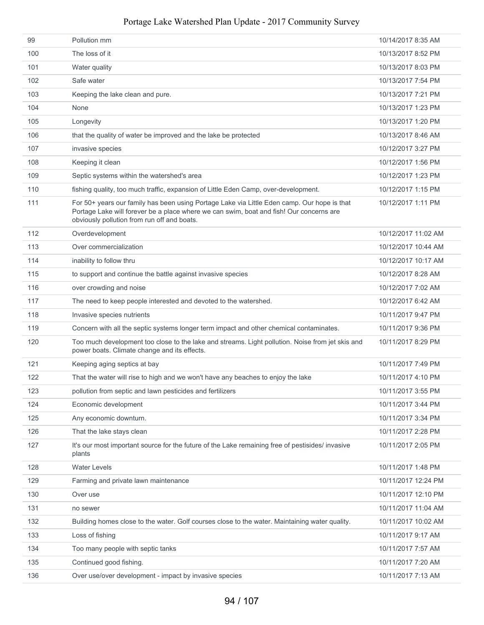| 99  | Pollution mm                                                                                                                                                                                                                          | 10/14/2017 8:35 AM  |
|-----|---------------------------------------------------------------------------------------------------------------------------------------------------------------------------------------------------------------------------------------|---------------------|
| 100 | The loss of it                                                                                                                                                                                                                        | 10/13/2017 8:52 PM  |
| 101 | Water quality                                                                                                                                                                                                                         | 10/13/2017 8:03 PM  |
| 102 | Safe water                                                                                                                                                                                                                            | 10/13/2017 7:54 PM  |
| 103 | Keeping the lake clean and pure.                                                                                                                                                                                                      | 10/13/2017 7:21 PM  |
| 104 | None                                                                                                                                                                                                                                  | 10/13/2017 1:23 PM  |
| 105 | Longevity                                                                                                                                                                                                                             | 10/13/2017 1:20 PM  |
| 106 | that the quality of water be improved and the lake be protected                                                                                                                                                                       | 10/13/2017 8:46 AM  |
| 107 | invasive species                                                                                                                                                                                                                      | 10/12/2017 3:27 PM  |
| 108 | Keeping it clean                                                                                                                                                                                                                      | 10/12/2017 1:56 PM  |
| 109 | Septic systems within the watershed's area                                                                                                                                                                                            | 10/12/2017 1:23 PM  |
| 110 | fishing quality, too much traffic, expansion of Little Eden Camp, over-development.                                                                                                                                                   | 10/12/2017 1:15 PM  |
| 111 | For 50+ years our family has been using Portage Lake via Little Eden camp. Our hope is that<br>Portage Lake will forever be a place where we can swim, boat and fish! Our concerns are<br>obviously pollution from run off and boats. | 10/12/2017 1:11 PM  |
| 112 | Overdevelopment                                                                                                                                                                                                                       | 10/12/2017 11:02 AM |
| 113 | Over commercialization                                                                                                                                                                                                                | 10/12/2017 10:44 AM |
| 114 | inability to follow thru                                                                                                                                                                                                              | 10/12/2017 10:17 AM |
| 115 | to support and continue the battle against invasive species                                                                                                                                                                           | 10/12/2017 8:28 AM  |
| 116 | over crowding and noise                                                                                                                                                                                                               | 10/12/2017 7:02 AM  |
| 117 | The need to keep people interested and devoted to the watershed.                                                                                                                                                                      | 10/12/2017 6:42 AM  |
| 118 | Invasive species nutrients                                                                                                                                                                                                            | 10/11/2017 9:47 PM  |
| 119 | Concern with all the septic systems longer term impact and other chemical contaminates.                                                                                                                                               | 10/11/2017 9:36 PM  |
| 120 | Too much development too close to the lake and streams. Light pollution. Noise from jet skis and<br>power boats. Climate change and its effects.                                                                                      | 10/11/2017 8:29 PM  |
| 121 | Keeping aging septics at bay                                                                                                                                                                                                          | 10/11/2017 7:49 PM  |
| 122 | That the water will rise to high and we won't have any beaches to enjoy the lake                                                                                                                                                      | 10/11/2017 4:10 PM  |
| 123 | pollution from septic and lawn pesticides and fertilizers                                                                                                                                                                             | 10/11/2017 3:55 PM  |
| 124 | Economic development                                                                                                                                                                                                                  | 10/11/2017 3:44 PM  |
| 125 | Any economic downturn.                                                                                                                                                                                                                | 10/11/2017 3:34 PM  |
| 126 | That the lake stays clean                                                                                                                                                                                                             | 10/11/2017 2:28 PM  |
| 127 | It's our most important source for the future of the Lake remaining free of pestisides/ invasive<br>plants                                                                                                                            | 10/11/2017 2:05 PM  |
| 128 | <b>Water Levels</b>                                                                                                                                                                                                                   | 10/11/2017 1:48 PM  |
| 129 | Farming and private lawn maintenance                                                                                                                                                                                                  | 10/11/2017 12:24 PM |
| 130 | Over use                                                                                                                                                                                                                              | 10/11/2017 12:10 PM |
| 131 | no sewer                                                                                                                                                                                                                              | 10/11/2017 11:04 AM |
| 132 | Building homes close to the water. Golf courses close to the water. Maintaining water quality.                                                                                                                                        | 10/11/2017 10:02 AM |
| 133 | Loss of fishing                                                                                                                                                                                                                       | 10/11/2017 9:17 AM  |
| 134 | Too many people with septic tanks                                                                                                                                                                                                     | 10/11/2017 7:57 AM  |
| 135 | Continued good fishing.                                                                                                                                                                                                               | 10/11/2017 7:20 AM  |
| 136 | Over use/over development - impact by invasive species                                                                                                                                                                                | 10/11/2017 7:13 AM  |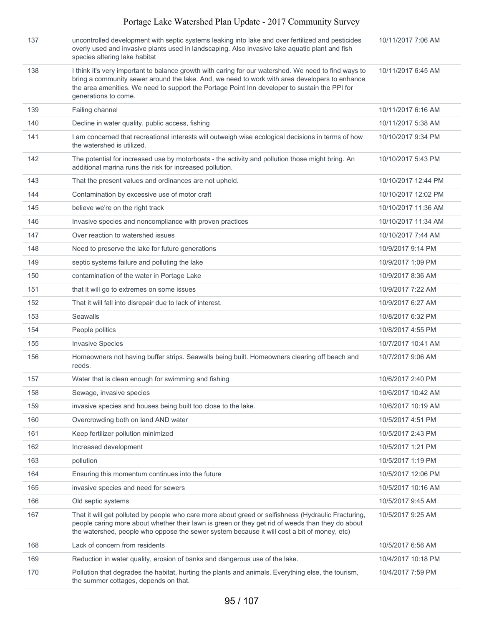| 137 | uncontrolled development with septic systems leaking into lake and over fertilized and pesticides<br>overly used and invasive plants used in landscaping. Also invasive lake aquatic plant and fish<br>species altering lake habitat                                                                                           | 10/11/2017 7:06 AM  |
|-----|--------------------------------------------------------------------------------------------------------------------------------------------------------------------------------------------------------------------------------------------------------------------------------------------------------------------------------|---------------------|
| 138 | I think it's very important to balance growth with caring for our watershed. We need to find ways to<br>bring a community sewer around the lake. And, we need to work with area developers to enhance<br>the area amenities. We need to support the Portage Point Inn developer to sustain the PPI for<br>generations to come. | 10/11/2017 6:45 AM  |
| 139 | Failing channel                                                                                                                                                                                                                                                                                                                | 10/11/2017 6:16 AM  |
| 140 | Decline in water quality, public access, fishing                                                                                                                                                                                                                                                                               | 10/11/2017 5:38 AM  |
| 141 | I am concerned that recreational interests will outweigh wise ecological decisions in terms of how<br>the watershed is utilized.                                                                                                                                                                                               | 10/10/2017 9:34 PM  |
| 142 | The potential for increased use by motorboats - the activity and pollution those might bring. An<br>additional marina runs the risk for increased pollution.                                                                                                                                                                   | 10/10/2017 5:43 PM  |
| 143 | That the present values and ordinances are not upheld.                                                                                                                                                                                                                                                                         | 10/10/2017 12:44 PM |
| 144 | Contamination by excessive use of motor craft                                                                                                                                                                                                                                                                                  | 10/10/2017 12:02 PM |
| 145 | believe we're on the right track                                                                                                                                                                                                                                                                                               | 10/10/2017 11:36 AM |
| 146 | Invasive species and noncompliance with proven practices                                                                                                                                                                                                                                                                       | 10/10/2017 11:34 AM |
| 147 | Over reaction to watershed issues                                                                                                                                                                                                                                                                                              | 10/10/2017 7:44 AM  |
| 148 | Need to preserve the lake for future generations                                                                                                                                                                                                                                                                               | 10/9/2017 9:14 PM   |
| 149 | septic systems failure and polluting the lake                                                                                                                                                                                                                                                                                  | 10/9/2017 1:09 PM   |
| 150 | contamination of the water in Portage Lake                                                                                                                                                                                                                                                                                     | 10/9/2017 8:36 AM   |
| 151 | that it will go to extremes on some issues                                                                                                                                                                                                                                                                                     | 10/9/2017 7:22 AM   |
| 152 | That it will fall into disrepair due to lack of interest.                                                                                                                                                                                                                                                                      | 10/9/2017 6:27 AM   |
| 153 | <b>Seawalls</b>                                                                                                                                                                                                                                                                                                                | 10/8/2017 6:32 PM   |
| 154 | People politics                                                                                                                                                                                                                                                                                                                | 10/8/2017 4:55 PM   |
| 155 | <b>Invasive Species</b>                                                                                                                                                                                                                                                                                                        | 10/7/2017 10:41 AM  |
| 156 | Homeowners not having buffer strips. Seawalls being built. Homeowners clearing off beach and<br>reeds.                                                                                                                                                                                                                         | 10/7/2017 9:06 AM   |
| 157 | Water that is clean enough for swimming and fishing                                                                                                                                                                                                                                                                            | 10/6/2017 2:40 PM   |
| 158 | Sewage, invasive species                                                                                                                                                                                                                                                                                                       | 10/6/2017 10:42 AM  |
| 159 | invasive species and houses being built too close to the lake.                                                                                                                                                                                                                                                                 | 10/6/2017 10:19 AM  |
| 160 | Overcrowding both on land AND water                                                                                                                                                                                                                                                                                            | 10/5/2017 4:51 PM   |
| 161 | Keep fertilizer pollution minimized                                                                                                                                                                                                                                                                                            | 10/5/2017 2:43 PM   |
| 162 | Increased development                                                                                                                                                                                                                                                                                                          | 10/5/2017 1:21 PM   |
| 163 | pollution                                                                                                                                                                                                                                                                                                                      | 10/5/2017 1:19 PM   |
| 164 | Ensuring this momentum continues into the future                                                                                                                                                                                                                                                                               | 10/5/2017 12:06 PM  |
| 165 | invasive species and need for sewers                                                                                                                                                                                                                                                                                           | 10/5/2017 10:16 AM  |
| 166 | Old septic systems                                                                                                                                                                                                                                                                                                             | 10/5/2017 9:45 AM   |
| 167 | That it will get polluted by people who care more about greed or selfishness (Hydraulic Fracturing,<br>people caring more about whether their lawn is green or they get rid of weeds than they do about<br>the watershed, people who oppose the sewer system because it will cost a bit of money, etc)                         | 10/5/2017 9:25 AM   |
| 168 | Lack of concern from residents                                                                                                                                                                                                                                                                                                 | 10/5/2017 6:56 AM   |
| 169 | Reduction in water quality, erosion of banks and dangerous use of the lake.                                                                                                                                                                                                                                                    | 10/4/2017 10:18 PM  |
| 170 | Pollution that degrades the habitat, hurting the plants and animals. Everything else, the tourism,<br>the summer cottages, depends on that.                                                                                                                                                                                    | 10/4/2017 7:59 PM   |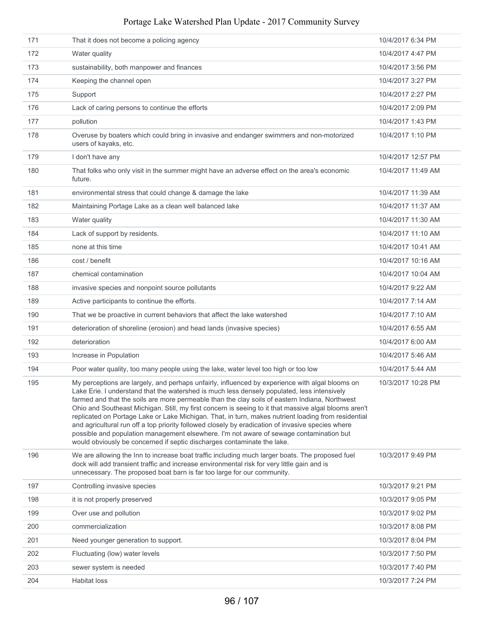| 171 | That it does not become a policing agency                                                                                                                                                                                                                                                                                                                                                                                                                                                                                                                                                                                                                                                                                                                                                   | 10/4/2017 6:34 PM  |
|-----|---------------------------------------------------------------------------------------------------------------------------------------------------------------------------------------------------------------------------------------------------------------------------------------------------------------------------------------------------------------------------------------------------------------------------------------------------------------------------------------------------------------------------------------------------------------------------------------------------------------------------------------------------------------------------------------------------------------------------------------------------------------------------------------------|--------------------|
| 172 | Water quality                                                                                                                                                                                                                                                                                                                                                                                                                                                                                                                                                                                                                                                                                                                                                                               | 10/4/2017 4:47 PM  |
| 173 | sustainability, both manpower and finances                                                                                                                                                                                                                                                                                                                                                                                                                                                                                                                                                                                                                                                                                                                                                  | 10/4/2017 3:56 PM  |
| 174 | Keeping the channel open                                                                                                                                                                                                                                                                                                                                                                                                                                                                                                                                                                                                                                                                                                                                                                    | 10/4/2017 3:27 PM  |
| 175 | Support                                                                                                                                                                                                                                                                                                                                                                                                                                                                                                                                                                                                                                                                                                                                                                                     | 10/4/2017 2:27 PM  |
| 176 | Lack of caring persons to continue the efforts                                                                                                                                                                                                                                                                                                                                                                                                                                                                                                                                                                                                                                                                                                                                              | 10/4/2017 2:09 PM  |
| 177 | pollution                                                                                                                                                                                                                                                                                                                                                                                                                                                                                                                                                                                                                                                                                                                                                                                   | 10/4/2017 1:43 PM  |
| 178 | Overuse by boaters which could bring in invasive and endanger swimmers and non-motorized<br>users of kayaks, etc.                                                                                                                                                                                                                                                                                                                                                                                                                                                                                                                                                                                                                                                                           | 10/4/2017 1:10 PM  |
| 179 | I don't have any                                                                                                                                                                                                                                                                                                                                                                                                                                                                                                                                                                                                                                                                                                                                                                            | 10/4/2017 12:57 PM |
| 180 | That folks who only visit in the summer might have an adverse effect on the area's economic<br>future.                                                                                                                                                                                                                                                                                                                                                                                                                                                                                                                                                                                                                                                                                      | 10/4/2017 11:49 AM |
| 181 | environmental stress that could change & damage the lake                                                                                                                                                                                                                                                                                                                                                                                                                                                                                                                                                                                                                                                                                                                                    | 10/4/2017 11:39 AM |
| 182 | Maintaining Portage Lake as a clean well balanced lake                                                                                                                                                                                                                                                                                                                                                                                                                                                                                                                                                                                                                                                                                                                                      | 10/4/2017 11:37 AM |
| 183 | Water quality                                                                                                                                                                                                                                                                                                                                                                                                                                                                                                                                                                                                                                                                                                                                                                               | 10/4/2017 11:30 AM |
| 184 | Lack of support by residents.                                                                                                                                                                                                                                                                                                                                                                                                                                                                                                                                                                                                                                                                                                                                                               | 10/4/2017 11:10 AM |
| 185 | none at this time                                                                                                                                                                                                                                                                                                                                                                                                                                                                                                                                                                                                                                                                                                                                                                           | 10/4/2017 10:41 AM |
| 186 | cost / benefit                                                                                                                                                                                                                                                                                                                                                                                                                                                                                                                                                                                                                                                                                                                                                                              | 10/4/2017 10:16 AM |
| 187 | chemical contamination                                                                                                                                                                                                                                                                                                                                                                                                                                                                                                                                                                                                                                                                                                                                                                      | 10/4/2017 10:04 AM |
| 188 | invasive species and nonpoint source pollutants                                                                                                                                                                                                                                                                                                                                                                                                                                                                                                                                                                                                                                                                                                                                             | 10/4/2017 9:22 AM  |
| 189 | Active participants to continue the efforts.                                                                                                                                                                                                                                                                                                                                                                                                                                                                                                                                                                                                                                                                                                                                                | 10/4/2017 7:14 AM  |
| 190 | That we be proactive in current behaviors that affect the lake watershed                                                                                                                                                                                                                                                                                                                                                                                                                                                                                                                                                                                                                                                                                                                    | 10/4/2017 7:10 AM  |
| 191 | deterioration of shoreline (erosion) and head lands (invasive species)                                                                                                                                                                                                                                                                                                                                                                                                                                                                                                                                                                                                                                                                                                                      | 10/4/2017 6:55 AM  |
| 192 | deterioration                                                                                                                                                                                                                                                                                                                                                                                                                                                                                                                                                                                                                                                                                                                                                                               | 10/4/2017 6:00 AM  |
| 193 | Increase in Population                                                                                                                                                                                                                                                                                                                                                                                                                                                                                                                                                                                                                                                                                                                                                                      | 10/4/2017 5:46 AM  |
| 194 | Poor water quality, too many people using the lake, water level too high or too low                                                                                                                                                                                                                                                                                                                                                                                                                                                                                                                                                                                                                                                                                                         | 10/4/2017 5:44 AM  |
| 195 | My perceptions are largely, and perhaps unfairly, influenced by experience with algal blooms on<br>Lake Erie. I understand that the watershed is much less densely populated, less intensively<br>farmed and that the soils are more permeable than the clay soils of eastern Indiana, Northwest<br>Ohio and Southeast Michigan. Still, my first concern is seeing to it that massive algal blooms aren't<br>replicated on Portage Lake or Lake Michigan. That, in turn, makes nutrient loading from residential<br>and agricultural run off a top priority followed closely by eradication of invasive species where<br>possible and population management elsewhere. I'm not aware of sewage contamination but<br>would obviously be concerned if septic discharges contaminate the lake. | 10/3/2017 10:28 PM |
| 196 | We are allowing the Inn to increase boat traffic including much larger boats. The proposed fuel<br>dock will add transient traffic and increase environmental risk for very little gain and is<br>unnecessary. The proposed boat barn is far too large for our community.                                                                                                                                                                                                                                                                                                                                                                                                                                                                                                                   | 10/3/2017 9:49 PM  |
| 197 | Controlling invasive species                                                                                                                                                                                                                                                                                                                                                                                                                                                                                                                                                                                                                                                                                                                                                                | 10/3/2017 9:21 PM  |
| 198 | it is not properly preserved                                                                                                                                                                                                                                                                                                                                                                                                                                                                                                                                                                                                                                                                                                                                                                | 10/3/2017 9:05 PM  |
| 199 | Over use and pollution                                                                                                                                                                                                                                                                                                                                                                                                                                                                                                                                                                                                                                                                                                                                                                      | 10/3/2017 9:02 PM  |
| 200 | commercialization                                                                                                                                                                                                                                                                                                                                                                                                                                                                                                                                                                                                                                                                                                                                                                           | 10/3/2017 8:08 PM  |
| 201 | Need younger generation to support.                                                                                                                                                                                                                                                                                                                                                                                                                                                                                                                                                                                                                                                                                                                                                         | 10/3/2017 8:04 PM  |
| 202 | Fluctuating (low) water levels                                                                                                                                                                                                                                                                                                                                                                                                                                                                                                                                                                                                                                                                                                                                                              | 10/3/2017 7:50 PM  |
| 203 | sewer system is needed                                                                                                                                                                                                                                                                                                                                                                                                                                                                                                                                                                                                                                                                                                                                                                      | 10/3/2017 7:40 PM  |
| 204 | <b>Habitat loss</b>                                                                                                                                                                                                                                                                                                                                                                                                                                                                                                                                                                                                                                                                                                                                                                         | 10/3/2017 7:24 PM  |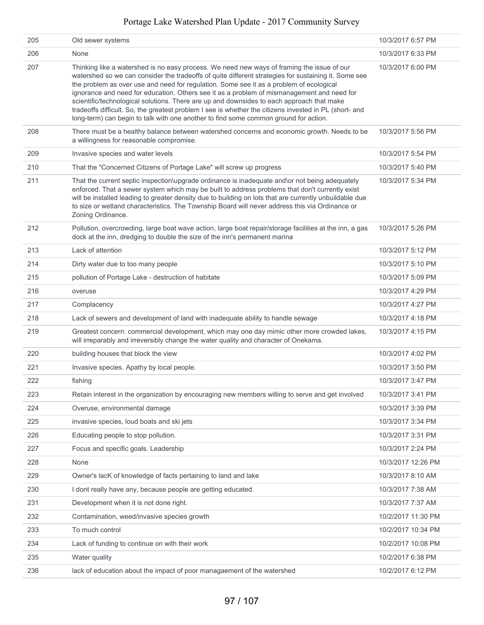| 205 | Old sewer systems                                                                                                                                                                                                                                                                                                                                                                                                                                                                                                                                                                                                                                                                          | 10/3/2017 6:57 PM  |
|-----|--------------------------------------------------------------------------------------------------------------------------------------------------------------------------------------------------------------------------------------------------------------------------------------------------------------------------------------------------------------------------------------------------------------------------------------------------------------------------------------------------------------------------------------------------------------------------------------------------------------------------------------------------------------------------------------------|--------------------|
| 206 | None                                                                                                                                                                                                                                                                                                                                                                                                                                                                                                                                                                                                                                                                                       | 10/3/2017 6:33 PM  |
| 207 | Thinking like a watershed is no easy process. We need new ways of framing the issue of our<br>watershed so we can consider the tradeoffs of quite different strategies for sustaining it. Some see<br>the problem as over use and need for regulation. Some see it as a problem of ecological<br>ignorance and need for education. Others see it as a problem of mismanagement and need for<br>scientific/technological solutions. There are up and downsides to each approach that make<br>tradeoffs difficult. So, the greatest problem I see is whether the citizens invested in PL (short- and<br>long-term) can begin to talk with one another to find some common ground for action. | 10/3/2017 6:00 PM  |
| 208 | There must be a healthy balance between watershed concerns and economic growth. Needs to be<br>a willingness for reasonable compromise.                                                                                                                                                                                                                                                                                                                                                                                                                                                                                                                                                    | 10/3/2017 5:56 PM  |
| 209 | Invasive species and water levels                                                                                                                                                                                                                                                                                                                                                                                                                                                                                                                                                                                                                                                          | 10/3/2017 5:54 PM  |
| 210 | That the "Concerned Citizens of Portage Lake" will screw up progress                                                                                                                                                                                                                                                                                                                                                                                                                                                                                                                                                                                                                       | 10/3/2017 5:40 PM  |
| 211 | That the current septic inspection\upgrade ordinance is inadequate and\or not being adequately<br>enforced. That a sewer system which may be built to address problems that don't currently exist<br>will be installed leading to greater density due to building on lots that are currently unbuildable due<br>to size or wetland characteristics. The Township Board will never address this via Ordinance or<br>Zoning Ordinance.                                                                                                                                                                                                                                                       | 10/3/2017 5:34 PM  |
| 212 | Pollution, overcrowding, large boat wave action, large boat repair/storage facilities at the inn, a gas<br>dock at the inn, dredging to double the size of the inn's permanent marina                                                                                                                                                                                                                                                                                                                                                                                                                                                                                                      | 10/3/2017 5:26 PM  |
| 213 | Lack of attention                                                                                                                                                                                                                                                                                                                                                                                                                                                                                                                                                                                                                                                                          | 10/3/2017 5:12 PM  |
| 214 | Dirty water due to too many people                                                                                                                                                                                                                                                                                                                                                                                                                                                                                                                                                                                                                                                         | 10/3/2017 5:10 PM  |
| 215 | pollution of Portage Lake - destruction of habitate                                                                                                                                                                                                                                                                                                                                                                                                                                                                                                                                                                                                                                        | 10/3/2017 5:09 PM  |
| 216 | overuse                                                                                                                                                                                                                                                                                                                                                                                                                                                                                                                                                                                                                                                                                    | 10/3/2017 4:29 PM  |
| 217 | Complacency                                                                                                                                                                                                                                                                                                                                                                                                                                                                                                                                                                                                                                                                                | 10/3/2017 4:27 PM  |
| 218 | Lack of sewers and development of land with inadequate ability to handle sewage                                                                                                                                                                                                                                                                                                                                                                                                                                                                                                                                                                                                            | 10/3/2017 4:18 PM  |
| 219 | Greatest concern: commercial development, which may one day mimic other more crowded lakes,<br>will irreparably and irreversibly change the water quality and character of Onekama.                                                                                                                                                                                                                                                                                                                                                                                                                                                                                                        | 10/3/2017 4:15 PM  |
| 220 | building houses that block the view                                                                                                                                                                                                                                                                                                                                                                                                                                                                                                                                                                                                                                                        | 10/3/2017 4:02 PM  |
| 221 | Invasive species. Apathy by local people.                                                                                                                                                                                                                                                                                                                                                                                                                                                                                                                                                                                                                                                  | 10/3/2017 3:50 PM  |
| 222 | fishing                                                                                                                                                                                                                                                                                                                                                                                                                                                                                                                                                                                                                                                                                    | 10/3/2017 3:47 PM  |
| 223 | Retain interest in the organization by encouraging new members willing to serve and get involved                                                                                                                                                                                                                                                                                                                                                                                                                                                                                                                                                                                           | 10/3/2017 3:41 PM  |
| 224 | Overuse, environmental damage                                                                                                                                                                                                                                                                                                                                                                                                                                                                                                                                                                                                                                                              | 10/3/2017 3:39 PM  |
| 225 | invasive species, loud boats and ski jets                                                                                                                                                                                                                                                                                                                                                                                                                                                                                                                                                                                                                                                  | 10/3/2017 3:34 PM  |
| 226 | Educating people to stop pollution.                                                                                                                                                                                                                                                                                                                                                                                                                                                                                                                                                                                                                                                        | 10/3/2017 3:31 PM  |
| 227 | Focus and specific goals. Leadership                                                                                                                                                                                                                                                                                                                                                                                                                                                                                                                                                                                                                                                       | 10/3/2017 2:24 PM  |
| 228 | None                                                                                                                                                                                                                                                                                                                                                                                                                                                                                                                                                                                                                                                                                       | 10/3/2017 12:26 PM |
| 229 | Owner's lacK of knowledge of facts pertaining to land and lake                                                                                                                                                                                                                                                                                                                                                                                                                                                                                                                                                                                                                             | 10/3/2017 8:10 AM  |
| 230 | I dont really have any, because people are getting educated.                                                                                                                                                                                                                                                                                                                                                                                                                                                                                                                                                                                                                               | 10/3/2017 7:38 AM  |
| 231 | Development when it is not done right.                                                                                                                                                                                                                                                                                                                                                                                                                                                                                                                                                                                                                                                     | 10/3/2017 7:37 AM  |
| 232 | Contamination, weed/invasive species growth                                                                                                                                                                                                                                                                                                                                                                                                                                                                                                                                                                                                                                                | 10/2/2017 11:30 PM |
| 233 | To much control                                                                                                                                                                                                                                                                                                                                                                                                                                                                                                                                                                                                                                                                            | 10/2/2017 10:34 PM |
| 234 | Lack of funding to continue on with their work                                                                                                                                                                                                                                                                                                                                                                                                                                                                                                                                                                                                                                             | 10/2/2017 10:08 PM |
| 235 | Water quality                                                                                                                                                                                                                                                                                                                                                                                                                                                                                                                                                                                                                                                                              | 10/2/2017 6:38 PM  |
| 236 | lack of education about the impact of poor managaement of the watershed                                                                                                                                                                                                                                                                                                                                                                                                                                                                                                                                                                                                                    | 10/2/2017 6:12 PM  |
|     |                                                                                                                                                                                                                                                                                                                                                                                                                                                                                                                                                                                                                                                                                            |                    |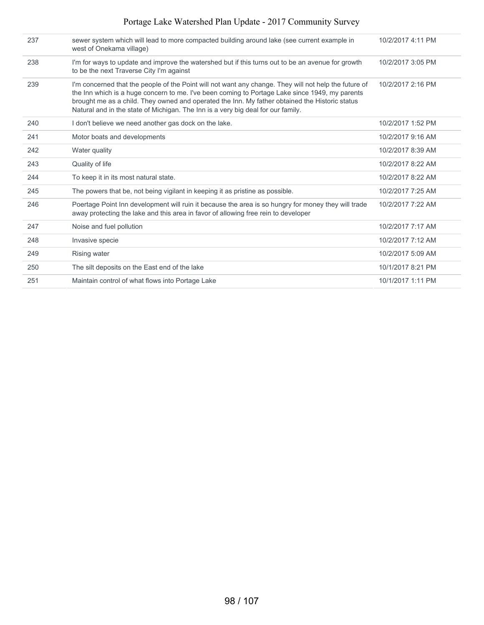| 237 | sewer system which will lead to more compacted building around lake (see current example in<br>west of Onekama village)                                                                                                                                                                                                                                                                       | 10/2/2017 4:11 PM |
|-----|-----------------------------------------------------------------------------------------------------------------------------------------------------------------------------------------------------------------------------------------------------------------------------------------------------------------------------------------------------------------------------------------------|-------------------|
| 238 | I'm for ways to update and improve the watershed but if this turns out to be an avenue for growth<br>to be the next Traverse City I'm against                                                                                                                                                                                                                                                 | 10/2/2017 3:05 PM |
| 239 | I'm concerned that the people of the Point will not want any change. They will not help the future of<br>the Inn which is a huge concern to me. I've been coming to Portage Lake since 1949, my parents<br>brought me as a child. They owned and operated the Inn. My father obtained the Historic status<br>Natural and in the state of Michigan. The Inn is a very big deal for our family. | 10/2/2017 2:16 PM |
| 240 | I don't believe we need another gas dock on the lake.                                                                                                                                                                                                                                                                                                                                         | 10/2/2017 1:52 PM |
| 241 | Motor boats and developments                                                                                                                                                                                                                                                                                                                                                                  | 10/2/2017 9:16 AM |
| 242 | Water quality                                                                                                                                                                                                                                                                                                                                                                                 | 10/2/2017 8:39 AM |
| 243 | Quality of life                                                                                                                                                                                                                                                                                                                                                                               | 10/2/2017 8:22 AM |
| 244 | To keep it in its most natural state.                                                                                                                                                                                                                                                                                                                                                         | 10/2/2017 8:22 AM |
| 245 | The powers that be, not being vigilant in keeping it as pristine as possible.                                                                                                                                                                                                                                                                                                                 | 10/2/2017 7:25 AM |
| 246 | Poertage Point Inn development will ruin it because the area is so hungry for money they will trade<br>away protecting the lake and this area in favor of allowing free rein to developer                                                                                                                                                                                                     | 10/2/2017 7:22 AM |
| 247 | Noise and fuel pollution                                                                                                                                                                                                                                                                                                                                                                      | 10/2/2017 7:17 AM |
| 248 | Invasive specie                                                                                                                                                                                                                                                                                                                                                                               | 10/2/2017 7:12 AM |
| 249 | Rising water                                                                                                                                                                                                                                                                                                                                                                                  | 10/2/2017 5:09 AM |
| 250 | The silt deposits on the East end of the lake                                                                                                                                                                                                                                                                                                                                                 | 10/1/2017 8:21 PM |
| 251 | Maintain control of what flows into Portage Lake                                                                                                                                                                                                                                                                                                                                              | 10/1/2017 1:11 PM |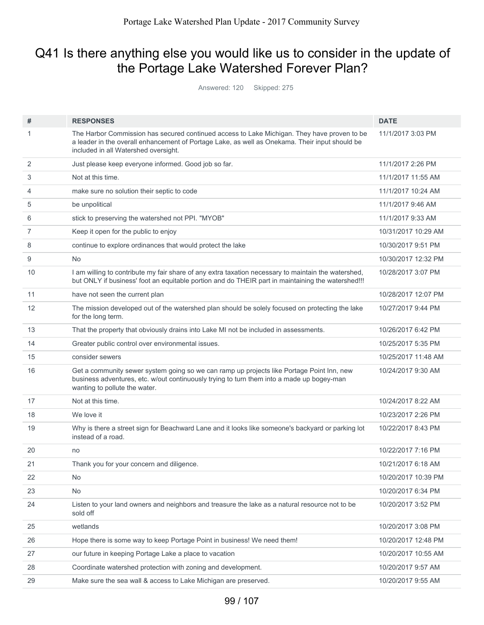# Q41 Is there anything else you would like us to consider in the update of the Portage Lake Watershed Forever Plan?

Answered: 120 Skipped: 275

| #  | <b>RESPONSES</b>                                                                                                                                                                                                                      | <b>DATE</b>         |
|----|---------------------------------------------------------------------------------------------------------------------------------------------------------------------------------------------------------------------------------------|---------------------|
| 1  | The Harbor Commission has secured continued access to Lake Michigan. They have proven to be<br>a leader in the overall enhancement of Portage Lake, as well as Onekama. Their input should be<br>included in all Watershed oversight. | 11/1/2017 3:03 PM   |
| 2  | Just please keep everyone informed. Good job so far.                                                                                                                                                                                  | 11/1/2017 2:26 PM   |
| 3  | Not at this time.                                                                                                                                                                                                                     | 11/1/2017 11:55 AM  |
| 4  | make sure no solution their septic to code                                                                                                                                                                                            | 11/1/2017 10:24 AM  |
| 5  | be unpolitical                                                                                                                                                                                                                        | 11/1/2017 9:46 AM   |
| 6  | stick to preserving the watershed not PPI. "MYOB"                                                                                                                                                                                     | 11/1/2017 9:33 AM   |
| 7  | Keep it open for the public to enjoy                                                                                                                                                                                                  | 10/31/2017 10:29 AM |
| 8  | continue to explore ordinances that would protect the lake                                                                                                                                                                            | 10/30/2017 9:51 PM  |
| 9  | No                                                                                                                                                                                                                                    | 10/30/2017 12:32 PM |
| 10 | I am willing to contribute my fair share of any extra taxation necessary to maintain the watershed,<br>but ONLY if business' foot an equitable portion and do THEIR part in maintaining the watershed!!!                              | 10/28/2017 3:07 PM  |
| 11 | have not seen the current plan                                                                                                                                                                                                        | 10/28/2017 12:07 PM |
| 12 | The mission developed out of the watershed plan should be solely focused on protecting the lake<br>for the long term.                                                                                                                 | 10/27/2017 9:44 PM  |
| 13 | That the property that obviously drains into Lake MI not be included in assessments.                                                                                                                                                  | 10/26/2017 6:42 PM  |
| 14 | Greater public control over environmental issues.                                                                                                                                                                                     | 10/25/2017 5:35 PM  |
| 15 | consider sewers                                                                                                                                                                                                                       | 10/25/2017 11:48 AM |
| 16 | Get a community sewer system going so we can ramp up projects like Portage Point Inn, new<br>business adventures, etc. w/out continuously trying to turn them into a made up bogey-man<br>wanting to pollute the water.               | 10/24/2017 9:30 AM  |
| 17 | Not at this time.                                                                                                                                                                                                                     | 10/24/2017 8:22 AM  |
| 18 | We love it                                                                                                                                                                                                                            | 10/23/2017 2:26 PM  |
| 19 | Why is there a street sign for Beachward Lane and it looks like someone's backyard or parking lot<br>instead of a road.                                                                                                               | 10/22/2017 8:43 PM  |
| 20 | no                                                                                                                                                                                                                                    | 10/22/2017 7:16 PM  |
| 21 | Thank you for your concern and diligence.                                                                                                                                                                                             | 10/21/2017 6:18 AM  |
| 22 | No.                                                                                                                                                                                                                                   | 10/20/2017 10:39 PM |
| 23 | <b>No</b>                                                                                                                                                                                                                             | 10/20/2017 6:34 PM  |
| 24 | Listen to your land owners and neighbors and treasure the lake as a natural resource not to be<br>sold off                                                                                                                            | 10/20/2017 3:52 PM  |
| 25 | wetlands                                                                                                                                                                                                                              | 10/20/2017 3:08 PM  |
| 26 | Hope there is some way to keep Portage Point in business! We need them!                                                                                                                                                               | 10/20/2017 12:48 PM |
| 27 | our future in keeping Portage Lake a place to vacation                                                                                                                                                                                | 10/20/2017 10:55 AM |
| 28 | Coordinate watershed protection with zoning and development.                                                                                                                                                                          | 10/20/2017 9:57 AM  |
| 29 | Make sure the sea wall & access to Lake Michigan are preserved.                                                                                                                                                                       | 10/20/2017 9:55 AM  |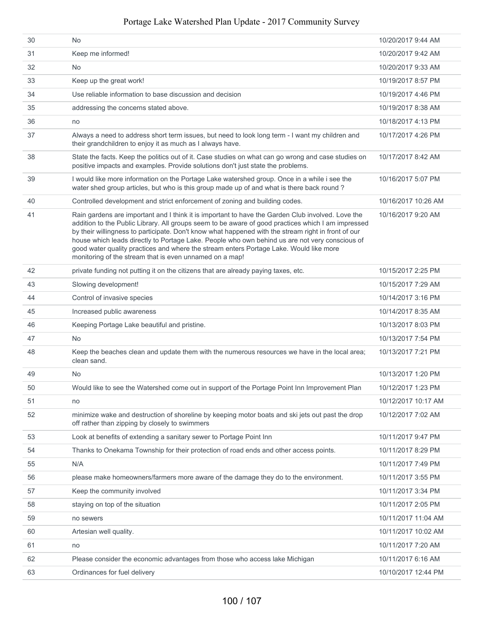| 30 | No.                                                                                                                                                                                                                                                                                                                                                                                                                                                                                                                                                                   | 10/20/2017 9:44 AM  |
|----|-----------------------------------------------------------------------------------------------------------------------------------------------------------------------------------------------------------------------------------------------------------------------------------------------------------------------------------------------------------------------------------------------------------------------------------------------------------------------------------------------------------------------------------------------------------------------|---------------------|
| 31 | Keep me informed!                                                                                                                                                                                                                                                                                                                                                                                                                                                                                                                                                     | 10/20/2017 9:42 AM  |
| 32 | N <sub>o</sub>                                                                                                                                                                                                                                                                                                                                                                                                                                                                                                                                                        | 10/20/2017 9:33 AM  |
| 33 | Keep up the great work!                                                                                                                                                                                                                                                                                                                                                                                                                                                                                                                                               | 10/19/2017 8:57 PM  |
| 34 | Use reliable information to base discussion and decision                                                                                                                                                                                                                                                                                                                                                                                                                                                                                                              | 10/19/2017 4:46 PM  |
| 35 | addressing the concerns stated above.                                                                                                                                                                                                                                                                                                                                                                                                                                                                                                                                 | 10/19/2017 8:38 AM  |
| 36 | no                                                                                                                                                                                                                                                                                                                                                                                                                                                                                                                                                                    | 10/18/2017 4:13 PM  |
| 37 | Always a need to address short term issues, but need to look long term - I want my children and<br>their grandchildren to enjoy it as much as I always have.                                                                                                                                                                                                                                                                                                                                                                                                          | 10/17/2017 4:26 PM  |
| 38 | State the facts. Keep the politics out of it. Case studies on what can go wrong and case studies on<br>positive impacts and examples. Provide solutions don't just state the problems.                                                                                                                                                                                                                                                                                                                                                                                | 10/17/2017 8:42 AM  |
| 39 | I would like more information on the Portage Lake watershed group. Once in a while i see the<br>water shed group articles, but who is this group made up of and what is there back round?                                                                                                                                                                                                                                                                                                                                                                             | 10/16/2017 5:07 PM  |
| 40 | Controlled development and strict enforcement of zoning and building codes.                                                                                                                                                                                                                                                                                                                                                                                                                                                                                           | 10/16/2017 10:26 AM |
| 41 | Rain gardens are important and I think it is important to have the Garden Club involved. Love the<br>addition to the Public Library. All groups seem to be aware of good practices which I am impressed<br>by their willingness to participate. Don't know what happened with the stream right in front of our<br>house which leads directly to Portage Lake. People who own behind us are not very conscious of<br>good water quality practices and where the stream enters Portage Lake. Would like more<br>monitoring of the stream that is even unnamed on a map! | 10/16/2017 9:20 AM  |
| 42 | private funding not putting it on the citizens that are already paying taxes, etc.                                                                                                                                                                                                                                                                                                                                                                                                                                                                                    | 10/15/2017 2:25 PM  |
| 43 | Slowing development!                                                                                                                                                                                                                                                                                                                                                                                                                                                                                                                                                  | 10/15/2017 7:29 AM  |
| 44 | Control of invasive species                                                                                                                                                                                                                                                                                                                                                                                                                                                                                                                                           | 10/14/2017 3:16 PM  |
| 45 | Increased public awareness                                                                                                                                                                                                                                                                                                                                                                                                                                                                                                                                            | 10/14/2017 8:35 AM  |
| 46 | Keeping Portage Lake beautiful and pristine.                                                                                                                                                                                                                                                                                                                                                                                                                                                                                                                          | 10/13/2017 8:03 PM  |
| 47 | No.                                                                                                                                                                                                                                                                                                                                                                                                                                                                                                                                                                   | 10/13/2017 7:54 PM  |
| 48 | Keep the beaches clean and update them with the numerous resources we have in the local area;<br>clean sand.                                                                                                                                                                                                                                                                                                                                                                                                                                                          | 10/13/2017 7:21 PM  |
| 49 | No.                                                                                                                                                                                                                                                                                                                                                                                                                                                                                                                                                                   | 10/13/2017 1:20 PM  |
| 50 | Would like to see the Watershed come out in support of the Portage Point Inn Improvement Plan                                                                                                                                                                                                                                                                                                                                                                                                                                                                         | 10/12/2017 1:23 PM  |
| 51 | no                                                                                                                                                                                                                                                                                                                                                                                                                                                                                                                                                                    | 10/12/2017 10:17 AM |
| 52 | minimize wake and destruction of shoreline by keeping motor boats and ski jets out past the drop<br>off rather than zipping by closely to swimmers                                                                                                                                                                                                                                                                                                                                                                                                                    | 10/12/2017 7:02 AM  |
| 53 | Look at benefits of extending a sanitary sewer to Portage Point Inn                                                                                                                                                                                                                                                                                                                                                                                                                                                                                                   | 10/11/2017 9:47 PM  |
| 54 | Thanks to Onekama Township for their protection of road ends and other access points.                                                                                                                                                                                                                                                                                                                                                                                                                                                                                 | 10/11/2017 8:29 PM  |
| 55 | N/A                                                                                                                                                                                                                                                                                                                                                                                                                                                                                                                                                                   | 10/11/2017 7:49 PM  |
| 56 | please make homeowners/farmers more aware of the damage they do to the environment.                                                                                                                                                                                                                                                                                                                                                                                                                                                                                   | 10/11/2017 3:55 PM  |
| 57 | Keep the community involved                                                                                                                                                                                                                                                                                                                                                                                                                                                                                                                                           | 10/11/2017 3:34 PM  |
| 58 | staying on top of the situation                                                                                                                                                                                                                                                                                                                                                                                                                                                                                                                                       | 10/11/2017 2:05 PM  |
| 59 | no sewers                                                                                                                                                                                                                                                                                                                                                                                                                                                                                                                                                             | 10/11/2017 11:04 AM |
| 60 | Artesian well quality.                                                                                                                                                                                                                                                                                                                                                                                                                                                                                                                                                | 10/11/2017 10:02 AM |
| 61 | no                                                                                                                                                                                                                                                                                                                                                                                                                                                                                                                                                                    | 10/11/2017 7:20 AM  |
| 62 | Please consider the economic advantages from those who access lake Michigan                                                                                                                                                                                                                                                                                                                                                                                                                                                                                           | 10/11/2017 6:16 AM  |
| 63 | Ordinances for fuel delivery                                                                                                                                                                                                                                                                                                                                                                                                                                                                                                                                          | 10/10/2017 12:44 PM |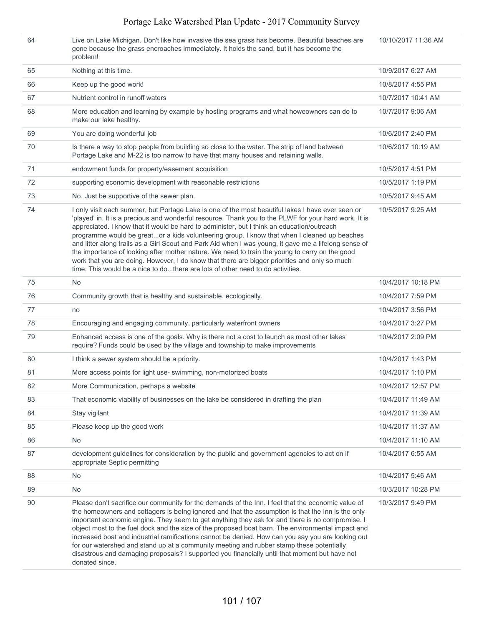| 64 | Live on Lake Michigan. Don't like how invasive the sea grass has become. Beautiful beaches are<br>gone because the grass encroaches immediately. It holds the sand, but it has become the<br>problem!                                                                                                                                                                                                                                                                                                                                                                                                                                                                                                                                                                                                 | 10/10/2017 11:36 AM |
|----|-------------------------------------------------------------------------------------------------------------------------------------------------------------------------------------------------------------------------------------------------------------------------------------------------------------------------------------------------------------------------------------------------------------------------------------------------------------------------------------------------------------------------------------------------------------------------------------------------------------------------------------------------------------------------------------------------------------------------------------------------------------------------------------------------------|---------------------|
| 65 | Nothing at this time.                                                                                                                                                                                                                                                                                                                                                                                                                                                                                                                                                                                                                                                                                                                                                                                 | 10/9/2017 6:27 AM   |
| 66 | Keep up the good work!                                                                                                                                                                                                                                                                                                                                                                                                                                                                                                                                                                                                                                                                                                                                                                                | 10/8/2017 4:55 PM   |
| 67 | Nutrient control in runoff waters                                                                                                                                                                                                                                                                                                                                                                                                                                                                                                                                                                                                                                                                                                                                                                     | 10/7/2017 10:41 AM  |
| 68 | More education and learning by example by hosting programs and what howeowners can do to<br>make our lake healthy.                                                                                                                                                                                                                                                                                                                                                                                                                                                                                                                                                                                                                                                                                    | 10/7/2017 9:06 AM   |
| 69 | You are doing wonderful job                                                                                                                                                                                                                                                                                                                                                                                                                                                                                                                                                                                                                                                                                                                                                                           | 10/6/2017 2:40 PM   |
| 70 | Is there a way to stop people from building so close to the water. The strip of land between<br>Portage Lake and M-22 is too narrow to have that many houses and retaining walls.                                                                                                                                                                                                                                                                                                                                                                                                                                                                                                                                                                                                                     | 10/6/2017 10:19 AM  |
| 71 | endowment funds for property/easement acquisition                                                                                                                                                                                                                                                                                                                                                                                                                                                                                                                                                                                                                                                                                                                                                     | 10/5/2017 4:51 PM   |
| 72 | supporting economic development with reasonable restrictions                                                                                                                                                                                                                                                                                                                                                                                                                                                                                                                                                                                                                                                                                                                                          | 10/5/2017 1:19 PM   |
| 73 | No. Just be supportive of the sewer plan.                                                                                                                                                                                                                                                                                                                                                                                                                                                                                                                                                                                                                                                                                                                                                             | 10/5/2017 9:45 AM   |
| 74 | I only visit each summer, but Portage Lake is one of the most beautiful lakes I have ever seen or<br>'played' in. It is a precious and wonderful resource. Thank you to the PLWF for your hard work. It is<br>appreciated. I know that it would be hard to administer, but I think an education/outreach<br>programme would be greator a kids volunteering group. I know that when I cleaned up beaches<br>and litter along trails as a Girl Scout and Park Aid when I was young, it gave me a lifelong sense of<br>the importance of looking after mother nature. We need to train the young to carry on the good<br>work that you are doing. However, I do know that there are bigger priorities and only so much<br>time. This would be a nice to dothere are lots of other need to do activities. | 10/5/2017 9:25 AM   |
| 75 | <b>No</b>                                                                                                                                                                                                                                                                                                                                                                                                                                                                                                                                                                                                                                                                                                                                                                                             | 10/4/2017 10:18 PM  |
| 76 | Community growth that is healthy and sustainable, ecologically.                                                                                                                                                                                                                                                                                                                                                                                                                                                                                                                                                                                                                                                                                                                                       | 10/4/2017 7:59 PM   |
| 77 | no                                                                                                                                                                                                                                                                                                                                                                                                                                                                                                                                                                                                                                                                                                                                                                                                    | 10/4/2017 3:56 PM   |
| 78 | Encouraging and engaging community, particularly waterfront owners                                                                                                                                                                                                                                                                                                                                                                                                                                                                                                                                                                                                                                                                                                                                    | 10/4/2017 3:27 PM   |
| 79 | Enhanced access is one of the goals. Why is there not a cost to launch as most other lakes<br>require? Funds could be used by the village and township to make improvements                                                                                                                                                                                                                                                                                                                                                                                                                                                                                                                                                                                                                           | 10/4/2017 2:09 PM   |
| 80 | I think a sewer system should be a priority.                                                                                                                                                                                                                                                                                                                                                                                                                                                                                                                                                                                                                                                                                                                                                          | 10/4/2017 1:43 PM   |
| 81 | More access points for light use- swimming, non-motorized boats                                                                                                                                                                                                                                                                                                                                                                                                                                                                                                                                                                                                                                                                                                                                       | 10/4/2017 1:10 PM   |
| 82 | More Communication, perhaps a website                                                                                                                                                                                                                                                                                                                                                                                                                                                                                                                                                                                                                                                                                                                                                                 | 10/4/2017 12:57 PM  |
| 83 | That economic viability of businesses on the lake be considered in drafting the plan                                                                                                                                                                                                                                                                                                                                                                                                                                                                                                                                                                                                                                                                                                                  | 10/4/2017 11:49 AM  |
| 84 | Stay vigilant                                                                                                                                                                                                                                                                                                                                                                                                                                                                                                                                                                                                                                                                                                                                                                                         | 10/4/2017 11:39 AM  |
| 85 | Please keep up the good work                                                                                                                                                                                                                                                                                                                                                                                                                                                                                                                                                                                                                                                                                                                                                                          | 10/4/2017 11:37 AM  |
| 86 | No                                                                                                                                                                                                                                                                                                                                                                                                                                                                                                                                                                                                                                                                                                                                                                                                    | 10/4/2017 11:10 AM  |
| 87 | development guidelines for consideration by the public and government agencies to act on if<br>appropriate Septic permitting                                                                                                                                                                                                                                                                                                                                                                                                                                                                                                                                                                                                                                                                          | 10/4/2017 6:55 AM   |
| 88 | No                                                                                                                                                                                                                                                                                                                                                                                                                                                                                                                                                                                                                                                                                                                                                                                                    | 10/4/2017 5:46 AM   |
| 89 | No                                                                                                                                                                                                                                                                                                                                                                                                                                                                                                                                                                                                                                                                                                                                                                                                    | 10/3/2017 10:28 PM  |
| 90 | Please don't sacrifice our community for the demands of the Inn. I feel that the economic value of<br>the homeowners and cottagers is belng ignored and that the assumption is that the Inn is the only<br>important economic engine. They seem to get anything they ask for and there is no compromise. I<br>object most to the fuel dock and the size of the proposed boat barn. The environmental impact and<br>increased boat and industrial ramifications cannot be denied. How can you say you are looking out<br>for our watershed and stand up at a community meeting and rubber stamp these potentially<br>disastrous and damaging proposals? I supported you financially until that moment but have not<br>donated since.                                                                   | 10/3/2017 9:49 PM   |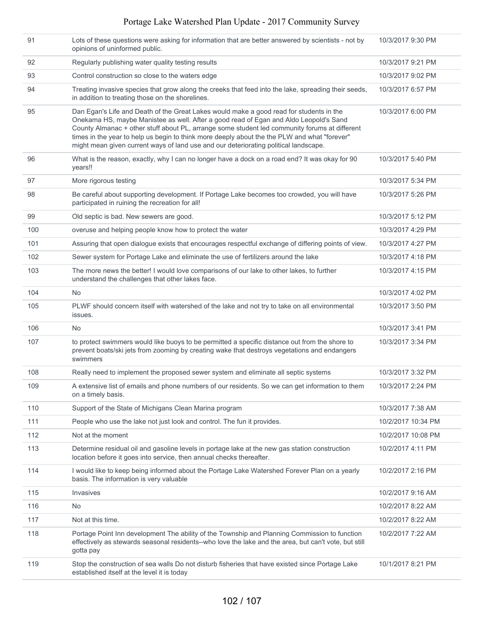| 91  | Lots of these questions were asking for information that are better answered by scientists - not by<br>opinions of uninformed public.                                                                                                                                                                                                                                                                                                                                     | 10/3/2017 9:30 PM  |
|-----|---------------------------------------------------------------------------------------------------------------------------------------------------------------------------------------------------------------------------------------------------------------------------------------------------------------------------------------------------------------------------------------------------------------------------------------------------------------------------|--------------------|
| 92  | Regularly publishing water quality testing results                                                                                                                                                                                                                                                                                                                                                                                                                        | 10/3/2017 9:21 PM  |
| 93  | Control construction so close to the waters edge                                                                                                                                                                                                                                                                                                                                                                                                                          | 10/3/2017 9:02 PM  |
| 94  | Treating invasive species that grow along the creeks that feed into the lake, spreading their seeds,<br>in addition to treating those on the shorelines.                                                                                                                                                                                                                                                                                                                  | 10/3/2017 6:57 PM  |
| 95  | Dan Egan's Life and Death of the Great Lakes would make a good read for students in the<br>Onekama HS, maybe Manistee as well. After a good read of Egan and Aldo Leopold's Sand<br>County Almanac + other stuff about PL, arrange some student led community forums at different<br>times in the year to help us begin to think more deeply about the the PLW and what "forever"<br>might mean given current ways of land use and our deteriorating political landscape. | 10/3/2017 6:00 PM  |
| 96  | What is the reason, exactly, why I can no longer have a dock on a road end? It was okay for 90<br>years!!                                                                                                                                                                                                                                                                                                                                                                 | 10/3/2017 5:40 PM  |
| 97  | More rigorous testing                                                                                                                                                                                                                                                                                                                                                                                                                                                     | 10/3/2017 5:34 PM  |
| 98  | Be careful about supporting development. If Portage Lake becomes too crowded, you will have<br>participated in ruining the recreation for all!                                                                                                                                                                                                                                                                                                                            | 10/3/2017 5:26 PM  |
| 99  | Old septic is bad. New sewers are good.                                                                                                                                                                                                                                                                                                                                                                                                                                   | 10/3/2017 5:12 PM  |
| 100 | overuse and helping people know how to protect the water                                                                                                                                                                                                                                                                                                                                                                                                                  | 10/3/2017 4:29 PM  |
| 101 | Assuring that open dialogue exists that encourages respectful exchange of differing points of view.                                                                                                                                                                                                                                                                                                                                                                       | 10/3/2017 4:27 PM  |
| 102 | Sewer system for Portage Lake and eliminate the use of fertilizers around the lake                                                                                                                                                                                                                                                                                                                                                                                        | 10/3/2017 4:18 PM  |
| 103 | The more news the better! I would love comparisons of our lake to other lakes, to further<br>understand the challenges that other lakes face.                                                                                                                                                                                                                                                                                                                             | 10/3/2017 4:15 PM  |
| 104 | <b>No</b>                                                                                                                                                                                                                                                                                                                                                                                                                                                                 | 10/3/2017 4:02 PM  |
| 105 | PLWF should concern itself with watershed of the lake and not try to take on all environmental<br>issues.                                                                                                                                                                                                                                                                                                                                                                 | 10/3/2017 3:50 PM  |
| 106 | No.                                                                                                                                                                                                                                                                                                                                                                                                                                                                       | 10/3/2017 3:41 PM  |
| 107 | to protect swimmers would like buoys to be permitted a specific distance out from the shore to<br>prevent boats/ski jets from zooming by creating wake that destroys vegetations and endangers<br>swimmers                                                                                                                                                                                                                                                                | 10/3/2017 3:34 PM  |
| 108 | Really need to implement the proposed sewer system and eliminate all septic systems                                                                                                                                                                                                                                                                                                                                                                                       | 10/3/2017 3:32 PM  |
| 109 | A extensive list of emails and phone numbers of our residents. So we can get information to them<br>on a timely basis.                                                                                                                                                                                                                                                                                                                                                    | 10/3/2017 2:24 PM  |
| 110 | Support of the State of Michigans Clean Marina program                                                                                                                                                                                                                                                                                                                                                                                                                    | 10/3/2017 7:38 AM  |
| 111 | People who use the lake not just look and control. The fun it provides.                                                                                                                                                                                                                                                                                                                                                                                                   | 10/2/2017 10:34 PM |
| 112 | Not at the moment                                                                                                                                                                                                                                                                                                                                                                                                                                                         | 10/2/2017 10:08 PM |
| 113 | Determine residual oil and gasoline levels in portage lake at the new gas station construction<br>location before it goes into service, then annual checks thereafter.                                                                                                                                                                                                                                                                                                    | 10/2/2017 4:11 PM  |
| 114 | I would like to keep being informed about the Portage Lake Watershed Forever Plan on a yearly<br>basis. The information is very valuable                                                                                                                                                                                                                                                                                                                                  | 10/2/2017 2:16 PM  |
| 115 | Invasives                                                                                                                                                                                                                                                                                                                                                                                                                                                                 | 10/2/2017 9:16 AM  |
| 116 | <b>No</b>                                                                                                                                                                                                                                                                                                                                                                                                                                                                 | 10/2/2017 8:22 AM  |
| 117 | Not at this time.                                                                                                                                                                                                                                                                                                                                                                                                                                                         | 10/2/2017 8:22 AM  |
| 118 | Portage Point Inn development The ability of the Township and Planning Commission to function<br>effectively as stewards seasonal residents--who love the lake and the area, but can't vote, but still<br>gotta pay                                                                                                                                                                                                                                                       | 10/2/2017 7:22 AM  |
| 119 | Stop the construction of sea walls Do not disturb fisheries that have existed since Portage Lake<br>established itself at the level it is today                                                                                                                                                                                                                                                                                                                           | 10/1/2017 8:21 PM  |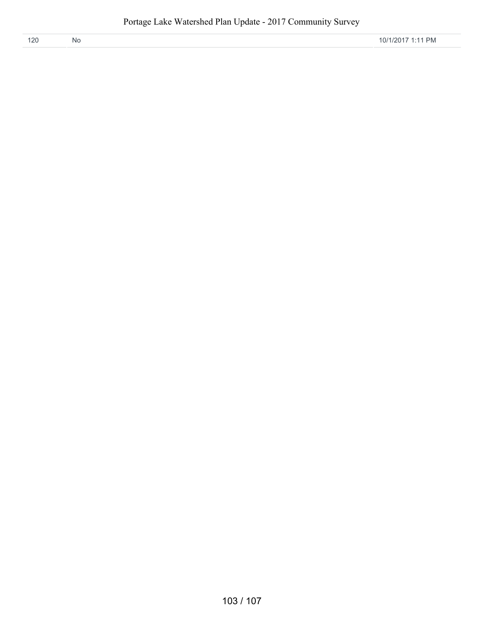| 120 | <b>NO</b> | <b>PM</b><br>1/2017<br>0/1<br>◡ |
|-----|-----------|---------------------------------|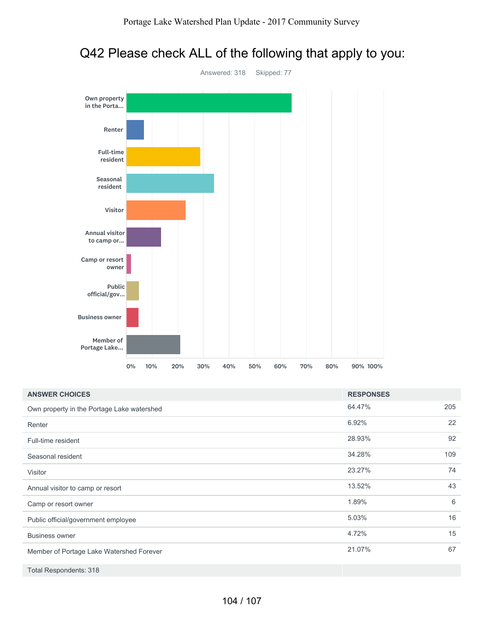# Q42 Please check ALL of the following that apply to you:



| <b>ANSWER CHOICES</b>                      | <b>RESPONSES</b> |     |
|--------------------------------------------|------------------|-----|
| Own property in the Portage Lake watershed | 64.47%           | 205 |
| Renter                                     | 6.92%            | 22  |
| Full-time resident                         | 28.93%           | 92  |
| Seasonal resident                          | 34.28%           | 109 |
| Visitor                                    | 23.27%           | 74  |
| Annual visitor to camp or resort           | 13.52%           | 43  |
| Camp or resort owner                       | 1.89%            | 6   |
| Public official/government employee        | 5.03%            | 16  |
| <b>Business owner</b>                      | 4.72%            | 15  |
| Member of Portage Lake Watershed Forever   | 21.07%           | 67  |
| <b>Total Respondents: 318</b>              |                  |     |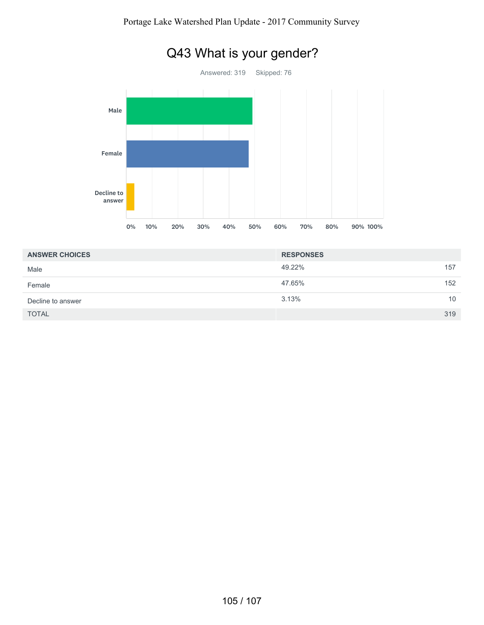

# Q43 What is your gender?

| <b>ANSWER CHOICES</b> | <b>RESPONSES</b> |     |
|-----------------------|------------------|-----|
| Male                  | 49.22%           | 157 |
| Female                | 47.65%           | 152 |
| Decline to answer     | 3.13%            | 10  |
| <b>TOTAL</b>          |                  | 319 |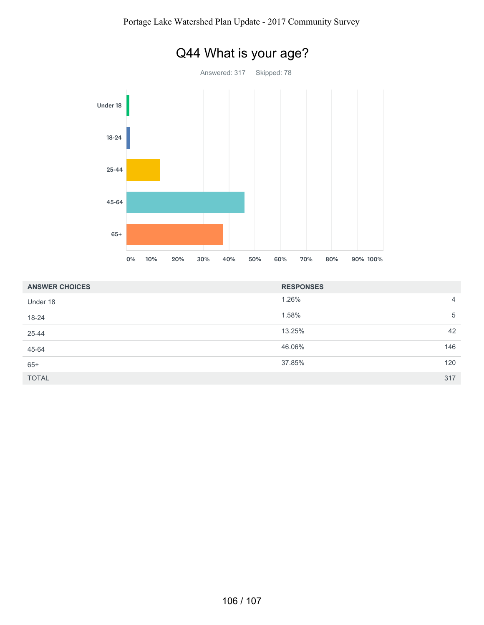

| <b>ANSWER CHOICES</b> | <b>RESPONSES</b> |                |
|-----------------------|------------------|----------------|
| Under 18              | 1.26%            | $\overline{4}$ |
| 18-24                 | 1.58%            | 5              |
| 25-44                 | 13.25%           | 42             |
| 45-64                 | 46.06%           | 146            |
| $65+$                 | 37.85%<br>120    |                |
| <b>TOTAL</b>          | 317              |                |